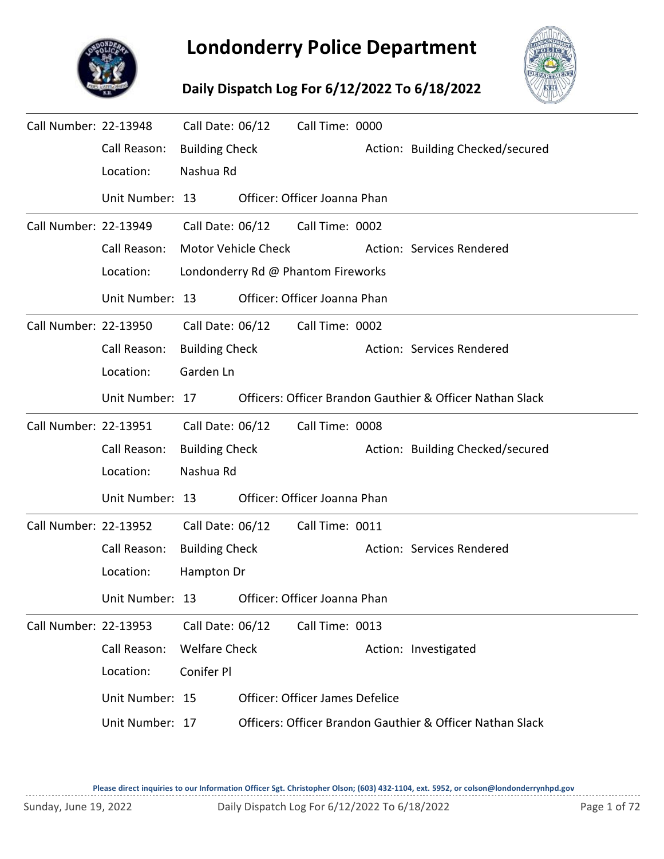

## **Londonderry Police Department**

## **Daily Dispatch Log For 6/12/2022 To 6/18/2022**



| Call Number: 22-13948 |                 | Call Date: 06/12      |                            | Call Time: 0000                    |                                                           |
|-----------------------|-----------------|-----------------------|----------------------------|------------------------------------|-----------------------------------------------------------|
|                       | Call Reason:    | <b>Building Check</b> |                            |                                    | Action: Building Checked/secured                          |
|                       | Location:       | Nashua Rd             |                            |                                    |                                                           |
|                       | Unit Number: 13 |                       |                            | Officer: Officer Joanna Phan       |                                                           |
| Call Number: 22-13949 |                 | Call Date: 06/12      |                            | Call Time: 0002                    |                                                           |
|                       | Call Reason:    |                       | <b>Motor Vehicle Check</b> |                                    | Action: Services Rendered                                 |
|                       | Location:       |                       |                            | Londonderry Rd @ Phantom Fireworks |                                                           |
|                       | Unit Number: 13 |                       |                            | Officer: Officer Joanna Phan       |                                                           |
| Call Number: 22-13950 |                 | Call Date: 06/12      |                            | Call Time: 0002                    |                                                           |
|                       | Call Reason:    | <b>Building Check</b> |                            |                                    | Action: Services Rendered                                 |
|                       | Location:       | Garden Ln             |                            |                                    |                                                           |
|                       | Unit Number: 17 |                       |                            |                                    | Officers: Officer Brandon Gauthier & Officer Nathan Slack |
| Call Number: 22-13951 |                 | Call Date: 06/12      |                            | Call Time: 0008                    |                                                           |
|                       | Call Reason:    | <b>Building Check</b> |                            |                                    | Action: Building Checked/secured                          |
|                       | Location:       | Nashua Rd             |                            |                                    |                                                           |
|                       | Unit Number: 13 |                       |                            | Officer: Officer Joanna Phan       |                                                           |
| Call Number: 22-13952 |                 | Call Date: 06/12      |                            | Call Time: 0011                    |                                                           |
|                       | Call Reason:    | <b>Building Check</b> |                            |                                    | Action: Services Rendered                                 |
|                       | Location:       | Hampton Dr            |                            |                                    |                                                           |
|                       | Unit Number: 13 |                       |                            | Officer: Officer Joanna Phan       |                                                           |
| Call Number: 22-13953 |                 | Call Date: 06/12      |                            | Call Time: 0013                    |                                                           |
|                       | Call Reason:    | <b>Welfare Check</b>  |                            |                                    | Action: Investigated                                      |
|                       | Location:       | Conifer Pl            |                            |                                    |                                                           |
|                       | Unit Number: 15 |                       |                            | Officer: Officer James Defelice    |                                                           |
|                       | Unit Number: 17 |                       |                            |                                    | Officers: Officer Brandon Gauthier & Officer Nathan Slack |
|                       |                 |                       |                            |                                    |                                                           |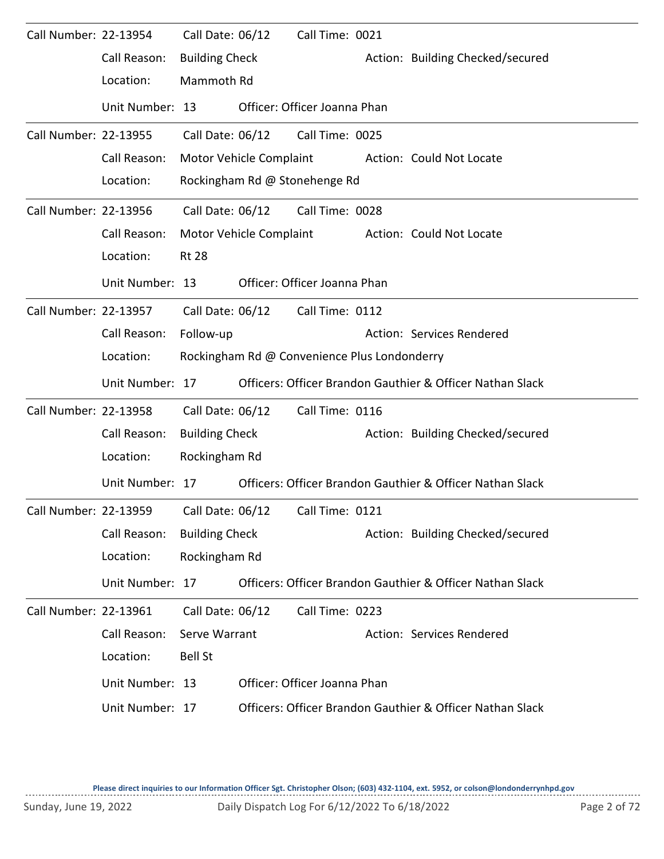| Call Number: 22-13954 |                 | Call Date: 06/12      |                         | Call Time: 0021                              |                                                           |
|-----------------------|-----------------|-----------------------|-------------------------|----------------------------------------------|-----------------------------------------------------------|
|                       | Call Reason:    | <b>Building Check</b> |                         |                                              | Action: Building Checked/secured                          |
|                       | Location:       | Mammoth Rd            |                         |                                              |                                                           |
|                       | Unit Number: 13 |                       |                         | Officer: Officer Joanna Phan                 |                                                           |
| Call Number: 22-13955 |                 | Call Date: 06/12      |                         | Call Time: 0025                              |                                                           |
|                       | Call Reason:    |                       | Motor Vehicle Complaint |                                              | Action: Could Not Locate                                  |
|                       | Location:       |                       |                         | Rockingham Rd @ Stonehenge Rd                |                                                           |
| Call Number: 22-13956 |                 | Call Date: 06/12      |                         | Call Time: 0028                              |                                                           |
|                       | Call Reason:    |                       | Motor Vehicle Complaint |                                              | Action: Could Not Locate                                  |
|                       | Location:       | <b>Rt 28</b>          |                         |                                              |                                                           |
|                       | Unit Number: 13 |                       |                         | Officer: Officer Joanna Phan                 |                                                           |
| Call Number: 22-13957 |                 | Call Date: 06/12      |                         | Call Time: 0112                              |                                                           |
|                       | Call Reason:    | Follow-up             |                         |                                              | Action: Services Rendered                                 |
|                       | Location:       |                       |                         | Rockingham Rd @ Convenience Plus Londonderry |                                                           |
|                       |                 |                       |                         |                                              |                                                           |
|                       | Unit Number: 17 |                       |                         |                                              | Officers: Officer Brandon Gauthier & Officer Nathan Slack |
| Call Number: 22-13958 |                 | Call Date: 06/12      |                         | Call Time: 0116                              |                                                           |
|                       | Call Reason:    | <b>Building Check</b> |                         |                                              | Action: Building Checked/secured                          |
|                       | Location:       | Rockingham Rd         |                         |                                              |                                                           |
|                       | Unit Number: 17 |                       |                         |                                              | Officers: Officer Brandon Gauthier & Officer Nathan Slack |
| Call Number: 22-13959 |                 | Call Date: 06/12      |                         | Call Time: 0121                              |                                                           |
|                       | Call Reason:    | <b>Building Check</b> |                         |                                              | Action: Building Checked/secured                          |
|                       | Location:       | Rockingham Rd         |                         |                                              |                                                           |
|                       | Unit Number: 17 |                       |                         |                                              | Officers: Officer Brandon Gauthier & Officer Nathan Slack |
| Call Number: 22-13961 |                 | Call Date: 06/12      |                         | Call Time: 0223                              |                                                           |
|                       | Call Reason:    | Serve Warrant         |                         |                                              | Action: Services Rendered                                 |
|                       | Location:       | <b>Bell St</b>        |                         |                                              |                                                           |
|                       | Unit Number: 13 |                       |                         | Officer: Officer Joanna Phan                 |                                                           |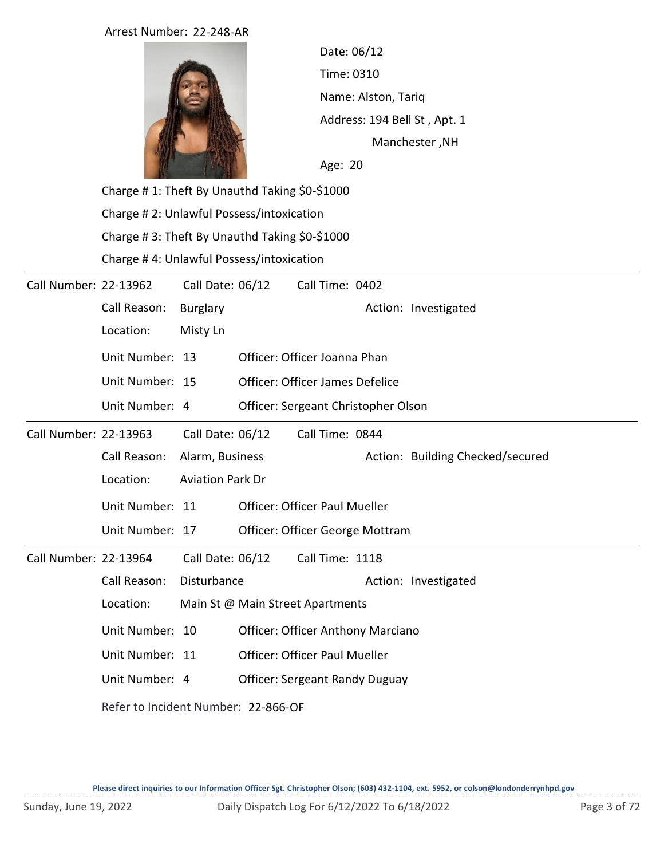## Arrest Number: 22-248-AR



Time: 0310 Name: Alston, Tariq Age: 20 Date: 06/12 Manchester ,NH Address: 194 Bell St , Apt. 1

Charge # 1: Theft By Unauthd Taking \$0-\$1000 Charge # 2: Unlawful Possess/intoxication Charge # 3: Theft By Unauthd Taking \$0-\$1000 Charge # 4: Unlawful Possess/intoxication

| Call Number: 22-13962 |                 | Call Date: 06/12                    |  | Call Time: 0402                          |  |                                  |  |  |  |
|-----------------------|-----------------|-------------------------------------|--|------------------------------------------|--|----------------------------------|--|--|--|
|                       | Call Reason:    | <b>Burglary</b>                     |  |                                          |  | Action: Investigated             |  |  |  |
|                       | Location:       | Misty Ln                            |  |                                          |  |                                  |  |  |  |
|                       | Unit Number: 13 |                                     |  | Officer: Officer Joanna Phan             |  |                                  |  |  |  |
|                       | Unit Number: 15 |                                     |  | <b>Officer: Officer James Defelice</b>   |  |                                  |  |  |  |
|                       | Unit Number: 4  |                                     |  | Officer: Sergeant Christopher Olson      |  |                                  |  |  |  |
| Call Number: 22-13963 |                 | Call Date: 06/12                    |  | Call Time: 0844                          |  |                                  |  |  |  |
|                       | Call Reason:    | Alarm, Business                     |  |                                          |  | Action: Building Checked/secured |  |  |  |
|                       | Location:       | <b>Aviation Park Dr</b>             |  |                                          |  |                                  |  |  |  |
|                       | Unit Number: 11 |                                     |  | <b>Officer: Officer Paul Mueller</b>     |  |                                  |  |  |  |
|                       | Unit Number: 17 |                                     |  | Officer: Officer George Mottram          |  |                                  |  |  |  |
| Call Number: 22-13964 |                 | Call Date: 06/12                    |  | Call Time: 1118                          |  |                                  |  |  |  |
|                       | Call Reason:    | Disturbance                         |  |                                          |  | Action: Investigated             |  |  |  |
|                       | Location:       |                                     |  | Main St @ Main Street Apartments         |  |                                  |  |  |  |
|                       | Unit Number: 10 |                                     |  | <b>Officer: Officer Anthony Marciano</b> |  |                                  |  |  |  |
|                       | Unit Number: 11 |                                     |  | <b>Officer: Officer Paul Mueller</b>     |  |                                  |  |  |  |
|                       | Unit Number: 4  |                                     |  | <b>Officer: Sergeant Randy Duguay</b>    |  |                                  |  |  |  |
|                       |                 | Refer to Incident Number: 22-866-OF |  |                                          |  |                                  |  |  |  |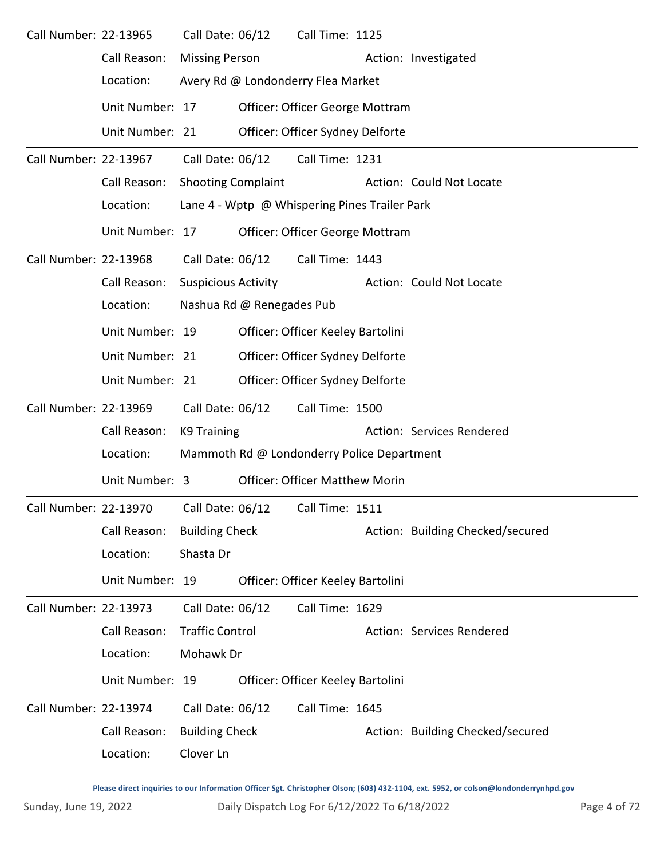| Call Number: 22-13965 |                                                              | Call Date: 06/12           |                           | Call Time: 1125                               |                                  |
|-----------------------|--------------------------------------------------------------|----------------------------|---------------------------|-----------------------------------------------|----------------------------------|
|                       | Call Reason:                                                 | <b>Missing Person</b>      |                           |                                               | Action: Investigated             |
|                       | Location:                                                    |                            |                           | Avery Rd @ Londonderry Flea Market            |                                  |
|                       | Unit Number: 17                                              |                            |                           | Officer: Officer George Mottram               |                                  |
|                       | Unit Number: 21                                              |                            |                           | Officer: Officer Sydney Delforte              |                                  |
| Call Number: 22-13967 |                                                              | Call Date: 06/12           |                           | Call Time: 1231                               |                                  |
|                       | Call Reason:                                                 | <b>Shooting Complaint</b>  |                           |                                               | Action: Could Not Locate         |
|                       | Location:                                                    |                            |                           | Lane 4 - Wptp @ Whispering Pines Trailer Park |                                  |
|                       | Unit Number: 17                                              |                            |                           | Officer: Officer George Mottram               |                                  |
| Call Number: 22-13968 |                                                              | Call Date: 06/12           |                           | Call Time: 1443                               |                                  |
|                       | Call Reason:                                                 | <b>Suspicious Activity</b> |                           |                                               | Action: Could Not Locate         |
|                       | Location:                                                    |                            | Nashua Rd @ Renegades Pub |                                               |                                  |
|                       | Unit Number: 19                                              |                            |                           | Officer: Officer Keeley Bartolini             |                                  |
|                       | Unit Number: 21                                              |                            |                           | Officer: Officer Sydney Delforte              |                                  |
|                       | Unit Number: 21                                              |                            |                           | Officer: Officer Sydney Delforte              |                                  |
| Call Number: 22-13969 |                                                              | Call Date: 06/12           |                           | Call Time: 1500                               |                                  |
|                       | Call Reason:                                                 | K9 Training                |                           |                                               | Action: Services Rendered        |
|                       | Location:                                                    |                            |                           | Mammoth Rd @ Londonderry Police Department    |                                  |
|                       | Unit Number: 3                                               |                            |                           | <b>Officer: Officer Matthew Morin</b>         |                                  |
|                       | Call Number: 22-13970    Call Date: 06/12    Call Time: 1511 |                            |                           |                                               |                                  |
|                       | Call Reason:                                                 | <b>Building Check</b>      |                           |                                               | Action: Building Checked/secured |
|                       | Location:                                                    | Shasta Dr                  |                           |                                               |                                  |
|                       | Unit Number: 19                                              |                            |                           | Officer: Officer Keeley Bartolini             |                                  |
| Call Number: 22-13973 |                                                              | Call Date: 06/12           |                           | Call Time: 1629                               |                                  |
|                       | Call Reason:                                                 | <b>Traffic Control</b>     |                           |                                               | Action: Services Rendered        |
|                       | Location:                                                    | Mohawk Dr                  |                           |                                               |                                  |
|                       |                                                              |                            |                           |                                               |                                  |
|                       | Unit Number: 19                                              |                            |                           | Officer: Officer Keeley Bartolini             |                                  |
| Call Number: 22-13974 |                                                              | Call Date: 06/12           |                           | Call Time: 1645                               |                                  |
|                       | Call Reason:                                                 | <b>Building Check</b>      |                           |                                               | Action: Building Checked/secured |
|                       | Location:                                                    | Clover Ln                  |                           |                                               |                                  |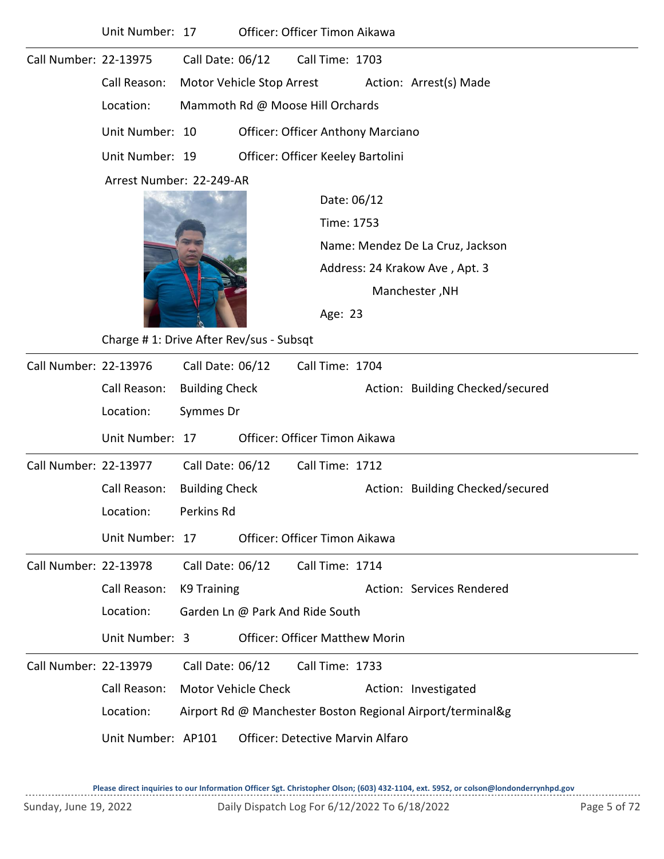|                       | Unit Number: 17                         |                            | Officer: Officer Timon Aikawa            |                                                  |  |                                                            |  |  |  |  |
|-----------------------|-----------------------------------------|----------------------------|------------------------------------------|--------------------------------------------------|--|------------------------------------------------------------|--|--|--|--|
| Call Number: 22-13975 |                                         | Call Date: 06/12           |                                          | Call Time: 1703                                  |  |                                                            |  |  |  |  |
|                       | Call Reason:                            |                            | Motor Vehicle Stop Arrest                |                                                  |  | Action: Arrest(s) Made                                     |  |  |  |  |
|                       | Location:                               |                            | Mammoth Rd @ Moose Hill Orchards         |                                                  |  |                                                            |  |  |  |  |
|                       | Unit Number: 10                         |                            | <b>Officer: Officer Anthony Marciano</b> |                                                  |  |                                                            |  |  |  |  |
|                       | Unit Number: 19                         |                            | Officer: Officer Keeley Bartolini        |                                                  |  |                                                            |  |  |  |  |
|                       | Arrest Number: 22-249-AR                |                            |                                          |                                                  |  |                                                            |  |  |  |  |
|                       |                                         |                            |                                          | Date: 06/12                                      |  |                                                            |  |  |  |  |
|                       |                                         |                            |                                          | Time: 1753                                       |  |                                                            |  |  |  |  |
|                       |                                         |                            |                                          | Name: Mendez De La Cruz, Jackson                 |  |                                                            |  |  |  |  |
|                       |                                         |                            |                                          | Address: 24 Krakow Ave, Apt. 3<br>Manchester, NH |  |                                                            |  |  |  |  |
|                       |                                         |                            |                                          |                                                  |  |                                                            |  |  |  |  |
|                       |                                         | Age: 23                    |                                          |                                                  |  |                                                            |  |  |  |  |
|                       | Charge #1: Drive After Rev/sus - Subsqt |                            |                                          |                                                  |  |                                                            |  |  |  |  |
| Call Number: 22-13976 |                                         | Call Date: 06/12           |                                          | Call Time: 1704                                  |  |                                                            |  |  |  |  |
|                       | Call Reason:                            | <b>Building Check</b>      |                                          |                                                  |  | Action: Building Checked/secured                           |  |  |  |  |
|                       | Location:                               | Symmes Dr                  |                                          |                                                  |  |                                                            |  |  |  |  |
|                       | Unit Number: 17                         |                            | Officer: Officer Timon Aikawa            |                                                  |  |                                                            |  |  |  |  |
| Call Number: 22-13977 |                                         | Call Date: 06/12           |                                          | Call Time: 1712                                  |  |                                                            |  |  |  |  |
|                       | Call Reason:                            | <b>Building Check</b>      |                                          |                                                  |  | Action: Building Checked/secured                           |  |  |  |  |
|                       | Location:                               | Perkins Rd                 |                                          |                                                  |  |                                                            |  |  |  |  |
|                       | Unit Number: 17                         |                            | Officer: Officer Timon Aikawa            |                                                  |  |                                                            |  |  |  |  |
| Call Number: 22-13978 |                                         | Call Date: 06/12           |                                          | Call Time: 1714                                  |  |                                                            |  |  |  |  |
|                       | Call Reason:                            | K9 Training                |                                          |                                                  |  | Action: Services Rendered                                  |  |  |  |  |
|                       | Location:                               |                            | Garden Ln @ Park And Ride South          |                                                  |  |                                                            |  |  |  |  |
|                       | Unit Number: 3                          |                            | <b>Officer: Officer Matthew Morin</b>    |                                                  |  |                                                            |  |  |  |  |
| Call Number: 22-13979 |                                         | Call Date: 06/12           |                                          | Call Time: 1733                                  |  |                                                            |  |  |  |  |
|                       | Call Reason:                            | <b>Motor Vehicle Check</b> |                                          |                                                  |  | Action: Investigated                                       |  |  |  |  |
|                       | Location:                               |                            |                                          |                                                  |  | Airport Rd @ Manchester Boston Regional Airport/terminal&g |  |  |  |  |
|                       | Unit Number: AP101                      |                            | <b>Officer: Detective Marvin Alfaro</b>  |                                                  |  |                                                            |  |  |  |  |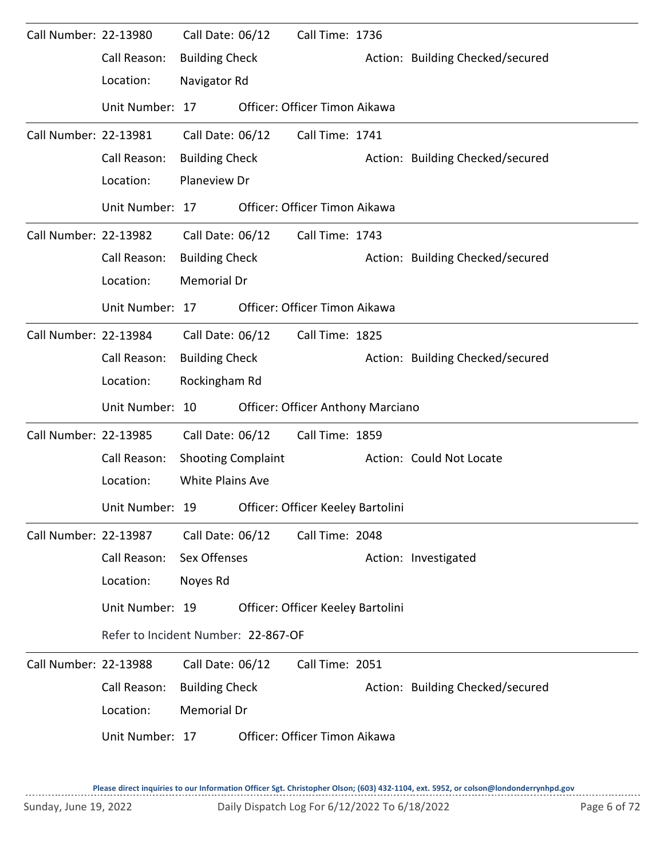| Call Number: 22-13980 |                                     | Call Date: 06/12          | Call Time: 1736                          |                                  |
|-----------------------|-------------------------------------|---------------------------|------------------------------------------|----------------------------------|
|                       | Call Reason:                        | <b>Building Check</b>     |                                          | Action: Building Checked/secured |
|                       | Location:                           | Navigator Rd              |                                          |                                  |
|                       | Unit Number: 17                     |                           | Officer: Officer Timon Aikawa            |                                  |
| Call Number: 22-13981 |                                     | Call Date: 06/12          | Call Time: 1741                          |                                  |
|                       | Call Reason:                        | <b>Building Check</b>     |                                          | Action: Building Checked/secured |
|                       | Location:                           | Planeview Dr              |                                          |                                  |
|                       | Unit Number: 17                     |                           | Officer: Officer Timon Aikawa            |                                  |
| Call Number: 22-13982 |                                     | Call Date: 06/12          | Call Time: 1743                          |                                  |
|                       | Call Reason:                        | <b>Building Check</b>     |                                          | Action: Building Checked/secured |
|                       | Location:                           | Memorial Dr               |                                          |                                  |
|                       | Unit Number: 17                     |                           | Officer: Officer Timon Aikawa            |                                  |
| Call Number: 22-13984 |                                     | Call Date: 06/12          | Call Time: 1825                          |                                  |
|                       | Call Reason:                        | <b>Building Check</b>     |                                          | Action: Building Checked/secured |
|                       | Location:                           | Rockingham Rd             |                                          |                                  |
|                       | Unit Number: 10                     |                           | <b>Officer: Officer Anthony Marciano</b> |                                  |
|                       |                                     |                           |                                          |                                  |
| Call Number: 22-13985 |                                     | Call Date: 06/12          | Call Time: 1859                          |                                  |
|                       | Call Reason:                        | <b>Shooting Complaint</b> |                                          | Action: Could Not Locate         |
|                       | Location:                           | <b>White Plains Ave</b>   |                                          |                                  |
|                       | Unit Number: 19                     |                           | Officer: Officer Keeley Bartolini        |                                  |
| Call Number: 22-13987 |                                     | Call Date: 06/12          | Call Time: 2048                          |                                  |
|                       | Call Reason:                        | Sex Offenses              |                                          | Action: Investigated             |
|                       | Location:                           | Noyes Rd                  |                                          |                                  |
|                       | Unit Number: 19                     |                           | Officer: Officer Keeley Bartolini        |                                  |
|                       | Refer to Incident Number: 22-867-OF |                           |                                          |                                  |
| Call Number: 22-13988 |                                     | Call Date: 06/12          | Call Time: 2051                          |                                  |
|                       | Call Reason:                        | <b>Building Check</b>     |                                          | Action: Building Checked/secured |
|                       | Location:                           | Memorial Dr               |                                          |                                  |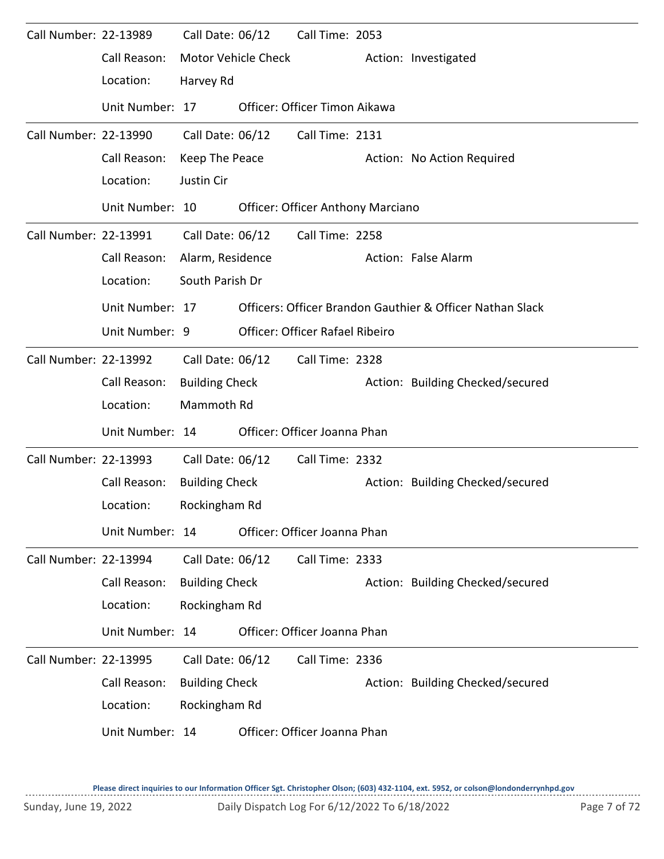| Call Number: 22-13989 |                 | Call Date: 06/12      |                     | Call Time: 2053                          |                                                           |
|-----------------------|-----------------|-----------------------|---------------------|------------------------------------------|-----------------------------------------------------------|
|                       | Call Reason:    |                       | Motor Vehicle Check |                                          | Action: Investigated                                      |
|                       | Location:       | Harvey Rd             |                     |                                          |                                                           |
|                       | Unit Number: 17 |                       |                     | Officer: Officer Timon Aikawa            |                                                           |
| Call Number: 22-13990 |                 | Call Date: 06/12      |                     | Call Time: 2131                          |                                                           |
|                       | Call Reason:    | Keep The Peace        |                     |                                          | Action: No Action Required                                |
|                       | Location:       | Justin Cir            |                     |                                          |                                                           |
|                       | Unit Number: 10 |                       |                     | <b>Officer: Officer Anthony Marciano</b> |                                                           |
| Call Number: 22-13991 |                 | Call Date: 06/12      |                     | Call Time: 2258                          |                                                           |
|                       | Call Reason:    | Alarm, Residence      |                     |                                          | Action: False Alarm                                       |
|                       | Location:       | South Parish Dr       |                     |                                          |                                                           |
|                       | Unit Number: 17 |                       |                     |                                          | Officers: Officer Brandon Gauthier & Officer Nathan Slack |
|                       | Unit Number: 9  |                       |                     | Officer: Officer Rafael Ribeiro          |                                                           |
| Call Number: 22-13992 |                 | Call Date: 06/12      |                     | Call Time: 2328                          |                                                           |
|                       | Call Reason:    | <b>Building Check</b> |                     |                                          | Action: Building Checked/secured                          |
|                       | Location:       | Mammoth Rd            |                     |                                          |                                                           |
|                       | Unit Number: 14 |                       |                     | Officer: Officer Joanna Phan             |                                                           |
| Call Number: 22-13993 |                 | Call Date: 06/12      |                     | Call Time: 2332                          |                                                           |
|                       | Call Reason:    | <b>Building Check</b> |                     |                                          | Action: Building Checked/secured                          |
|                       | Location:       | Rockingham Rd         |                     |                                          |                                                           |
|                       | Unit Number: 14 |                       |                     | Officer: Officer Joanna Phan             |                                                           |
| Call Number: 22-13994 |                 | Call Date: 06/12      |                     | Call Time: 2333                          |                                                           |
|                       | Call Reason:    | <b>Building Check</b> |                     |                                          | Action: Building Checked/secured                          |
|                       | Location:       | Rockingham Rd         |                     |                                          |                                                           |
|                       | Unit Number: 14 |                       |                     | Officer: Officer Joanna Phan             |                                                           |
| Call Number: 22-13995 |                 | Call Date: 06/12      |                     | Call Time: 2336                          |                                                           |
|                       | Call Reason:    | <b>Building Check</b> |                     |                                          | Action: Building Checked/secured                          |
|                       | Location:       | Rockingham Rd         |                     |                                          |                                                           |
|                       | Unit Number: 14 |                       |                     | Officer: Officer Joanna Phan             |                                                           |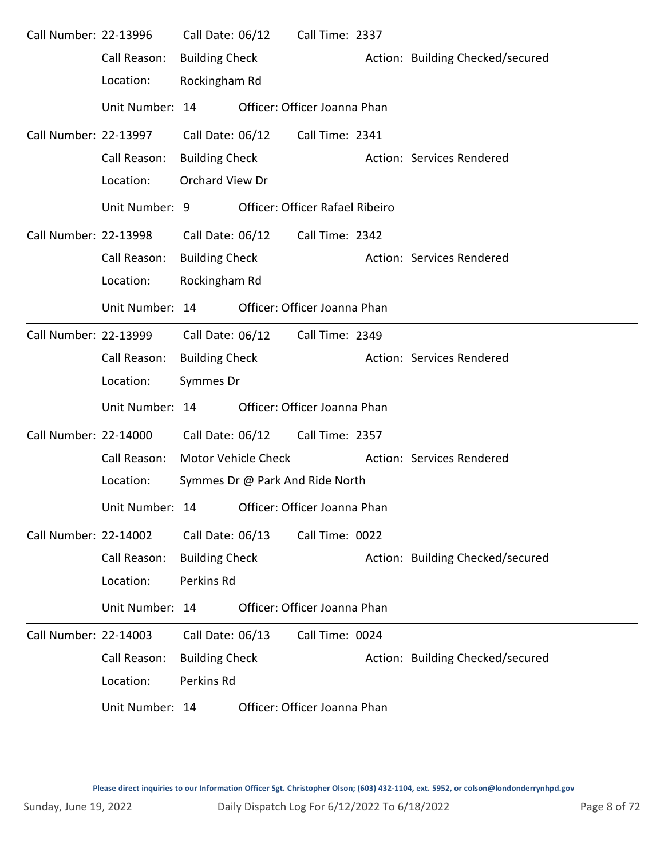| Call Number: 22-13996 |                 | Call Date: 06/12      |                            | Call Time: 2337                        |                                  |
|-----------------------|-----------------|-----------------------|----------------------------|----------------------------------------|----------------------------------|
|                       | Call Reason:    | <b>Building Check</b> |                            |                                        | Action: Building Checked/secured |
|                       | Location:       | Rockingham Rd         |                            |                                        |                                  |
|                       | Unit Number: 14 |                       |                            | Officer: Officer Joanna Phan           |                                  |
| Call Number: 22-13997 |                 | Call Date: 06/12      |                            | Call Time: 2341                        |                                  |
|                       | Call Reason:    | <b>Building Check</b> |                            |                                        | Action: Services Rendered        |
|                       | Location:       | Orchard View Dr       |                            |                                        |                                  |
|                       | Unit Number: 9  |                       |                            | <b>Officer: Officer Rafael Ribeiro</b> |                                  |
| Call Number: 22-13998 |                 | Call Date: 06/12      |                            | Call Time: 2342                        |                                  |
|                       | Call Reason:    | <b>Building Check</b> |                            |                                        | Action: Services Rendered        |
|                       | Location:       | Rockingham Rd         |                            |                                        |                                  |
|                       | Unit Number: 14 |                       |                            | Officer: Officer Joanna Phan           |                                  |
| Call Number: 22-13999 |                 | Call Date: 06/12      |                            | Call Time: 2349                        |                                  |
|                       | Call Reason:    | <b>Building Check</b> |                            |                                        | Action: Services Rendered        |
|                       | Location:       | Symmes Dr             |                            |                                        |                                  |
|                       | Unit Number: 14 |                       |                            | Officer: Officer Joanna Phan           |                                  |
| Call Number: 22-14000 |                 | Call Date: 06/12      |                            | Call Time: 2357                        |                                  |
|                       | Call Reason:    |                       | <b>Motor Vehicle Check</b> |                                        | Action: Services Rendered        |
|                       | Location:       |                       |                            | Symmes Dr @ Park And Ride North        |                                  |
|                       | Unit Number: 14 |                       |                            | Officer: Officer Joanna Phan           |                                  |
| Call Number: 22-14002 |                 | Call Date: 06/13      |                            | Call Time: 0022                        |                                  |
|                       | Call Reason:    | <b>Building Check</b> |                            |                                        | Action: Building Checked/secured |
|                       | Location:       | Perkins Rd            |                            |                                        |                                  |
|                       | Unit Number: 14 |                       |                            | Officer: Officer Joanna Phan           |                                  |
| Call Number: 22-14003 |                 | Call Date: 06/13      |                            | Call Time: 0024                        |                                  |
|                       | Call Reason:    | <b>Building Check</b> |                            |                                        | Action: Building Checked/secured |
|                       | Location:       | Perkins Rd            |                            |                                        |                                  |
|                       | Unit Number: 14 |                       |                            | Officer: Officer Joanna Phan           |                                  |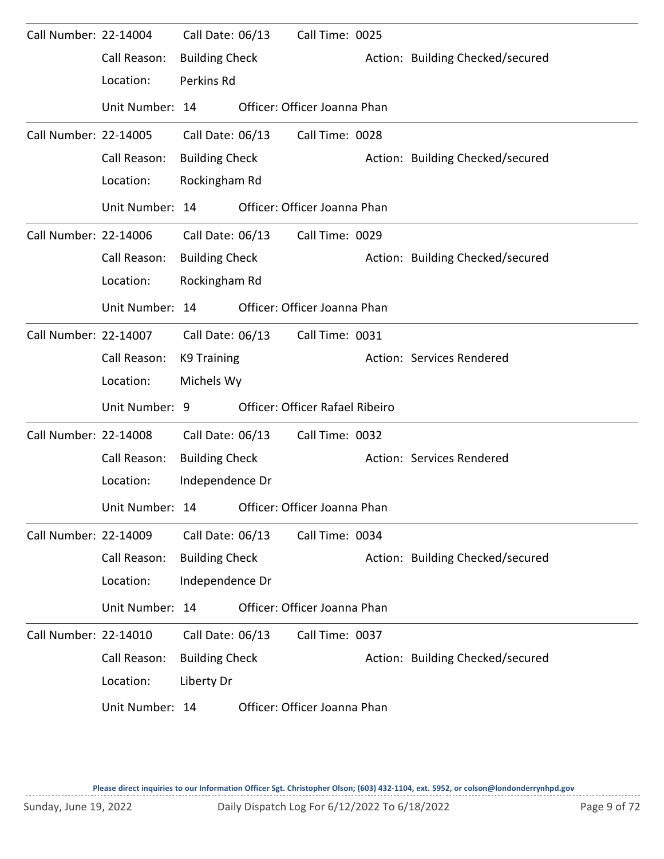| Call Number: 22-14004 |                 | Call Date: 06/13      | Call Time: 0025                 |                                  |
|-----------------------|-----------------|-----------------------|---------------------------------|----------------------------------|
|                       | Call Reason:    | <b>Building Check</b> |                                 | Action: Building Checked/secured |
|                       | Location:       | Perkins Rd            |                                 |                                  |
|                       | Unit Number: 14 |                       | Officer: Officer Joanna Phan    |                                  |
| Call Number: 22-14005 |                 | Call Date: 06/13      | Call Time: 0028                 |                                  |
|                       | Call Reason:    | <b>Building Check</b> |                                 | Action: Building Checked/secured |
|                       | Location:       | Rockingham Rd         |                                 |                                  |
|                       | Unit Number: 14 |                       | Officer: Officer Joanna Phan    |                                  |
| Call Number: 22-14006 |                 | Call Date: 06/13      | Call Time: 0029                 |                                  |
|                       | Call Reason:    | <b>Building Check</b> |                                 | Action: Building Checked/secured |
|                       | Location:       | Rockingham Rd         |                                 |                                  |
|                       | Unit Number: 14 |                       | Officer: Officer Joanna Phan    |                                  |
| Call Number: 22-14007 |                 | Call Date: 06/13      | Call Time: 0031                 |                                  |
|                       | Call Reason:    | K9 Training           |                                 | Action: Services Rendered        |
|                       | Location:       | Michels Wy            |                                 |                                  |
|                       | Unit Number: 9  |                       | Officer: Officer Rafael Ribeiro |                                  |
| Call Number: 22-14008 |                 | Call Date: 06/13      | Call Time: 0032                 |                                  |
|                       | Call Reason:    | <b>Building Check</b> |                                 | Action: Services Rendered        |
|                       | Location:       | Independence Dr       |                                 |                                  |
|                       | Unit Number: 14 |                       | Officer: Officer Joanna Phan    |                                  |
| Call Number: 22-14009 |                 | Call Date: 06/13      | Call Time: 0034                 |                                  |
|                       | Call Reason:    | <b>Building Check</b> |                                 | Action: Building Checked/secured |
|                       | Location:       | Independence Dr       |                                 |                                  |
|                       | Unit Number: 14 |                       | Officer: Officer Joanna Phan    |                                  |
| Call Number: 22-14010 |                 | Call Date: 06/13      | Call Time: 0037                 |                                  |
|                       | Call Reason:    | <b>Building Check</b> |                                 | Action: Building Checked/secured |
|                       | Location:       | Liberty Dr            |                                 |                                  |
|                       | Unit Number: 14 |                       | Officer: Officer Joanna Phan    |                                  |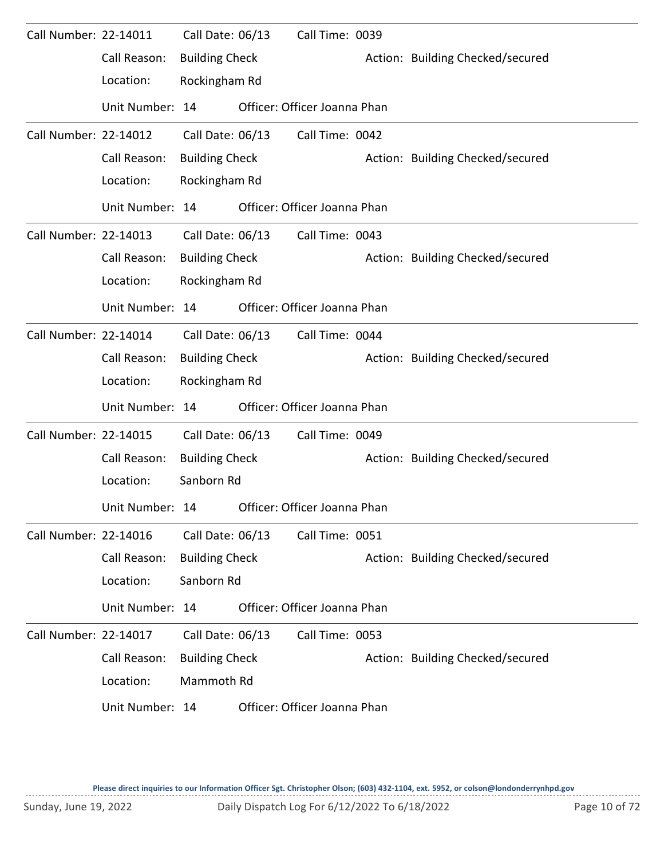| Call Number: 22-14011 |                 | Call Date: 06/13      | Call Time: 0039              |                                  |
|-----------------------|-----------------|-----------------------|------------------------------|----------------------------------|
|                       | Call Reason:    | <b>Building Check</b> |                              | Action: Building Checked/secured |
|                       | Location:       | Rockingham Rd         |                              |                                  |
|                       | Unit Number: 14 |                       | Officer: Officer Joanna Phan |                                  |
| Call Number: 22-14012 |                 | Call Date: 06/13      | Call Time: 0042              |                                  |
|                       | Call Reason:    | <b>Building Check</b> |                              | Action: Building Checked/secured |
|                       | Location:       | Rockingham Rd         |                              |                                  |
|                       | Unit Number: 14 |                       | Officer: Officer Joanna Phan |                                  |
| Call Number: 22-14013 |                 | Call Date: 06/13      | Call Time: 0043              |                                  |
|                       | Call Reason:    | <b>Building Check</b> |                              | Action: Building Checked/secured |
|                       | Location:       | Rockingham Rd         |                              |                                  |
|                       | Unit Number: 14 |                       | Officer: Officer Joanna Phan |                                  |
| Call Number: 22-14014 |                 | Call Date: 06/13      | Call Time: 0044              |                                  |
|                       | Call Reason:    | <b>Building Check</b> |                              | Action: Building Checked/secured |
|                       | Location:       | Rockingham Rd         |                              |                                  |
|                       | Unit Number: 14 |                       | Officer: Officer Joanna Phan |                                  |
| Call Number: 22-14015 |                 | Call Date: 06/13      | Call Time: 0049              |                                  |
|                       | Call Reason:    | <b>Building Check</b> |                              | Action: Building Checked/secured |
|                       | Location:       | Sanborn Rd            |                              |                                  |
|                       | Unit Number: 14 |                       | Officer: Officer Joanna Phan |                                  |
| Call Number: 22-14016 |                 | Call Date: 06/13      | Call Time: 0051              |                                  |
|                       | Call Reason:    | <b>Building Check</b> |                              | Action: Building Checked/secured |
|                       | Location:       | Sanborn Rd            |                              |                                  |
|                       | Unit Number: 14 |                       | Officer: Officer Joanna Phan |                                  |
| Call Number: 22-14017 |                 | Call Date: 06/13      | Call Time: 0053              |                                  |
|                       | Call Reason:    | <b>Building Check</b> |                              | Action: Building Checked/secured |
|                       | Location:       | Mammoth Rd            |                              |                                  |
|                       | Unit Number: 14 |                       | Officer: Officer Joanna Phan |                                  |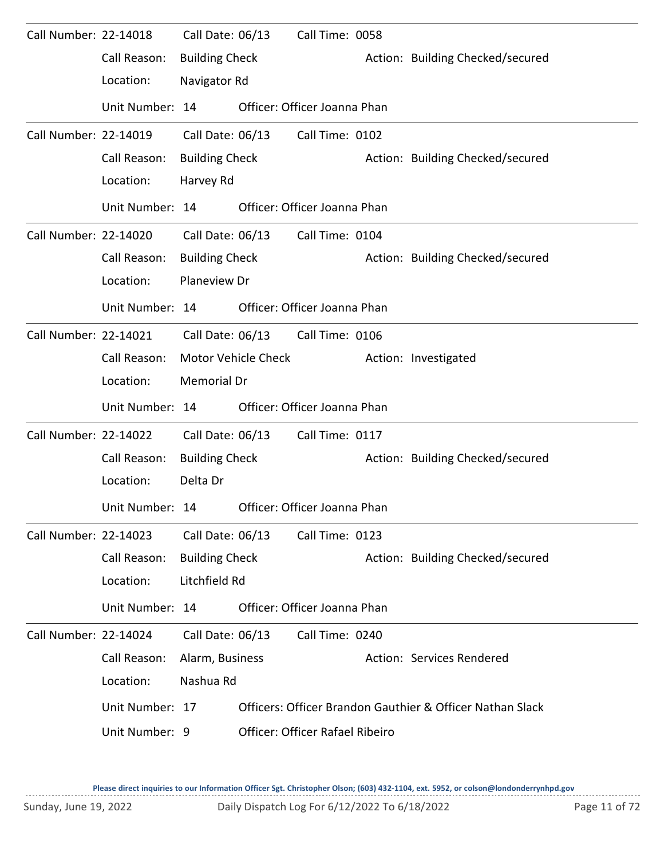| Call Number: 22-14018 |                 | Call Date: 06/13      |                     | Call Time: 0058                 |                                                           |
|-----------------------|-----------------|-----------------------|---------------------|---------------------------------|-----------------------------------------------------------|
|                       | Call Reason:    | <b>Building Check</b> |                     |                                 | Action: Building Checked/secured                          |
|                       | Location:       | Navigator Rd          |                     |                                 |                                                           |
|                       | Unit Number: 14 |                       |                     | Officer: Officer Joanna Phan    |                                                           |
| Call Number: 22-14019 |                 | Call Date: 06/13      |                     | Call Time: 0102                 |                                                           |
|                       | Call Reason:    | <b>Building Check</b> |                     |                                 | Action: Building Checked/secured                          |
|                       | Location:       | Harvey Rd             |                     |                                 |                                                           |
|                       | Unit Number: 14 |                       |                     | Officer: Officer Joanna Phan    |                                                           |
| Call Number: 22-14020 |                 | Call Date: 06/13      |                     | Call Time: 0104                 |                                                           |
|                       | Call Reason:    | <b>Building Check</b> |                     |                                 | Action: Building Checked/secured                          |
|                       | Location:       | Planeview Dr          |                     |                                 |                                                           |
|                       | Unit Number: 14 |                       |                     | Officer: Officer Joanna Phan    |                                                           |
| Call Number: 22-14021 |                 | Call Date: 06/13      |                     | Call Time: 0106                 |                                                           |
|                       | Call Reason:    |                       | Motor Vehicle Check |                                 | Action: Investigated                                      |
|                       | Location:       | Memorial Dr           |                     |                                 |                                                           |
|                       | Unit Number: 14 |                       |                     | Officer: Officer Joanna Phan    |                                                           |
| Call Number: 22-14022 |                 | Call Date: 06/13      |                     | Call Time: 0117                 |                                                           |
|                       | Call Reason:    | <b>Building Check</b> |                     |                                 | Action: Building Checked/secured                          |
|                       | Location:       | Delta Dr              |                     |                                 |                                                           |
|                       | Unit Number: 14 |                       |                     | Officer: Officer Joanna Phan    |                                                           |
| Call Number: 22-14023 |                 | Call Date: 06/13      |                     | Call Time: 0123                 |                                                           |
|                       | Call Reason:    | <b>Building Check</b> |                     |                                 | Action: Building Checked/secured                          |
|                       | Location:       | Litchfield Rd         |                     |                                 |                                                           |
|                       | Unit Number: 14 |                       |                     | Officer: Officer Joanna Phan    |                                                           |
| Call Number: 22-14024 |                 | Call Date: 06/13      |                     | Call Time: 0240                 |                                                           |
|                       | Call Reason:    | Alarm, Business       |                     |                                 | Action: Services Rendered                                 |
|                       | Location:       | Nashua Rd             |                     |                                 |                                                           |
|                       | Unit Number: 17 |                       |                     |                                 | Officers: Officer Brandon Gauthier & Officer Nathan Slack |
|                       | Unit Number: 9  |                       |                     | Officer: Officer Rafael Ribeiro |                                                           |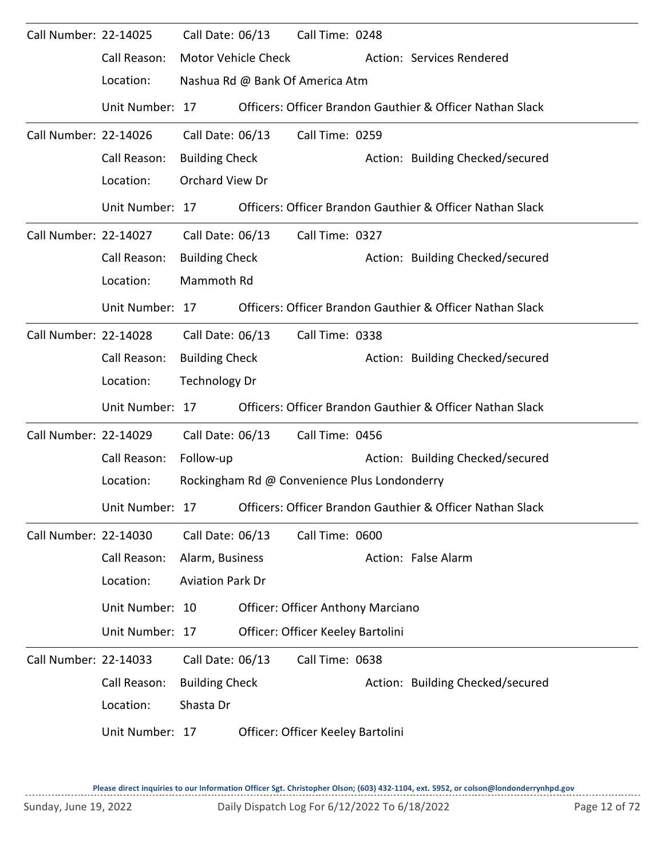| Call Number: 22-14025 |                 | Call Date: 06/13        |                     | Call Time: 0248                              |                                                           |
|-----------------------|-----------------|-------------------------|---------------------|----------------------------------------------|-----------------------------------------------------------|
|                       | Call Reason:    |                         | Motor Vehicle Check |                                              | Action: Services Rendered                                 |
|                       | Location:       |                         |                     | Nashua Rd @ Bank Of America Atm              |                                                           |
|                       | Unit Number: 17 |                         |                     |                                              | Officers: Officer Brandon Gauthier & Officer Nathan Slack |
| Call Number: 22-14026 |                 | Call Date: 06/13        |                     | Call Time: 0259                              |                                                           |
|                       | Call Reason:    | <b>Building Check</b>   |                     |                                              | Action: Building Checked/secured                          |
|                       | Location:       | Orchard View Dr         |                     |                                              |                                                           |
|                       | Unit Number: 17 |                         |                     |                                              | Officers: Officer Brandon Gauthier & Officer Nathan Slack |
| Call Number: 22-14027 |                 | Call Date: 06/13        |                     | Call Time: 0327                              |                                                           |
|                       | Call Reason:    | <b>Building Check</b>   |                     |                                              | Action: Building Checked/secured                          |
|                       | Location:       | Mammoth Rd              |                     |                                              |                                                           |
|                       | Unit Number: 17 |                         |                     |                                              | Officers: Officer Brandon Gauthier & Officer Nathan Slack |
| Call Number: 22-14028 |                 | Call Date: 06/13        |                     | Call Time: 0338                              |                                                           |
|                       | Call Reason:    | <b>Building Check</b>   |                     |                                              | Action: Building Checked/secured                          |
|                       | Location:       | <b>Technology Dr</b>    |                     |                                              |                                                           |
|                       | Unit Number: 17 |                         |                     |                                              | Officers: Officer Brandon Gauthier & Officer Nathan Slack |
| Call Number: 22-14029 |                 | Call Date: 06/13        |                     | Call Time: 0456                              |                                                           |
|                       | Call Reason:    | Follow-up               |                     |                                              | Action: Building Checked/secured                          |
|                       | Location:       |                         |                     | Rockingham Rd @ Convenience Plus Londonderry |                                                           |
|                       | Unit Number: 17 |                         |                     |                                              | Officers: Officer Brandon Gauthier & Officer Nathan Slack |
| Call Number: 22-14030 |                 | Call Date: 06/13        |                     | Call Time: 0600                              |                                                           |
|                       | Call Reason:    | Alarm, Business         |                     |                                              | Action: False Alarm                                       |
|                       | Location:       | <b>Aviation Park Dr</b> |                     |                                              |                                                           |
|                       | Unit Number: 10 |                         |                     | <b>Officer: Officer Anthony Marciano</b>     |                                                           |
|                       | Unit Number: 17 |                         |                     | Officer: Officer Keeley Bartolini            |                                                           |
| Call Number: 22-14033 |                 | Call Date: 06/13        |                     | Call Time: 0638                              |                                                           |
|                       | Call Reason:    | <b>Building Check</b>   |                     |                                              | Action: Building Checked/secured                          |
|                       | Location:       | Shasta Dr               |                     |                                              |                                                           |
|                       | Unit Number: 17 |                         |                     | Officer: Officer Keeley Bartolini            |                                                           |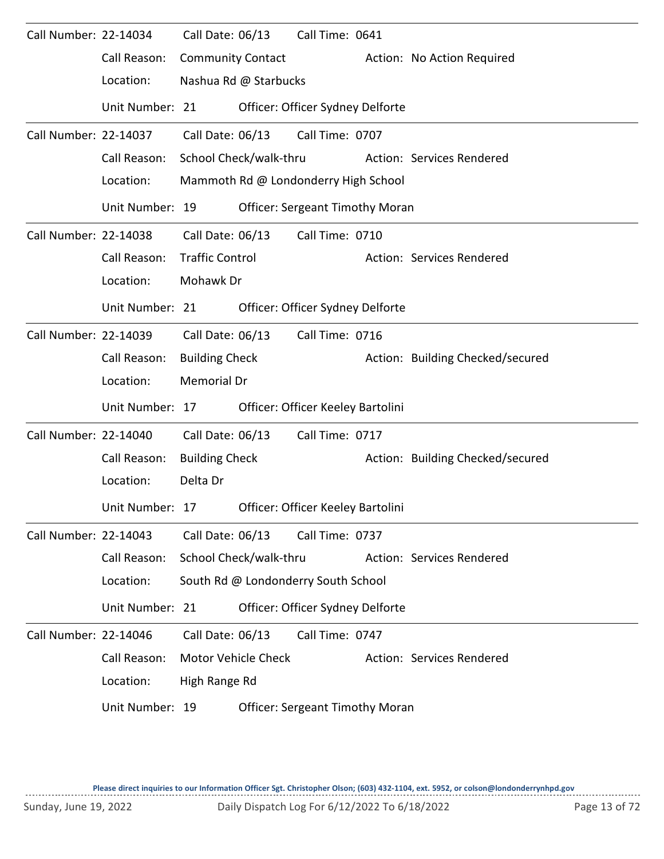| Call Number: 22-14034 |                 | Call Date: 06/13         |                       | Call Time: 0641                        |                                  |
|-----------------------|-----------------|--------------------------|-----------------------|----------------------------------------|----------------------------------|
|                       | Call Reason:    | <b>Community Contact</b> |                       |                                        | Action: No Action Required       |
|                       | Location:       |                          | Nashua Rd @ Starbucks |                                        |                                  |
|                       | Unit Number: 21 |                          |                       | Officer: Officer Sydney Delforte       |                                  |
| Call Number: 22-14037 |                 | Call Date: 06/13         |                       | Call Time: 0707                        |                                  |
|                       | Call Reason:    | School Check/walk-thru   |                       |                                        | Action: Services Rendered        |
|                       | Location:       |                          |                       | Mammoth Rd @ Londonderry High School   |                                  |
|                       | Unit Number: 19 |                          |                       | <b>Officer: Sergeant Timothy Moran</b> |                                  |
| Call Number: 22-14038 |                 | Call Date: 06/13         |                       | Call Time: 0710                        |                                  |
|                       | Call Reason:    | <b>Traffic Control</b>   |                       |                                        | Action: Services Rendered        |
|                       | Location:       | Mohawk Dr                |                       |                                        |                                  |
|                       | Unit Number: 21 |                          |                       | Officer: Officer Sydney Delforte       |                                  |
| Call Number: 22-14039 |                 | Call Date: 06/13         |                       | Call Time: 0716                        |                                  |
|                       | Call Reason:    | <b>Building Check</b>    |                       |                                        | Action: Building Checked/secured |
|                       | Location:       | Memorial Dr              |                       |                                        |                                  |
|                       | Unit Number: 17 |                          |                       | Officer: Officer Keeley Bartolini      |                                  |
| Call Number: 22-14040 |                 | Call Date: 06/13         |                       | Call Time: 0717                        |                                  |
|                       | Call Reason:    | <b>Building Check</b>    |                       |                                        | Action: Building Checked/secured |
|                       | Location:       | Delta Dr                 |                       |                                        |                                  |
|                       | Unit Number: 17 |                          |                       | Officer: Officer Keeley Bartolini      |                                  |
| Call Number: 22-14043 |                 | Call Date: 06/13         |                       | Call Time: 0737                        |                                  |
|                       | Call Reason:    | School Check/walk-thru   |                       |                                        | Action: Services Rendered        |
|                       | Location:       |                          |                       | South Rd @ Londonderry South School    |                                  |
|                       | Unit Number: 21 |                          |                       | Officer: Officer Sydney Delforte       |                                  |
| Call Number: 22-14046 |                 | Call Date: 06/13         |                       | Call Time: 0747                        |                                  |
|                       | Call Reason:    |                          | Motor Vehicle Check   |                                        | Action: Services Rendered        |
|                       | Location:       | High Range Rd            |                       |                                        |                                  |
|                       | Unit Number: 19 |                          |                       | <b>Officer: Sergeant Timothy Moran</b> |                                  |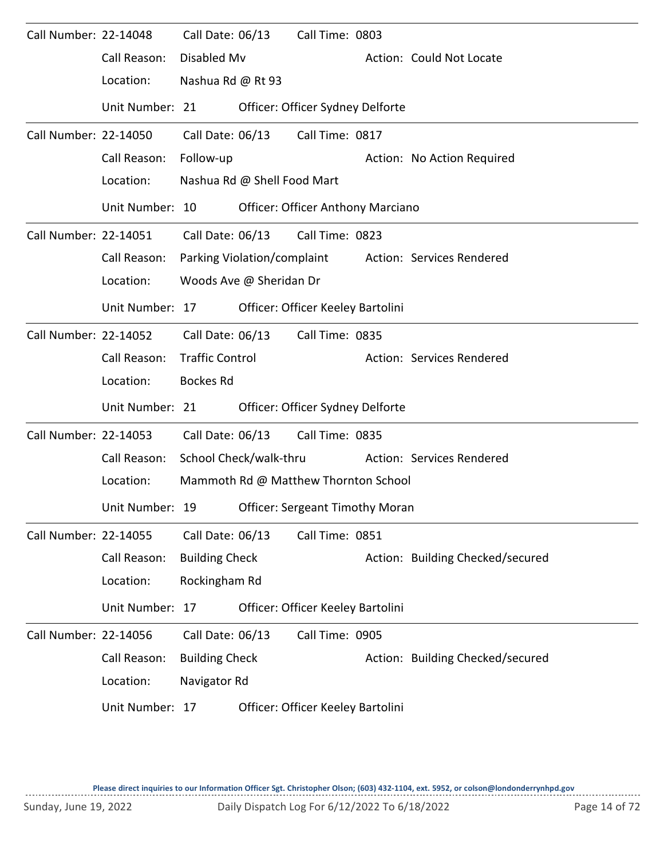| Call Number: 22-14048 |                 | Call Date: 06/13       |                             | Call Time: 0803                          |                                                       |
|-----------------------|-----------------|------------------------|-----------------------------|------------------------------------------|-------------------------------------------------------|
|                       | Call Reason:    | Disabled Mv            |                             |                                          | Action: Could Not Locate                              |
|                       | Location:       | Nashua Rd @ Rt 93      |                             |                                          |                                                       |
|                       | Unit Number: 21 |                        |                             | Officer: Officer Sydney Delforte         |                                                       |
| Call Number: 22-14050 |                 | Call Date: 06/13       |                             | Call Time: 0817                          |                                                       |
|                       | Call Reason:    | Follow-up              |                             |                                          | Action: No Action Required                            |
|                       | Location:       |                        | Nashua Rd @ Shell Food Mart |                                          |                                                       |
|                       | Unit Number: 10 |                        |                             | <b>Officer: Officer Anthony Marciano</b> |                                                       |
| Call Number: 22-14051 |                 |                        |                             | Call Date: 06/13 Call Time: 0823         |                                                       |
|                       | Call Reason:    |                        |                             |                                          | Parking Violation/complaint Action: Services Rendered |
|                       | Location:       |                        | Woods Ave @ Sheridan Dr     |                                          |                                                       |
|                       | Unit Number: 17 |                        |                             | Officer: Officer Keeley Bartolini        |                                                       |
| Call Number: 22-14052 |                 | Call Date: 06/13       |                             | Call Time: 0835                          |                                                       |
|                       | Call Reason:    | <b>Traffic Control</b> |                             |                                          | Action: Services Rendered                             |
|                       | Location:       | <b>Bockes Rd</b>       |                             |                                          |                                                       |
|                       | Unit Number: 21 |                        |                             | Officer: Officer Sydney Delforte         |                                                       |
| Call Number: 22-14053 |                 | Call Date: 06/13       |                             | Call Time: 0835                          |                                                       |
|                       | Call Reason:    |                        | School Check/walk-thru      |                                          | Action: Services Rendered                             |
|                       | Location:       |                        |                             | Mammoth Rd @ Matthew Thornton School     |                                                       |
|                       | Unit Number: 19 |                        |                             | <b>Officer: Sergeant Timothy Moran</b>   |                                                       |
| Call Number: 22-14055 |                 | Call Date: 06/13       |                             | Call Time: 0851                          |                                                       |
|                       | Call Reason:    | <b>Building Check</b>  |                             |                                          | Action: Building Checked/secured                      |
|                       | Location:       | Rockingham Rd          |                             |                                          |                                                       |
|                       | Unit Number: 17 |                        |                             | Officer: Officer Keeley Bartolini        |                                                       |
| Call Number: 22-14056 |                 | Call Date: 06/13       |                             | Call Time: 0905                          |                                                       |
|                       | Call Reason:    | <b>Building Check</b>  |                             |                                          | Action: Building Checked/secured                      |
|                       | Location:       | Navigator Rd           |                             |                                          |                                                       |
|                       | Unit Number: 17 |                        |                             | Officer: Officer Keeley Bartolini        |                                                       |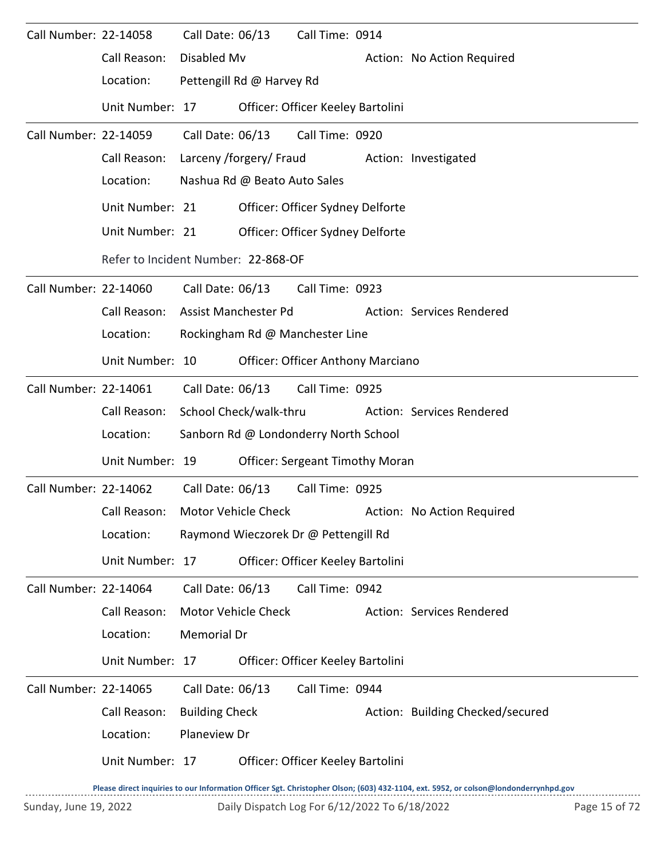| Call Number: 22-14058 |                                     | Call Date: 06/13        |                              | Call Time: 0914                          |                                  |
|-----------------------|-------------------------------------|-------------------------|------------------------------|------------------------------------------|----------------------------------|
|                       | Call Reason:                        | Disabled Mv             |                              |                                          | Action: No Action Required       |
|                       | Location:                           |                         | Pettengill Rd @ Harvey Rd    |                                          |                                  |
|                       | Unit Number: 17                     |                         |                              | Officer: Officer Keeley Bartolini        |                                  |
| Call Number: 22-14059 |                                     | Call Date: 06/13        |                              | Call Time: 0920                          |                                  |
|                       | Call Reason:                        | Larceny /forgery/ Fraud |                              |                                          | Action: Investigated             |
|                       | Location:                           |                         | Nashua Rd @ Beato Auto Sales |                                          |                                  |
|                       | Unit Number: 21                     |                         |                              | Officer: Officer Sydney Delforte         |                                  |
|                       | Unit Number: 21                     |                         |                              | Officer: Officer Sydney Delforte         |                                  |
|                       | Refer to Incident Number: 22-868-OF |                         |                              |                                          |                                  |
| Call Number: 22-14060 |                                     | Call Date: 06/13        |                              | Call Time: 0923                          |                                  |
|                       | Call Reason:                        |                         | Assist Manchester Pd         |                                          | Action: Services Rendered        |
|                       | Location:                           |                         |                              | Rockingham Rd @ Manchester Line          |                                  |
|                       | Unit Number: 10                     |                         |                              | <b>Officer: Officer Anthony Marciano</b> |                                  |
| Call Number: 22-14061 |                                     |                         | Call Date: 06/13             | Call Time: 0925                          |                                  |
|                       | Call Reason:                        |                         | School Check/walk-thru       |                                          | Action: Services Rendered        |
|                       | Location:                           |                         |                              | Sanborn Rd @ Londonderry North School    |                                  |
|                       | Unit Number: 19                     |                         |                              | <b>Officer: Sergeant Timothy Moran</b>   |                                  |
| Call Number: 22-14062 |                                     | Call Date: 06/13        |                              | Call Time: 0925                          |                                  |
|                       | Call Reason:                        |                         | Motor Vehicle Check          |                                          | Action: No Action Required       |
|                       | Location:                           |                         |                              | Raymond Wieczorek Dr @ Pettengill Rd     |                                  |
|                       | Unit Number: 17                     |                         |                              | Officer: Officer Keeley Bartolini        |                                  |
| Call Number: 22-14064 |                                     | Call Date: 06/13        |                              | Call Time: 0942                          |                                  |
|                       | Call Reason:                        |                         | Motor Vehicle Check          |                                          | Action: Services Rendered        |
|                       | Location:                           | Memorial Dr             |                              |                                          |                                  |
|                       | Unit Number: 17                     |                         |                              | Officer: Officer Keeley Bartolini        |                                  |
| Call Number: 22-14065 |                                     | Call Date: 06/13        |                              | Call Time: 0944                          |                                  |
|                       | Call Reason:                        | <b>Building Check</b>   |                              |                                          | Action: Building Checked/secured |
|                       | Location:                           | Planeview Dr            |                              |                                          |                                  |
|                       | Unit Number: 17                     |                         |                              | Officer: Officer Keeley Bartolini        |                                  |
|                       |                                     |                         |                              |                                          |                                  |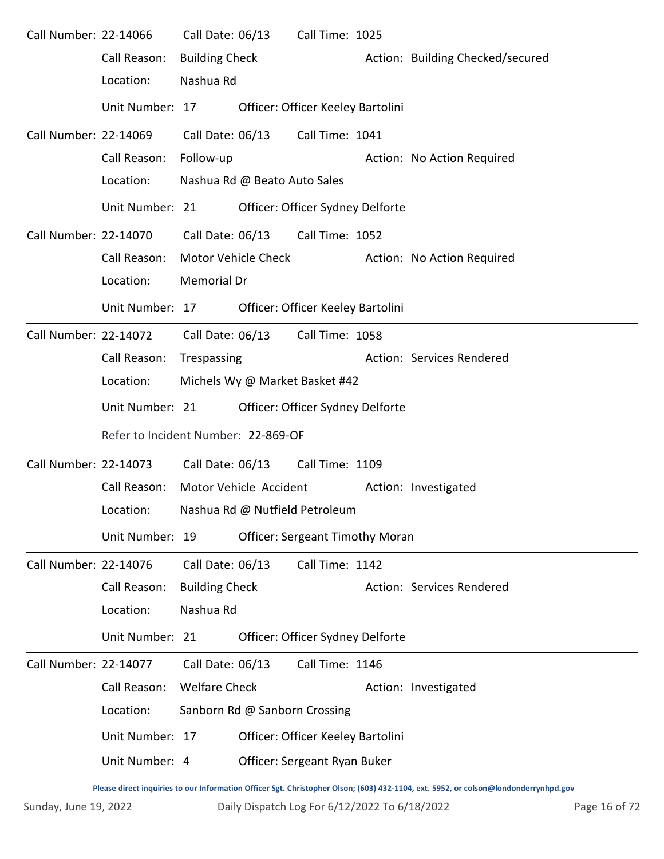| Call Number: 22-14066 |                                     |                        | Call Date: 06/13             | Call Time: 1025                        |                      |                                  |  |
|-----------------------|-------------------------------------|------------------------|------------------------------|----------------------------------------|----------------------|----------------------------------|--|
|                       | Call Reason:                        | <b>Building Check</b>  |                              |                                        |                      | Action: Building Checked/secured |  |
|                       | Location:                           | Nashua Rd              |                              |                                        |                      |                                  |  |
|                       | Unit Number: 17                     |                        |                              | Officer: Officer Keeley Bartolini      |                      |                                  |  |
| Call Number: 22-14069 |                                     | Call Date: 06/13       |                              | Call Time: 1041                        |                      |                                  |  |
|                       | Call Reason:                        | Follow-up              |                              |                                        |                      | Action: No Action Required       |  |
|                       | Location:                           |                        | Nashua Rd @ Beato Auto Sales |                                        |                      |                                  |  |
|                       | Unit Number: 21                     |                        |                              | Officer: Officer Sydney Delforte       |                      |                                  |  |
| Call Number: 22-14070 |                                     |                        |                              | Call Date: 06/13 Call Time: 1052       |                      |                                  |  |
|                       | Call Reason:                        |                        | Motor Vehicle Check          |                                        |                      | Action: No Action Required       |  |
|                       | Location:                           | Memorial Dr            |                              |                                        |                      |                                  |  |
|                       | Unit Number: 17                     |                        |                              | Officer: Officer Keeley Bartolini      |                      |                                  |  |
| Call Number: 22-14072 |                                     |                        | Call Date: 06/13             | Call Time: 1058                        |                      |                                  |  |
|                       | Call Reason:                        | Trespassing            |                              |                                        |                      | Action: Services Rendered        |  |
|                       | Location:                           |                        |                              | Michels Wy @ Market Basket #42         |                      |                                  |  |
|                       | Unit Number: 21                     |                        |                              | Officer: Officer Sydney Delforte       |                      |                                  |  |
|                       | Refer to Incident Number: 22-869-OF |                        |                              |                                        |                      |                                  |  |
|                       | Call Number: 22-14073               |                        | Call Date: 06/13             | Call Time: 1109                        |                      |                                  |  |
|                       | Call Reason:                        | Motor Vehicle Accident |                              |                                        | Action: Investigated |                                  |  |
|                       | Location:                           |                        |                              | Nashua Rd @ Nutfield Petroleum         |                      |                                  |  |
|                       | Unit Number: 19                     |                        |                              | <b>Officer: Sergeant Timothy Moran</b> |                      |                                  |  |
| Call Number: 22-14076 |                                     | Call Date: 06/13       |                              | Call Time: 1142                        |                      |                                  |  |
|                       | Call Reason:                        | <b>Building Check</b>  |                              |                                        |                      | Action: Services Rendered        |  |
|                       | Location:                           | Nashua Rd              |                              |                                        |                      |                                  |  |
|                       | Unit Number: 21                     |                        |                              | Officer: Officer Sydney Delforte       |                      |                                  |  |
| Call Number: 22-14077 |                                     | Call Date: 06/13       |                              | Call Time: 1146                        |                      |                                  |  |
|                       | Call Reason:                        | <b>Welfare Check</b>   |                              |                                        |                      | Action: Investigated             |  |
|                       | Location:                           |                        |                              | Sanborn Rd @ Sanborn Crossing          |                      |                                  |  |
|                       | Unit Number: 17                     |                        |                              | Officer: Officer Keeley Bartolini      |                      |                                  |  |
|                       | Unit Number: 4                      |                        |                              | Officer: Sergeant Ryan Buker           |                      |                                  |  |
|                       |                                     |                        |                              |                                        |                      |                                  |  |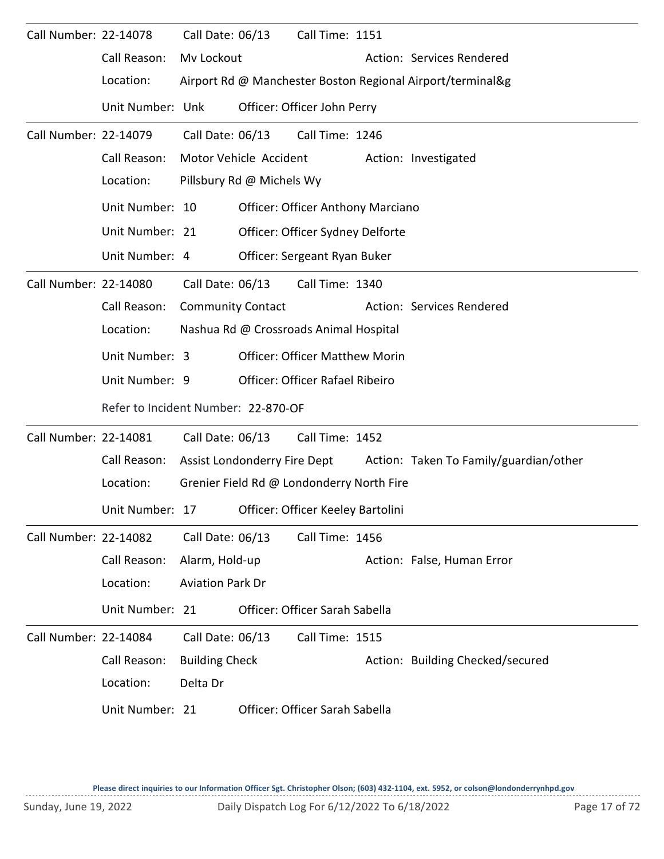| Call Number: 22-14078 |                                                   | Call Date: 06/13         |                           | Call Time: 1151                           |                                                                     |
|-----------------------|---------------------------------------------------|--------------------------|---------------------------|-------------------------------------------|---------------------------------------------------------------------|
|                       | Call Reason:                                      | Mv Lockout               |                           |                                           | Action: Services Rendered                                           |
|                       | Location:                                         |                          |                           |                                           | Airport Rd @ Manchester Boston Regional Airport/terminal&g          |
|                       | Unit Number: Unk                                  |                          |                           | Officer: Officer John Perry               |                                                                     |
| Call Number: 22-14079 |                                                   | Call Date: 06/13         |                           | Call Time: 1246                           |                                                                     |
|                       | Call Reason:                                      | Motor Vehicle Accident   |                           |                                           | Action: Investigated                                                |
|                       | Location:                                         |                          | Pillsbury Rd @ Michels Wy |                                           |                                                                     |
|                       | Unit Number: 10                                   |                          |                           | <b>Officer: Officer Anthony Marciano</b>  |                                                                     |
|                       | Unit Number: 21                                   |                          |                           | Officer: Officer Sydney Delforte          |                                                                     |
|                       | Unit Number: 4                                    |                          |                           | Officer: Sergeant Ryan Buker              |                                                                     |
| Call Number: 22-14080 |                                                   |                          | Call Date: 06/13          | Call Time: 1340                           |                                                                     |
|                       | Call Reason:                                      | <b>Community Contact</b> |                           |                                           | Action: Services Rendered                                           |
|                       | Location:                                         |                          |                           | Nashua Rd @ Crossroads Animal Hospital    |                                                                     |
|                       | Unit Number: 3                                    |                          |                           | <b>Officer: Officer Matthew Morin</b>     |                                                                     |
|                       | Unit Number: 9                                    |                          |                           | <b>Officer: Officer Rafael Ribeiro</b>    |                                                                     |
|                       | Refer to Incident Number: 22-870-OF               |                          |                           |                                           |                                                                     |
| Call Number: 22-14081 |                                                   |                          | Call Date: 06/13          | Call Time: 1452                           |                                                                     |
|                       | Call Reason:                                      |                          |                           |                                           | Assist Londonderry Fire Dept Action: Taken To Family/guardian/other |
|                       | Location:                                         |                          |                           | Grenier Field Rd @ Londonderry North Fire |                                                                     |
|                       | Unit Number: 17 Officer: Officer Keeley Bartolini |                          |                           |                                           |                                                                     |
| Call Number: 22-14082 |                                                   | Call Date: 06/13         |                           | Call Time: 1456                           |                                                                     |
|                       | Call Reason:                                      | Alarm, Hold-up           |                           |                                           | Action: False, Human Error                                          |
|                       | Location:                                         | <b>Aviation Park Dr</b>  |                           |                                           |                                                                     |
|                       | Unit Number: 21                                   |                          |                           | Officer: Officer Sarah Sabella            |                                                                     |
| Call Number: 22-14084 |                                                   | Call Date: 06/13         |                           | Call Time: 1515                           |                                                                     |
|                       | Call Reason:                                      | <b>Building Check</b>    |                           |                                           | Action: Building Checked/secured                                    |
|                       | Location:                                         | Delta Dr                 |                           |                                           |                                                                     |
|                       | Unit Number: 21                                   |                          |                           | Officer: Officer Sarah Sabella            |                                                                     |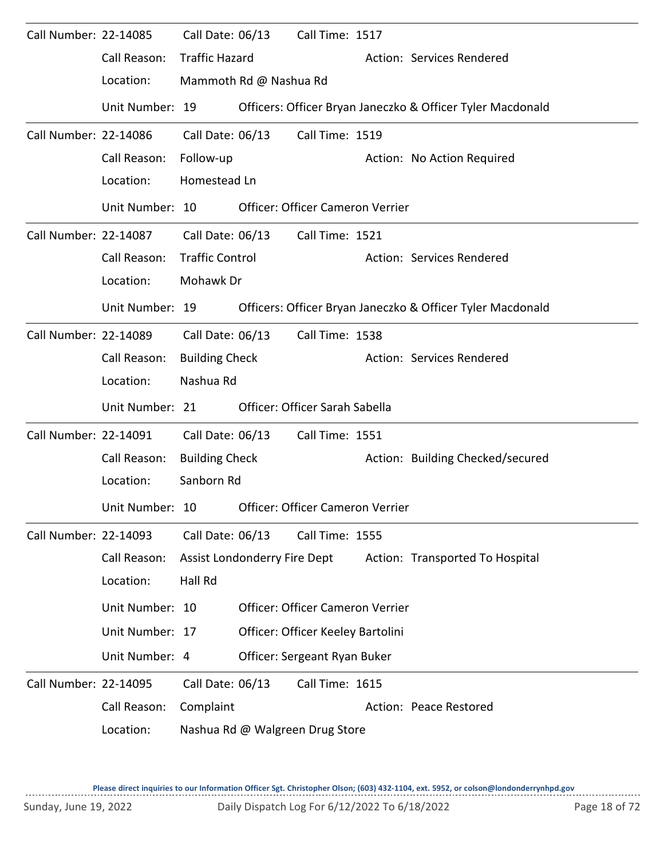| Call Number: 22-14085 |                 | Call Date: 06/13       | Call Time: 1517                   |                                                            |
|-----------------------|-----------------|------------------------|-----------------------------------|------------------------------------------------------------|
|                       | Call Reason:    | <b>Traffic Hazard</b>  |                                   | Action: Services Rendered                                  |
|                       | Location:       | Mammoth Rd @ Nashua Rd |                                   |                                                            |
|                       | Unit Number: 19 |                        |                                   | Officers: Officer Bryan Janeczko & Officer Tyler Macdonald |
| Call Number: 22-14086 |                 | Call Date: 06/13       | Call Time: 1519                   |                                                            |
|                       | Call Reason:    | Follow-up              |                                   | Action: No Action Required                                 |
|                       | Location:       | Homestead Ln           |                                   |                                                            |
|                       | Unit Number: 10 |                        | Officer: Officer Cameron Verrier  |                                                            |
| Call Number: 22-14087 |                 | Call Date: 06/13       | Call Time: 1521                   |                                                            |
|                       | Call Reason:    | <b>Traffic Control</b> |                                   | Action: Services Rendered                                  |
|                       | Location:       | Mohawk Dr              |                                   |                                                            |
|                       | Unit Number: 19 |                        |                                   | Officers: Officer Bryan Janeczko & Officer Tyler Macdonald |
| Call Number: 22-14089 |                 | Call Date: 06/13       | Call Time: 1538                   |                                                            |
|                       | Call Reason:    | <b>Building Check</b>  |                                   | Action: Services Rendered                                  |
|                       | Location:       | Nashua Rd              |                                   |                                                            |
|                       | Unit Number: 21 |                        | Officer: Officer Sarah Sabella    |                                                            |
| Call Number: 22-14091 |                 | Call Date: 06/13       | Call Time: 1551                   |                                                            |
|                       | Call Reason:    | <b>Building Check</b>  |                                   | Action: Building Checked/secured                           |
|                       | Location:       | Sanborn Rd             |                                   |                                                            |
|                       | Unit Number: 10 |                        | Officer: Officer Cameron Verrier  |                                                            |
| Call Number: 22-14093 |                 | Call Date: 06/13       | Call Time: 1555                   |                                                            |
|                       | Call Reason:    |                        | Assist Londonderry Fire Dept      | Action: Transported To Hospital                            |
|                       | Location:       | Hall Rd                |                                   |                                                            |
|                       | Unit Number: 10 |                        | Officer: Officer Cameron Verrier  |                                                            |
|                       | Unit Number: 17 |                        | Officer: Officer Keeley Bartolini |                                                            |
|                       | Unit Number: 4  |                        | Officer: Sergeant Ryan Buker      |                                                            |
| Call Number: 22-14095 |                 | Call Date: 06/13       | Call Time: 1615                   |                                                            |
|                       | Call Reason:    | Complaint              |                                   | Action: Peace Restored                                     |
|                       | Location:       |                        | Nashua Rd @ Walgreen Drug Store   |                                                            |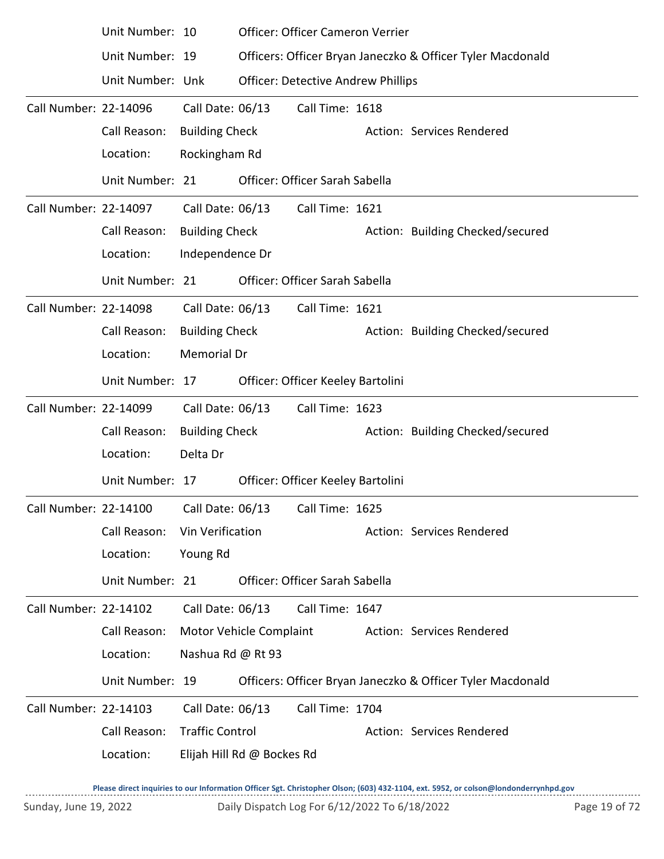|                       | Unit Number: 10                                              |                        |                            | Officer: Officer Cameron Verrier          |                                                            |
|-----------------------|--------------------------------------------------------------|------------------------|----------------------------|-------------------------------------------|------------------------------------------------------------|
|                       | Unit Number: 19                                              |                        |                            |                                           | Officers: Officer Bryan Janeczko & Officer Tyler Macdonald |
|                       | Unit Number: Unk                                             |                        |                            | <b>Officer: Detective Andrew Phillips</b> |                                                            |
| Call Number: 22-14096 |                                                              | Call Date: 06/13       |                            | Call Time: 1618                           |                                                            |
|                       | Call Reason:                                                 | <b>Building Check</b>  |                            |                                           | Action: Services Rendered                                  |
|                       | Location:                                                    | Rockingham Rd          |                            |                                           |                                                            |
|                       | Unit Number: 21                                              |                        |                            | Officer: Officer Sarah Sabella            |                                                            |
| Call Number: 22-14097 |                                                              | Call Date: 06/13       |                            | Call Time: 1621                           |                                                            |
|                       | Call Reason:                                                 | <b>Building Check</b>  |                            |                                           | Action: Building Checked/secured                           |
|                       | Location:                                                    | Independence Dr        |                            |                                           |                                                            |
|                       | Unit Number: 21                                              |                        |                            | Officer: Officer Sarah Sabella            |                                                            |
| Call Number: 22-14098 |                                                              | Call Date: 06/13       |                            | Call Time: 1621                           |                                                            |
|                       | Call Reason:                                                 | <b>Building Check</b>  |                            |                                           | Action: Building Checked/secured                           |
|                       | Location:                                                    | <b>Memorial Dr</b>     |                            |                                           |                                                            |
|                       | Unit Number: 17                                              |                        |                            | Officer: Officer Keeley Bartolini         |                                                            |
| Call Number: 22-14099 |                                                              | Call Date: 06/13       |                            | Call Time: 1623                           |                                                            |
|                       | Call Reason:                                                 | <b>Building Check</b>  |                            |                                           | Action: Building Checked/secured                           |
|                       | Location:                                                    | Delta Dr               |                            |                                           |                                                            |
|                       | Unit Number: 17                                              |                        |                            | Officer: Officer Keeley Bartolini         |                                                            |
|                       | Call Number: 22-14100    Call Date: 06/13    Call Time: 1625 |                        |                            |                                           |                                                            |
|                       | Call Reason:                                                 | Vin Verification       |                            |                                           | Action: Services Rendered                                  |
|                       | Location:                                                    | Young Rd               |                            |                                           |                                                            |
|                       | Unit Number: 21                                              |                        |                            | Officer: Officer Sarah Sabella            |                                                            |
| Call Number: 22-14102 |                                                              | Call Date: 06/13       |                            | Call Time: 1647                           |                                                            |
|                       | Call Reason:                                                 |                        | Motor Vehicle Complaint    |                                           | Action: Services Rendered                                  |
|                       | Location:                                                    | Nashua Rd @ Rt 93      |                            |                                           |                                                            |
|                       | Unit Number: 19                                              |                        |                            |                                           | Officers: Officer Bryan Janeczko & Officer Tyler Macdonald |
| Call Number: 22-14103 |                                                              | Call Date: 06/13       |                            | Call Time: 1704                           |                                                            |
|                       | Call Reason:                                                 | <b>Traffic Control</b> |                            |                                           | Action: Services Rendered                                  |
|                       | Location:                                                    |                        | Elijah Hill Rd @ Bockes Rd |                                           |                                                            |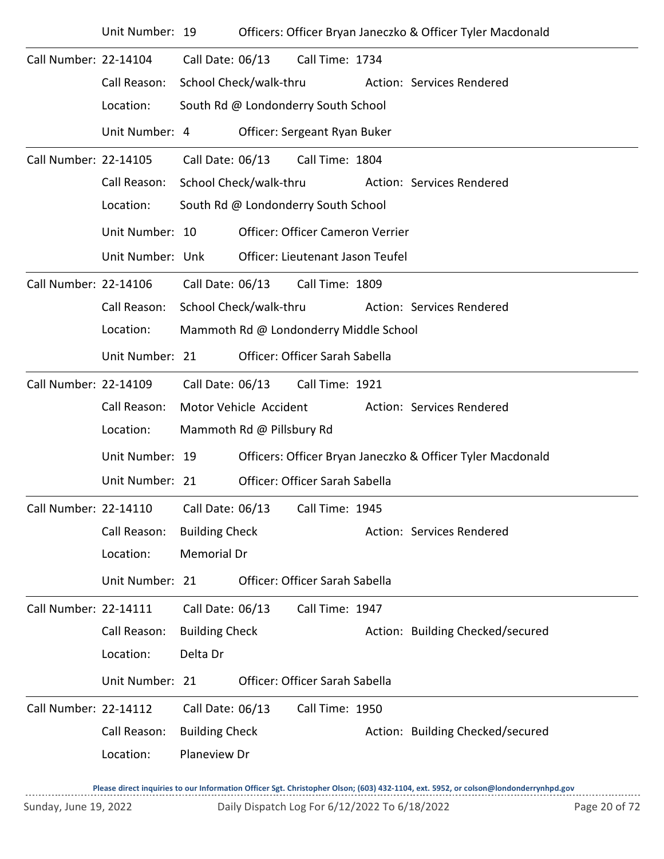|                       | Unit Number: 19  |                        |                                     |                                        |  | Officers: Officer Bryan Janeczko & Officer Tyler Macdonald |  |  |  |  |
|-----------------------|------------------|------------------------|-------------------------------------|----------------------------------------|--|------------------------------------------------------------|--|--|--|--|
| Call Number: 22-14104 |                  | Call Date: 06/13       |                                     | Call Time: 1734                        |  |                                                            |  |  |  |  |
|                       | Call Reason:     | School Check/walk-thru |                                     |                                        |  | Action: Services Rendered                                  |  |  |  |  |
|                       | Location:        |                        |                                     | South Rd @ Londonderry South School    |  |                                                            |  |  |  |  |
|                       | Unit Number: 4   |                        |                                     | Officer: Sergeant Ryan Buker           |  |                                                            |  |  |  |  |
| Call Number: 22-14105 |                  | Call Date: 06/13       |                                     | Call Time: 1804                        |  |                                                            |  |  |  |  |
|                       | Call Reason:     |                        | School Check/walk-thru              |                                        |  | Action: Services Rendered                                  |  |  |  |  |
|                       | Location:        |                        | South Rd @ Londonderry South School |                                        |  |                                                            |  |  |  |  |
|                       | Unit Number: 10  |                        |                                     | Officer: Officer Cameron Verrier       |  |                                                            |  |  |  |  |
|                       | Unit Number: Unk |                        |                                     | Officer: Lieutenant Jason Teufel       |  |                                                            |  |  |  |  |
| Call Number: 22-14106 |                  | Call Date: 06/13       |                                     | Call Time: 1809                        |  |                                                            |  |  |  |  |
|                       | Call Reason:     |                        | School Check/walk-thru              |                                        |  | Action: Services Rendered                                  |  |  |  |  |
|                       | Location:        |                        |                                     | Mammoth Rd @ Londonderry Middle School |  |                                                            |  |  |  |  |
|                       | Unit Number: 21  |                        |                                     | Officer: Officer Sarah Sabella         |  |                                                            |  |  |  |  |
| Call Number: 22-14109 |                  | Call Date: 06/13       |                                     | Call Time: 1921                        |  |                                                            |  |  |  |  |
|                       | Call Reason:     |                        | Motor Vehicle Accident              |                                        |  | Action: Services Rendered                                  |  |  |  |  |
|                       | Location:        |                        | Mammoth Rd @ Pillsbury Rd           |                                        |  |                                                            |  |  |  |  |
|                       | Unit Number: 19  |                        |                                     |                                        |  | Officers: Officer Bryan Janeczko & Officer Tyler Macdonald |  |  |  |  |
|                       | Unit Number: 21  |                        |                                     | Officer: Officer Sarah Sabella         |  |                                                            |  |  |  |  |
| Call Number: 22-14110 |                  | Call Date: 06/13       |                                     | Call Time: 1945                        |  |                                                            |  |  |  |  |
|                       | Call Reason:     | <b>Building Check</b>  |                                     |                                        |  | Action: Services Rendered                                  |  |  |  |  |
|                       | Location:        | <b>Memorial Dr</b>     |                                     |                                        |  |                                                            |  |  |  |  |
|                       | Unit Number: 21  |                        |                                     | Officer: Officer Sarah Sabella         |  |                                                            |  |  |  |  |
| Call Number: 22-14111 |                  | Call Date: 06/13       |                                     | Call Time: 1947                        |  |                                                            |  |  |  |  |
|                       | Call Reason:     | <b>Building Check</b>  |                                     |                                        |  | Action: Building Checked/secured                           |  |  |  |  |
|                       | Location:        | Delta Dr               |                                     |                                        |  |                                                            |  |  |  |  |
|                       | Unit Number: 21  |                        |                                     | Officer: Officer Sarah Sabella         |  |                                                            |  |  |  |  |
| Call Number: 22-14112 |                  | Call Date: 06/13       |                                     | Call Time: 1950                        |  |                                                            |  |  |  |  |
|                       | Call Reason:     | <b>Building Check</b>  |                                     |                                        |  | Action: Building Checked/secured                           |  |  |  |  |
|                       | Location:        | Planeview Dr           |                                     |                                        |  |                                                            |  |  |  |  |
|                       |                  |                        |                                     |                                        |  |                                                            |  |  |  |  |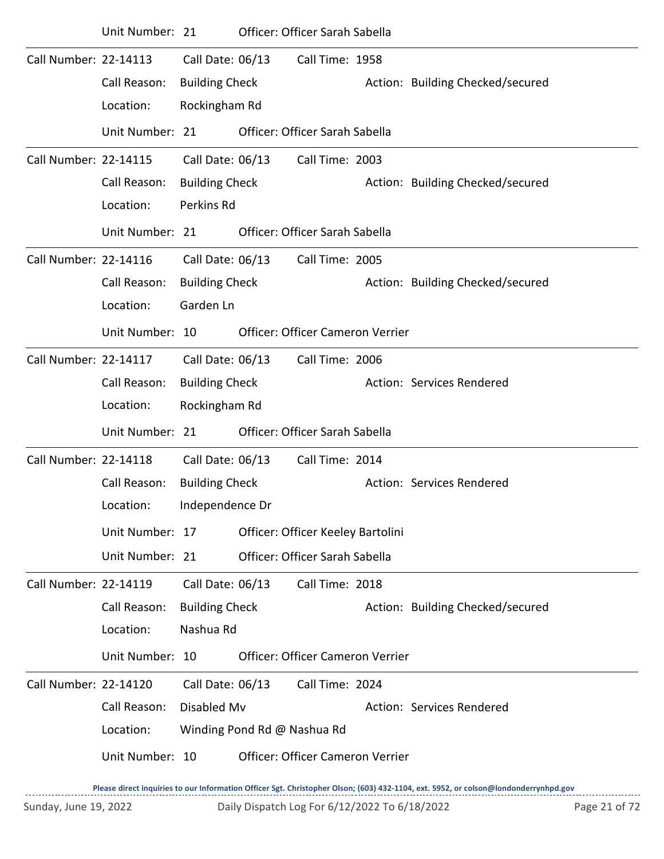|                       | Unit Number: 21 |                       |                             | Officer: Officer Sarah Sabella          |                                  |
|-----------------------|-----------------|-----------------------|-----------------------------|-----------------------------------------|----------------------------------|
| Call Number: 22-14113 |                 | Call Date: 06/13      |                             | Call Time: 1958                         |                                  |
|                       | Call Reason:    | <b>Building Check</b> |                             |                                         | Action: Building Checked/secured |
|                       | Location:       | Rockingham Rd         |                             |                                         |                                  |
|                       | Unit Number: 21 |                       |                             | Officer: Officer Sarah Sabella          |                                  |
| Call Number: 22-14115 |                 | Call Date: 06/13      |                             | Call Time: 2003                         |                                  |
|                       | Call Reason:    | <b>Building Check</b> |                             |                                         | Action: Building Checked/secured |
|                       | Location:       | Perkins Rd            |                             |                                         |                                  |
|                       | Unit Number: 21 |                       |                             | Officer: Officer Sarah Sabella          |                                  |
| Call Number: 22-14116 |                 | Call Date: 06/13      |                             | Call Time: 2005                         |                                  |
|                       | Call Reason:    | <b>Building Check</b> |                             |                                         | Action: Building Checked/secured |
|                       | Location:       | Garden Ln             |                             |                                         |                                  |
|                       | Unit Number: 10 |                       |                             | Officer: Officer Cameron Verrier        |                                  |
| Call Number: 22-14117 |                 | Call Date: 06/13      |                             | Call Time: 2006                         |                                  |
|                       | Call Reason:    | <b>Building Check</b> |                             |                                         | Action: Services Rendered        |
|                       | Location:       | Rockingham Rd         |                             |                                         |                                  |
|                       | Unit Number: 21 |                       |                             | Officer: Officer Sarah Sabella          |                                  |
| Call Number: 22-14118 |                 | Call Date: 06/13      |                             | Call Time: 2014                         |                                  |
|                       | Call Reason:    | <b>Building Check</b> |                             |                                         | Action: Services Rendered        |
|                       | Location:       | Independence Dr       |                             |                                         |                                  |
|                       | Unit Number: 17 |                       |                             | Officer: Officer Keeley Bartolini       |                                  |
|                       | Unit Number: 21 |                       |                             | Officer: Officer Sarah Sabella          |                                  |
| Call Number: 22-14119 |                 | Call Date: 06/13      |                             | Call Time: 2018                         |                                  |
|                       | Call Reason:    | <b>Building Check</b> |                             |                                         | Action: Building Checked/secured |
|                       | Location:       | Nashua Rd             |                             |                                         |                                  |
|                       | Unit Number: 10 |                       |                             | <b>Officer: Officer Cameron Verrier</b> |                                  |
| Call Number: 22-14120 |                 | Call Date: 06/13      |                             | Call Time: 2024                         |                                  |
|                       | Call Reason:    | Disabled Mv           |                             |                                         | Action: Services Rendered        |
|                       | Location:       |                       | Winding Pond Rd @ Nashua Rd |                                         |                                  |
|                       | Unit Number: 10 |                       |                             | Officer: Officer Cameron Verrier        |                                  |
|                       |                 |                       |                             |                                         |                                  |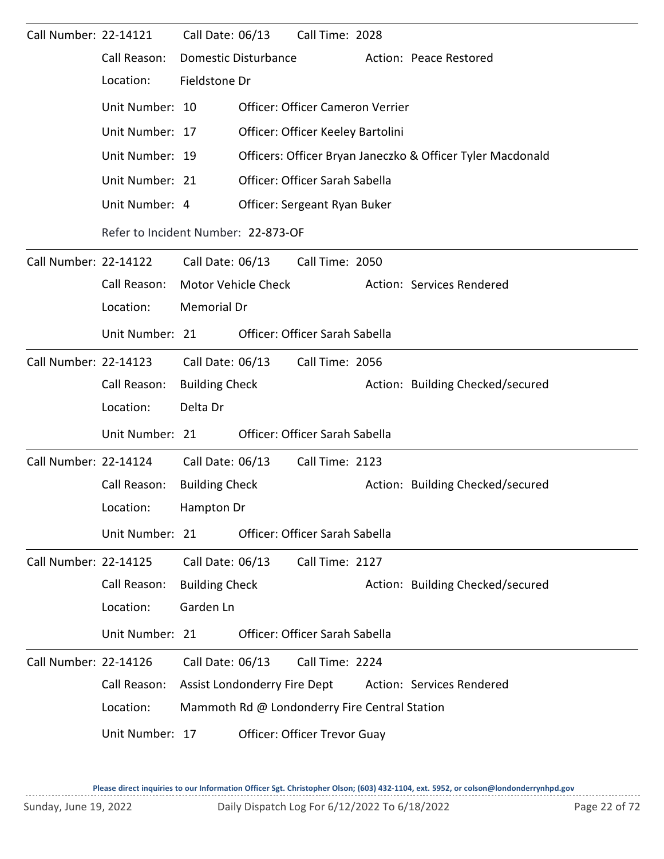| Call Number: 22-14121        |                 | Call Date: 06/13             |                                     | Call Time: 2028                               |  |                                                            |  |  |  |  |
|------------------------------|-----------------|------------------------------|-------------------------------------|-----------------------------------------------|--|------------------------------------------------------------|--|--|--|--|
|                              | Call Reason:    |                              | Domestic Disturbance                |                                               |  | Action: Peace Restored                                     |  |  |  |  |
|                              | Location:       | Fieldstone Dr                |                                     |                                               |  |                                                            |  |  |  |  |
|                              | Unit Number: 10 |                              |                                     | Officer: Officer Cameron Verrier              |  |                                                            |  |  |  |  |
|                              | Unit Number: 17 |                              |                                     | Officer: Officer Keeley Bartolini             |  |                                                            |  |  |  |  |
|                              | Unit Number: 19 |                              |                                     |                                               |  | Officers: Officer Bryan Janeczko & Officer Tyler Macdonald |  |  |  |  |
|                              | Unit Number: 21 |                              |                                     | Officer: Officer Sarah Sabella                |  |                                                            |  |  |  |  |
|                              | Unit Number: 4  |                              |                                     | Officer: Sergeant Ryan Buker                  |  |                                                            |  |  |  |  |
|                              |                 |                              | Refer to Incident Number: 22-873-OF |                                               |  |                                                            |  |  |  |  |
| <b>Call Number: 22-14122</b> |                 | Call Date: 06/13             |                                     | Call Time: 2050                               |  |                                                            |  |  |  |  |
|                              | Call Reason:    |                              | <b>Motor Vehicle Check</b>          |                                               |  | Action: Services Rendered                                  |  |  |  |  |
|                              | Location:       |                              | Memorial Dr                         |                                               |  |                                                            |  |  |  |  |
|                              | Unit Number: 21 |                              |                                     | Officer: Officer Sarah Sabella                |  |                                                            |  |  |  |  |
| Call Number: 22-14123        |                 | Call Date: 06/13             |                                     | Call Time: 2056                               |  |                                                            |  |  |  |  |
|                              | Call Reason:    | <b>Building Check</b>        |                                     |                                               |  | Action: Building Checked/secured                           |  |  |  |  |
|                              | Location:       | Delta Dr                     |                                     |                                               |  |                                                            |  |  |  |  |
|                              | Unit Number: 21 |                              |                                     | Officer: Officer Sarah Sabella                |  |                                                            |  |  |  |  |
| Call Number: 22-14124        |                 | Call Date: 06/13             |                                     | Call Time: 2123                               |  |                                                            |  |  |  |  |
|                              | Call Reason:    | <b>Building Check</b>        |                                     |                                               |  | Action: Building Checked/secured                           |  |  |  |  |
|                              | Location:       | Hampton Dr                   |                                     |                                               |  |                                                            |  |  |  |  |
|                              | Unit Number: 21 |                              |                                     | Officer: Officer Sarah Sabella                |  |                                                            |  |  |  |  |
| <b>Call Number: 22-14125</b> |                 | Call Date: 06/13             |                                     | Call Time: 2127                               |  |                                                            |  |  |  |  |
|                              | Call Reason:    | <b>Building Check</b>        |                                     |                                               |  | Action: Building Checked/secured                           |  |  |  |  |
|                              | Location:       | Garden Ln                    |                                     |                                               |  |                                                            |  |  |  |  |
|                              | Unit Number: 21 |                              |                                     | Officer: Officer Sarah Sabella                |  |                                                            |  |  |  |  |
| Call Number: 22-14126        |                 | Call Date: 06/13             |                                     | Call Time: 2224                               |  |                                                            |  |  |  |  |
|                              | Call Reason:    | Assist Londonderry Fire Dept |                                     |                                               |  | Action: Services Rendered                                  |  |  |  |  |
|                              | Location:       |                              |                                     | Mammoth Rd @ Londonderry Fire Central Station |  |                                                            |  |  |  |  |
|                              | Unit Number: 17 |                              |                                     | Officer: Officer Trevor Guay                  |  |                                                            |  |  |  |  |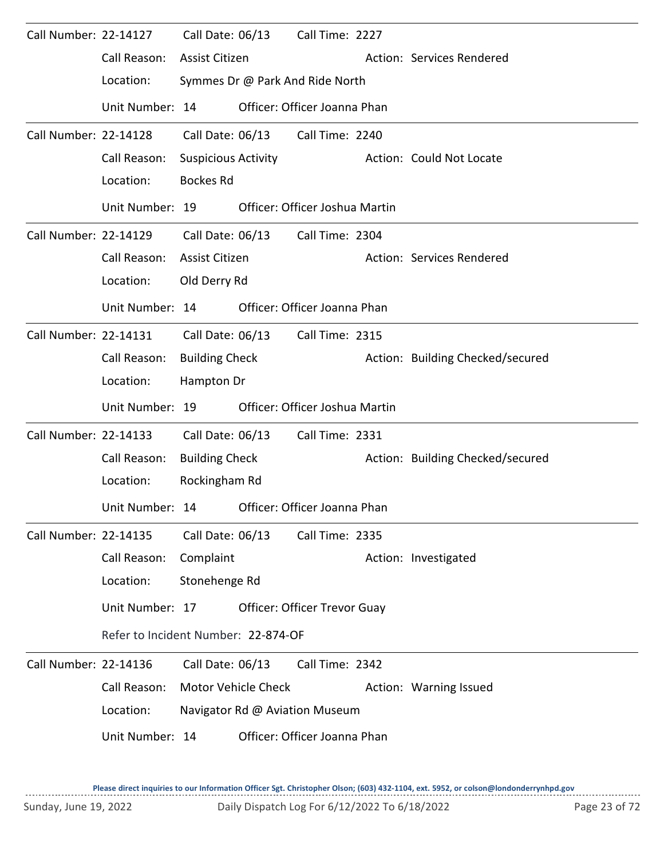| Call Number: 22-14127 |                                     | Call Date: 06/13           |                     | Call Time: 2227                     |                                  |
|-----------------------|-------------------------------------|----------------------------|---------------------|-------------------------------------|----------------------------------|
|                       | Call Reason:                        | Assist Citizen             |                     |                                     | Action: Services Rendered        |
|                       | Location:                           |                            |                     | Symmes Dr @ Park And Ride North     |                                  |
|                       | Unit Number: 14                     |                            |                     | Officer: Officer Joanna Phan        |                                  |
| Call Number: 22-14128 |                                     | Call Date: 06/13           |                     | Call Time: 2240                     |                                  |
|                       | Call Reason:                        | <b>Suspicious Activity</b> |                     |                                     | Action: Could Not Locate         |
|                       | Location:                           | <b>Bockes Rd</b>           |                     |                                     |                                  |
|                       | Unit Number: 19                     |                            |                     | Officer: Officer Joshua Martin      |                                  |
| Call Number: 22-14129 |                                     |                            | Call Date: 06/13    | Call Time: 2304                     |                                  |
|                       | Call Reason:                        | Assist Citizen             |                     |                                     | Action: Services Rendered        |
|                       | Location:                           | Old Derry Rd               |                     |                                     |                                  |
|                       | Unit Number: 14                     |                            |                     | Officer: Officer Joanna Phan        |                                  |
| Call Number: 22-14131 |                                     | Call Date: 06/13           |                     | Call Time: 2315                     |                                  |
|                       | Call Reason:                        | <b>Building Check</b>      |                     |                                     | Action: Building Checked/secured |
|                       | Location:                           | Hampton Dr                 |                     |                                     |                                  |
|                       | Unit Number: 19                     |                            |                     | Officer: Officer Joshua Martin      |                                  |
| Call Number: 22-14133 |                                     | Call Date: 06/13           |                     | Call Time: 2331                     |                                  |
|                       | Call Reason:                        | <b>Building Check</b>      |                     |                                     | Action: Building Checked/secured |
|                       | Location:                           | Rockingham Rd              |                     |                                     |                                  |
|                       | Unit Number: 14                     |                            |                     | Officer: Officer Joanna Phan        |                                  |
| Call Number: 22-14135 |                                     | Call Date: 06/13           |                     | Call Time: 2335                     |                                  |
|                       | Call Reason:                        | Complaint                  |                     |                                     | Action: Investigated             |
|                       | Location:                           | Stonehenge Rd              |                     |                                     |                                  |
|                       | Unit Number: 17                     |                            |                     | <b>Officer: Officer Trevor Guay</b> |                                  |
|                       | Refer to Incident Number: 22-874-OF |                            |                     |                                     |                                  |
| Call Number: 22-14136 |                                     | Call Date: 06/13           |                     | Call Time: 2342                     |                                  |
|                       | Call Reason:                        |                            | Motor Vehicle Check |                                     | Action: Warning Issued           |
|                       | Location:                           |                            |                     | Navigator Rd @ Aviation Museum      |                                  |
|                       | Unit Number: 14                     |                            |                     | Officer: Officer Joanna Phan        |                                  |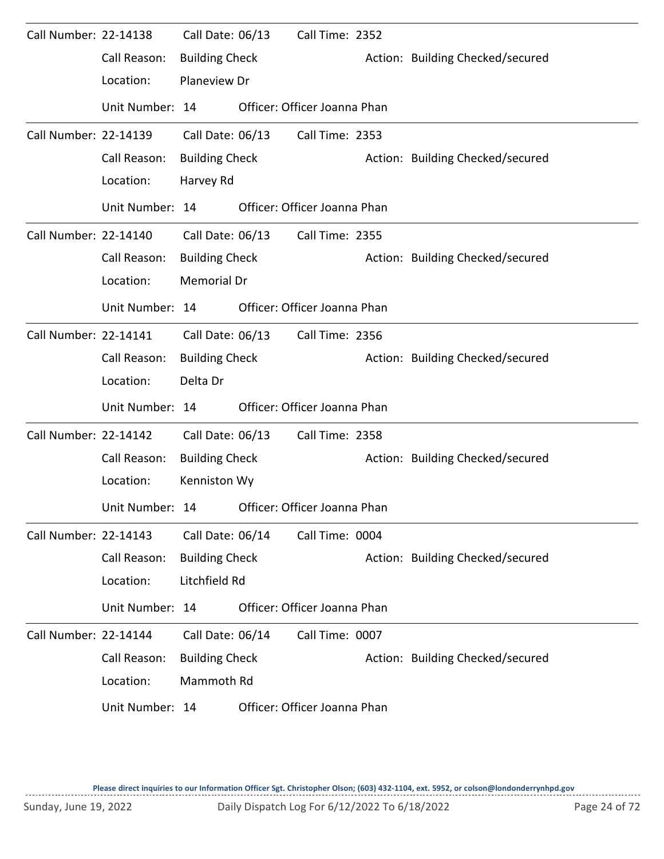| Call Number: 22-14138        |                 | Call Date: 06/13      | Call Time: 2352              |                                  |
|------------------------------|-----------------|-----------------------|------------------------------|----------------------------------|
|                              | Call Reason:    | <b>Building Check</b> |                              | Action: Building Checked/secured |
|                              | Location:       | Planeview Dr          |                              |                                  |
|                              | Unit Number: 14 |                       | Officer: Officer Joanna Phan |                                  |
| Call Number: 22-14139        |                 | Call Date: 06/13      | Call Time: 2353              |                                  |
|                              | Call Reason:    | <b>Building Check</b> |                              | Action: Building Checked/secured |
|                              | Location:       | Harvey Rd             |                              |                                  |
|                              | Unit Number: 14 |                       | Officer: Officer Joanna Phan |                                  |
| Call Number: 22-14140        |                 | Call Date: 06/13      | Call Time: 2355              |                                  |
|                              | Call Reason:    | <b>Building Check</b> |                              | Action: Building Checked/secured |
|                              | Location:       | Memorial Dr           |                              |                                  |
|                              | Unit Number: 14 |                       | Officer: Officer Joanna Phan |                                  |
| Call Number: 22-14141        |                 | Call Date: 06/13      | Call Time: 2356              |                                  |
|                              | Call Reason:    | <b>Building Check</b> |                              | Action: Building Checked/secured |
|                              | Location:       | Delta Dr              |                              |                                  |
|                              | Unit Number: 14 |                       | Officer: Officer Joanna Phan |                                  |
| <b>Call Number: 22-14142</b> |                 | Call Date: 06/13      | Call Time: 2358              |                                  |
|                              | Call Reason:    | <b>Building Check</b> |                              | Action: Building Checked/secured |
|                              | Location:       | Kenniston Wy          |                              |                                  |
|                              | Unit Number: 14 |                       | Officer: Officer Joanna Phan |                                  |
| Call Number: 22-14143        |                 | Call Date: 06/14      | Call Time: 0004              |                                  |
|                              | Call Reason:    | <b>Building Check</b> |                              | Action: Building Checked/secured |
|                              | Location:       | Litchfield Rd         |                              |                                  |
|                              | Unit Number: 14 |                       | Officer: Officer Joanna Phan |                                  |
| Call Number: 22-14144        |                 | Call Date: 06/14      | Call Time: 0007              |                                  |
|                              | Call Reason:    | <b>Building Check</b> |                              | Action: Building Checked/secured |
|                              | Location:       | Mammoth Rd            |                              |                                  |
|                              | Unit Number: 14 |                       | Officer: Officer Joanna Phan |                                  |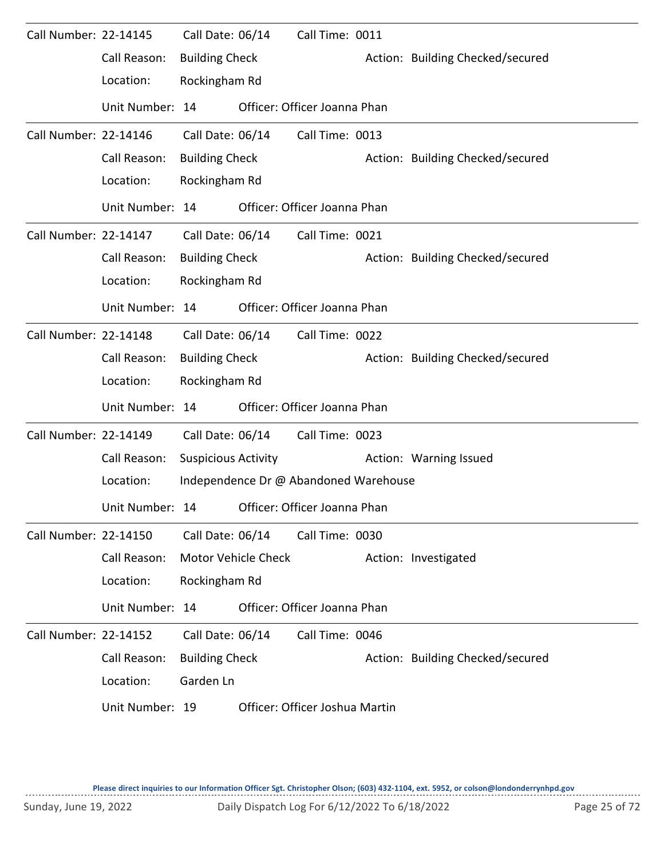| Call Number: 22-14145        |                 | Call Date: 06/14           |                     | Call Time: 0011                       |                                  |
|------------------------------|-----------------|----------------------------|---------------------|---------------------------------------|----------------------------------|
|                              | Call Reason:    | <b>Building Check</b>      |                     |                                       | Action: Building Checked/secured |
|                              | Location:       | Rockingham Rd              |                     |                                       |                                  |
|                              | Unit Number: 14 |                            |                     | Officer: Officer Joanna Phan          |                                  |
| Call Number: 22-14146        |                 | Call Date: 06/14           |                     | Call Time: 0013                       |                                  |
|                              | Call Reason:    | <b>Building Check</b>      |                     |                                       | Action: Building Checked/secured |
|                              | Location:       | Rockingham Rd              |                     |                                       |                                  |
|                              | Unit Number: 14 |                            |                     | Officer: Officer Joanna Phan          |                                  |
| Call Number: 22-14147        |                 | Call Date: 06/14           |                     | Call Time: 0021                       |                                  |
|                              | Call Reason:    | <b>Building Check</b>      |                     |                                       | Action: Building Checked/secured |
|                              | Location:       | Rockingham Rd              |                     |                                       |                                  |
|                              | Unit Number: 14 |                            |                     | Officer: Officer Joanna Phan          |                                  |
| Call Number: 22-14148        |                 | Call Date: 06/14           |                     | Call Time: 0022                       |                                  |
|                              | Call Reason:    | <b>Building Check</b>      |                     |                                       | Action: Building Checked/secured |
|                              | Location:       | Rockingham Rd              |                     |                                       |                                  |
|                              | Unit Number: 14 |                            |                     | Officer: Officer Joanna Phan          |                                  |
| Call Number: 22-14149        |                 | Call Date: 06/14           |                     | Call Time: 0023                       |                                  |
|                              | Call Reason:    | <b>Suspicious Activity</b> |                     |                                       | Action: Warning Issued           |
|                              | Location:       |                            |                     | Independence Dr @ Abandoned Warehouse |                                  |
|                              | Unit Number: 14 |                            |                     | Officer: Officer Joanna Phan          |                                  |
| Call Number: 22-14150        |                 | Call Date: 06/14           |                     | Call Time: 0030                       |                                  |
|                              | Call Reason:    |                            | Motor Vehicle Check |                                       | Action: Investigated             |
|                              | Location:       | Rockingham Rd              |                     |                                       |                                  |
|                              | Unit Number: 14 |                            |                     | Officer: Officer Joanna Phan          |                                  |
| <b>Call Number: 22-14152</b> |                 | Call Date: 06/14           |                     | Call Time: 0046                       |                                  |
|                              | Call Reason:    | <b>Building Check</b>      |                     |                                       | Action: Building Checked/secured |
|                              | Location:       | Garden Ln                  |                     |                                       |                                  |
|                              | Unit Number: 19 |                            |                     | Officer: Officer Joshua Martin        |                                  |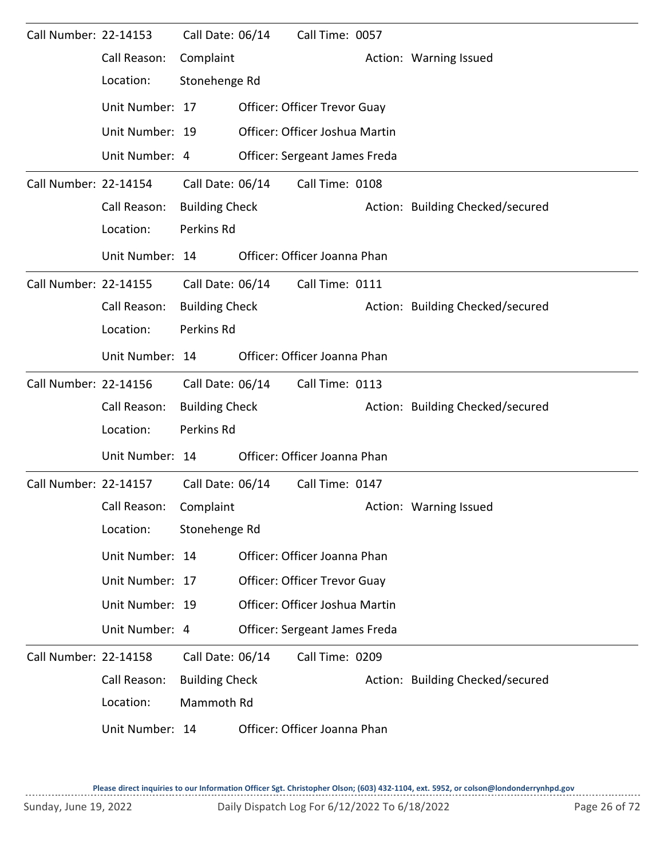| Call Number: 22-14153 |                 | Call Date: 06/14      | Call Time: 0057                     |                                  |
|-----------------------|-----------------|-----------------------|-------------------------------------|----------------------------------|
|                       | Call Reason:    | Complaint             |                                     | Action: Warning Issued           |
|                       | Location:       | Stonehenge Rd         |                                     |                                  |
|                       | Unit Number: 17 |                       | <b>Officer: Officer Trevor Guay</b> |                                  |
|                       | Unit Number: 19 |                       | Officer: Officer Joshua Martin      |                                  |
|                       | Unit Number: 4  |                       | Officer: Sergeant James Freda       |                                  |
| Call Number: 22-14154 |                 | Call Date: 06/14      | Call Time: 0108                     |                                  |
|                       | Call Reason:    | <b>Building Check</b> |                                     | Action: Building Checked/secured |
|                       | Location:       | Perkins Rd            |                                     |                                  |
|                       | Unit Number: 14 |                       | Officer: Officer Joanna Phan        |                                  |
| Call Number: 22-14155 |                 | Call Date: 06/14      | Call Time: 0111                     |                                  |
|                       | Call Reason:    | <b>Building Check</b> |                                     | Action: Building Checked/secured |
|                       | Location:       | Perkins Rd            |                                     |                                  |
|                       | Unit Number: 14 |                       | Officer: Officer Joanna Phan        |                                  |
| Call Number: 22-14156 |                 | Call Date: 06/14      | Call Time: 0113                     |                                  |
|                       | Call Reason:    | <b>Building Check</b> |                                     | Action: Building Checked/secured |
|                       | Location:       | Perkins Rd            |                                     |                                  |
|                       | Unit Number: 14 |                       | Officer: Officer Joanna Phan        |                                  |
| Call Number: 22-14157 |                 | Call Date: 06/14      | Call Time: 0147                     |                                  |
|                       | Call Reason:    | Complaint             |                                     | Action: Warning Issued           |
|                       | Location:       | Stonehenge Rd         |                                     |                                  |
|                       | Unit Number: 14 |                       | Officer: Officer Joanna Phan        |                                  |
|                       | Unit Number: 17 |                       | Officer: Officer Trevor Guay        |                                  |
|                       | Unit Number: 19 |                       | Officer: Officer Joshua Martin      |                                  |
|                       | Unit Number: 4  |                       | Officer: Sergeant James Freda       |                                  |
| Call Number: 22-14158 |                 | Call Date: 06/14      | Call Time: 0209                     |                                  |
|                       | Call Reason:    | <b>Building Check</b> |                                     | Action: Building Checked/secured |
|                       | Location:       | Mammoth Rd            |                                     |                                  |
|                       | Unit Number: 14 |                       | Officer: Officer Joanna Phan        |                                  |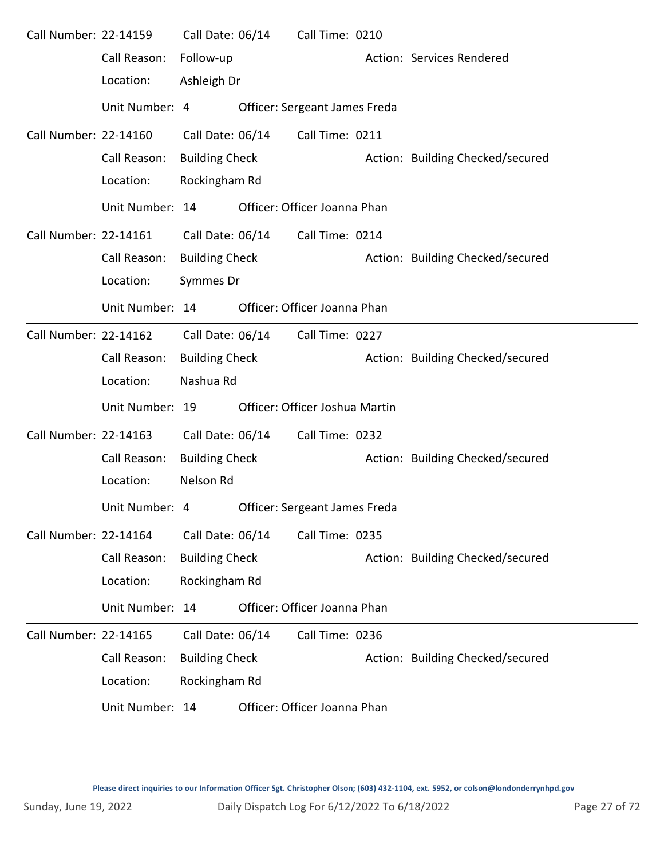| Call Number: 22-14159 |                 | Call Date: 06/14      | Call Time: 0210                |                                  |
|-----------------------|-----------------|-----------------------|--------------------------------|----------------------------------|
|                       | Call Reason:    | Follow-up             |                                | Action: Services Rendered        |
|                       | Location:       | Ashleigh Dr           |                                |                                  |
|                       | Unit Number: 4  |                       | Officer: Sergeant James Freda  |                                  |
| Call Number: 22-14160 |                 | Call Date: 06/14      | Call Time: 0211                |                                  |
|                       | Call Reason:    | <b>Building Check</b> |                                | Action: Building Checked/secured |
|                       | Location:       | Rockingham Rd         |                                |                                  |
|                       | Unit Number: 14 |                       | Officer: Officer Joanna Phan   |                                  |
| Call Number: 22-14161 |                 | Call Date: 06/14      | Call Time: 0214                |                                  |
|                       | Call Reason:    | <b>Building Check</b> |                                | Action: Building Checked/secured |
|                       | Location:       | Symmes Dr             |                                |                                  |
|                       | Unit Number: 14 |                       | Officer: Officer Joanna Phan   |                                  |
| Call Number: 22-14162 |                 | Call Date: 06/14      | Call Time: 0227                |                                  |
|                       | Call Reason:    | <b>Building Check</b> |                                | Action: Building Checked/secured |
|                       | Location:       | Nashua Rd             |                                |                                  |
|                       | Unit Number: 19 |                       | Officer: Officer Joshua Martin |                                  |
| Call Number: 22-14163 |                 | Call Date: 06/14      | Call Time: 0232                |                                  |
|                       | Call Reason:    | <b>Building Check</b> |                                | Action: Building Checked/secured |
|                       | Location:       | Nelson Rd             |                                |                                  |
|                       | Unit Number: 4  |                       | Officer: Sergeant James Freda  |                                  |
| Call Number: 22-14164 |                 | Call Date: 06/14      | Call Time: 0235                |                                  |
|                       | Call Reason:    | <b>Building Check</b> |                                | Action: Building Checked/secured |
|                       | Location:       | Rockingham Rd         |                                |                                  |
|                       | Unit Number: 14 |                       | Officer: Officer Joanna Phan   |                                  |
| Call Number: 22-14165 |                 | Call Date: 06/14      | Call Time: 0236                |                                  |
|                       | Call Reason:    | <b>Building Check</b> |                                | Action: Building Checked/secured |
|                       | Location:       | Rockingham Rd         |                                |                                  |
|                       | Unit Number: 14 |                       | Officer: Officer Joanna Phan   |                                  |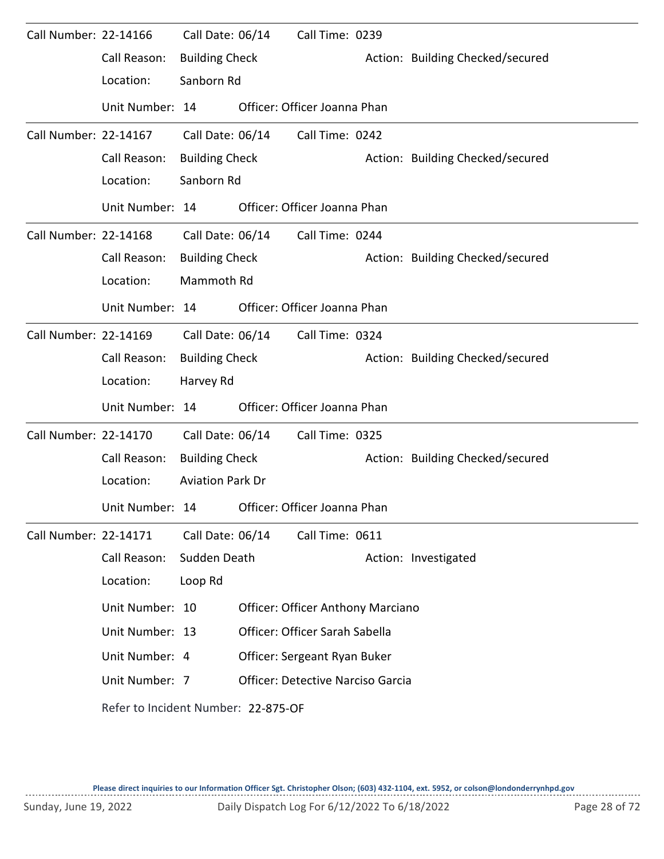| Call Number: 22-14166 |                                     | Call Date: 06/14        | Call Time: 0239                          |                                  |
|-----------------------|-------------------------------------|-------------------------|------------------------------------------|----------------------------------|
|                       | Call Reason:                        | <b>Building Check</b>   |                                          | Action: Building Checked/secured |
|                       | Location:                           | Sanborn Rd              |                                          |                                  |
|                       | Unit Number: 14                     |                         | Officer: Officer Joanna Phan             |                                  |
| Call Number: 22-14167 |                                     | Call Date: 06/14        | Call Time: 0242                          |                                  |
|                       | Call Reason:                        | <b>Building Check</b>   |                                          | Action: Building Checked/secured |
|                       | Location:                           | Sanborn Rd              |                                          |                                  |
|                       | Unit Number: 14                     |                         | Officer: Officer Joanna Phan             |                                  |
| Call Number: 22-14168 |                                     | Call Date: 06/14        | Call Time: 0244                          |                                  |
|                       | Call Reason:                        | <b>Building Check</b>   |                                          | Action: Building Checked/secured |
|                       | Location:                           | Mammoth Rd              |                                          |                                  |
|                       | Unit Number: 14                     |                         | Officer: Officer Joanna Phan             |                                  |
| Call Number: 22-14169 |                                     | Call Date: 06/14        | Call Time: 0324                          |                                  |
|                       | Call Reason:                        | <b>Building Check</b>   |                                          | Action: Building Checked/secured |
|                       | Location:                           | Harvey Rd               |                                          |                                  |
|                       | Unit Number: 14                     |                         | Officer: Officer Joanna Phan             |                                  |
| Call Number: 22-14170 |                                     | Call Date: 06/14        | Call Time: 0325                          |                                  |
|                       | Call Reason:                        | <b>Building Check</b>   |                                          | Action: Building Checked/secured |
|                       | Location:                           | <b>Aviation Park Dr</b> |                                          |                                  |
|                       | Unit Number: 14                     |                         | Officer: Officer Joanna Phan             |                                  |
| Call Number: 22-14171 |                                     | Call Date: 06/14        | Call Time: 0611                          |                                  |
|                       | Call Reason:                        | Sudden Death            |                                          | Action: Investigated             |
|                       | Location:                           | Loop Rd                 |                                          |                                  |
|                       | Unit Number: 10                     |                         | <b>Officer: Officer Anthony Marciano</b> |                                  |
|                       | Unit Number: 13                     |                         | Officer: Officer Sarah Sabella           |                                  |
|                       | Unit Number: 4                      |                         | Officer: Sergeant Ryan Buker             |                                  |
|                       | Unit Number: 7                      |                         | <b>Officer: Detective Narciso Garcia</b> |                                  |
|                       | Refer to Incident Number: 22-875-OF |                         |                                          |                                  |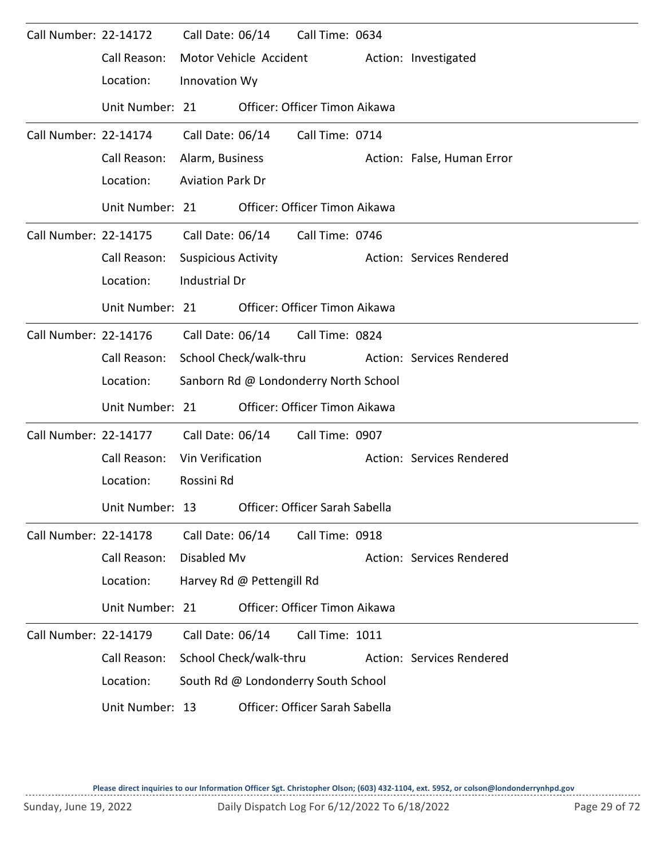| Call Number: 22-14172 |                 | Call Date: 06/14           |                           | Call Time: 0634                       |                            |
|-----------------------|-----------------|----------------------------|---------------------------|---------------------------------------|----------------------------|
|                       | Call Reason:    |                            | Motor Vehicle Accident    |                                       | Action: Investigated       |
|                       | Location:       | Innovation Wy              |                           |                                       |                            |
|                       | Unit Number: 21 |                            |                           | Officer: Officer Timon Aikawa         |                            |
| Call Number: 22-14174 |                 | Call Date: 06/14           |                           | Call Time: 0714                       |                            |
|                       | Call Reason:    | Alarm, Business            |                           |                                       | Action: False, Human Error |
|                       | Location:       | <b>Aviation Park Dr</b>    |                           |                                       |                            |
|                       | Unit Number: 21 |                            |                           | Officer: Officer Timon Aikawa         |                            |
| Call Number: 22-14175 |                 | Call Date: 06/14           |                           | Call Time: 0746                       |                            |
|                       | Call Reason:    | <b>Suspicious Activity</b> |                           |                                       | Action: Services Rendered  |
|                       | Location:       | Industrial Dr              |                           |                                       |                            |
|                       | Unit Number: 21 |                            |                           | Officer: Officer Timon Aikawa         |                            |
| Call Number: 22-14176 |                 | Call Date: 06/14           |                           | Call Time: 0824                       |                            |
|                       | Call Reason:    |                            | School Check/walk-thru    |                                       | Action: Services Rendered  |
|                       | Location:       |                            |                           | Sanborn Rd @ Londonderry North School |                            |
|                       | Unit Number: 21 |                            |                           | Officer: Officer Timon Aikawa         |                            |
| Call Number: 22-14177 |                 | Call Date: 06/14           |                           | Call Time: 0907                       |                            |
|                       | Call Reason:    | Vin Verification           |                           |                                       | Action: Services Rendered  |
|                       | Location:       | Rossini Rd                 |                           |                                       |                            |
|                       | Unit Number: 13 |                            |                           | Officer: Officer Sarah Sabella        |                            |
| Call Number: 22-14178 |                 | Call Date: 06/14           |                           | Call Time: 0918                       |                            |
|                       | Call Reason:    | Disabled Mv                |                           |                                       | Action: Services Rendered  |
|                       | Location:       |                            | Harvey Rd @ Pettengill Rd |                                       |                            |
|                       | Unit Number: 21 |                            |                           | Officer: Officer Timon Aikawa         |                            |
| Call Number: 22-14179 |                 | Call Date: 06/14           |                           | Call Time: 1011                       |                            |
|                       | Call Reason:    |                            | School Check/walk-thru    |                                       | Action: Services Rendered  |
|                       | Location:       |                            |                           | South Rd @ Londonderry South School   |                            |
|                       | Unit Number: 13 |                            |                           | Officer: Officer Sarah Sabella        |                            |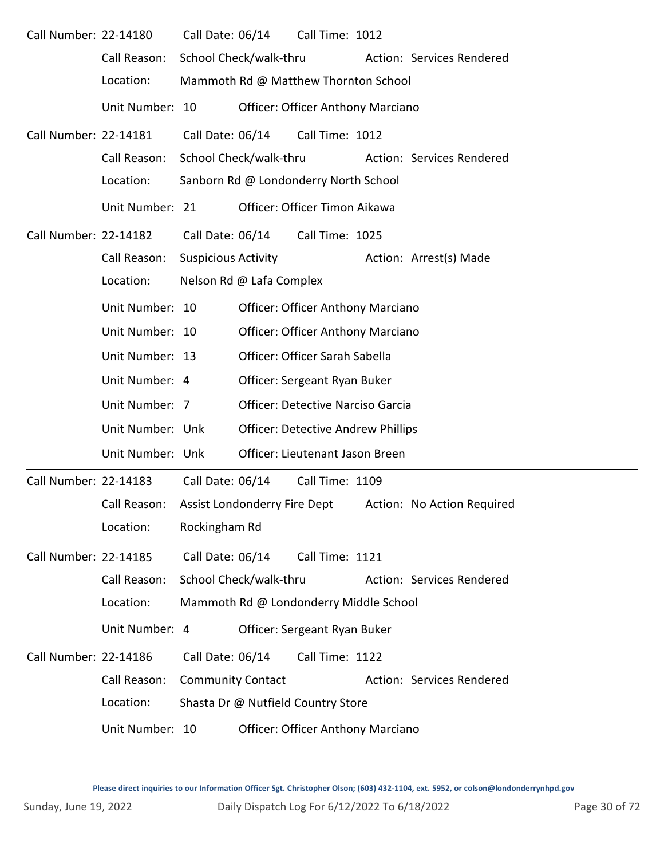| Call Number: 22-14180        |                                          | Call Date: 06/14           |                              | Call Time: 1012                           |  |                            |
|------------------------------|------------------------------------------|----------------------------|------------------------------|-------------------------------------------|--|----------------------------|
|                              | Call Reason:                             |                            | School Check/walk-thru       |                                           |  | Action: Services Rendered  |
|                              | Location:                                |                            |                              | Mammoth Rd @ Matthew Thornton School      |  |                            |
|                              | Unit Number: 10                          |                            |                              | <b>Officer: Officer Anthony Marciano</b>  |  |                            |
| Call Number: 22-14181        |                                          | Call Date: 06/14           |                              | Call Time: 1012                           |  |                            |
|                              | Call Reason:                             |                            | School Check/walk-thru       |                                           |  | Action: Services Rendered  |
|                              | Location:                                |                            |                              | Sanborn Rd @ Londonderry North School     |  |                            |
|                              | Unit Number: 21                          |                            |                              | Officer: Officer Timon Aikawa             |  |                            |
| <b>Call Number: 22-14182</b> |                                          | Call Date: 06/14           |                              | Call Time: 1025                           |  |                            |
|                              | Call Reason:                             | <b>Suspicious Activity</b> |                              |                                           |  | Action: Arrest(s) Made     |
|                              | Location:                                |                            | Nelson Rd @ Lafa Complex     |                                           |  |                            |
|                              | Unit Number: 10                          |                            |                              | <b>Officer: Officer Anthony Marciano</b>  |  |                            |
|                              | <b>Officer: Officer Anthony Marciano</b> |                            |                              |                                           |  |                            |
|                              | Unit Number: 13                          |                            |                              |                                           |  |                            |
|                              | Unit Number: 4                           |                            |                              | Officer: Sergeant Ryan Buker              |  |                            |
|                              | Unit Number: 7                           |                            |                              | <b>Officer: Detective Narciso Garcia</b>  |  |                            |
|                              | Unit Number: Unk                         |                            |                              | <b>Officer: Detective Andrew Phillips</b> |  |                            |
|                              | Unit Number: Unk                         |                            |                              | Officer: Lieutenant Jason Breen           |  |                            |
| Call Number: 22-14183        |                                          | Call Date: 06/14           |                              | Call Time: 1109                           |  |                            |
|                              | Call Reason:                             |                            | Assist Londonderry Fire Dept |                                           |  | Action: No Action Required |
|                              | Location:                                | Rockingham Rd              |                              |                                           |  |                            |
| Call Number: 22-14185        |                                          | Call Date: 06/14           |                              | Call Time: 1121                           |  |                            |
|                              | Call Reason:                             |                            | School Check/walk-thru       |                                           |  | Action: Services Rendered  |
|                              | Location:                                |                            |                              | Mammoth Rd @ Londonderry Middle School    |  |                            |
|                              | Unit Number: 4                           |                            |                              | Officer: Sergeant Ryan Buker              |  |                            |
| Call Number: 22-14186        |                                          | Call Date: 06/14           |                              | Call Time: 1122                           |  |                            |
|                              | Call Reason:                             | <b>Community Contact</b>   |                              |                                           |  | Action: Services Rendered  |
|                              | Location:                                |                            |                              | Shasta Dr @ Nutfield Country Store        |  |                            |
|                              | Unit Number: 10                          |                            |                              | <b>Officer: Officer Anthony Marciano</b>  |  |                            |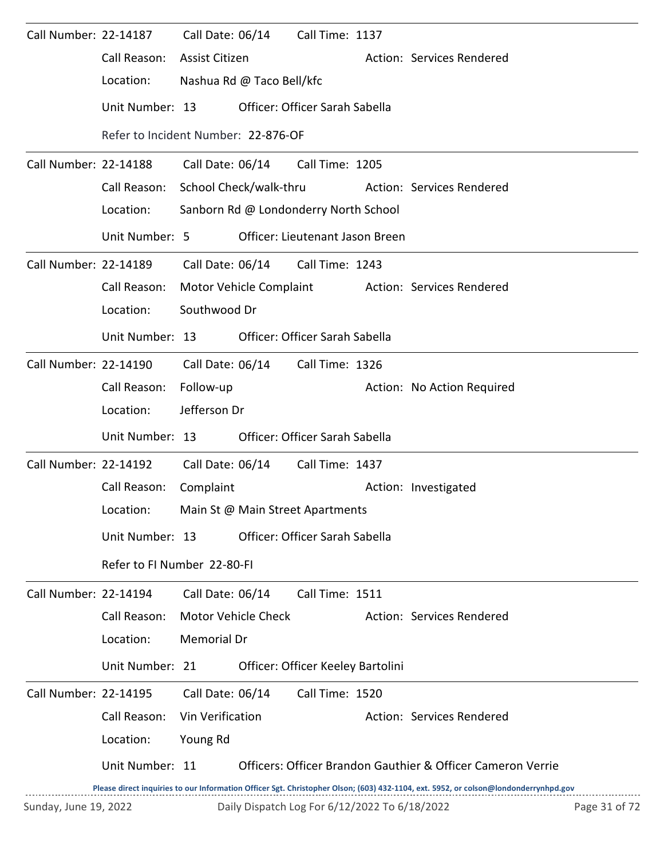| Call Number: 22-14187        |                                     |                           | Call Date: 06/14           | Call Time: 1137                               |                                                                                                                                     |               |
|------------------------------|-------------------------------------|---------------------------|----------------------------|-----------------------------------------------|-------------------------------------------------------------------------------------------------------------------------------------|---------------|
|                              | Call Reason:                        | <b>Assist Citizen</b>     |                            |                                               | Action: Services Rendered                                                                                                           |               |
|                              | Location:                           | Nashua Rd @ Taco Bell/kfc |                            |                                               |                                                                                                                                     |               |
|                              | Unit Number: 13                     |                           |                            | Officer: Officer Sarah Sabella                |                                                                                                                                     |               |
|                              | Refer to Incident Number: 22-876-OF |                           |                            |                                               |                                                                                                                                     |               |
| Call Number: 22-14188        |                                     | Call Date: 06/14          |                            | Call Time: 1205                               |                                                                                                                                     |               |
|                              | Call Reason:                        | School Check/walk-thru    |                            |                                               | Action: Services Rendered                                                                                                           |               |
|                              | Location:                           |                           |                            | Sanborn Rd @ Londonderry North School         |                                                                                                                                     |               |
|                              | Unit Number: 5                      |                           |                            | Officer: Lieutenant Jason Breen               |                                                                                                                                     |               |
| Call Number: 22-14189        |                                     | Call Date: 06/14          |                            | Call Time: 1243                               |                                                                                                                                     |               |
|                              | Call Reason:                        | Motor Vehicle Complaint   |                            |                                               | Action: Services Rendered                                                                                                           |               |
|                              | Location:                           | Southwood Dr              |                            |                                               |                                                                                                                                     |               |
|                              | Unit Number: 13                     |                           |                            | Officer: Officer Sarah Sabella                |                                                                                                                                     |               |
| Call Number: 22-14190        |                                     |                           | Call Date: 06/14           | Call Time: 1326                               |                                                                                                                                     |               |
|                              | Call Reason:                        | Follow-up                 |                            |                                               | Action: No Action Required                                                                                                          |               |
|                              | Location:                           | Jefferson Dr              |                            |                                               |                                                                                                                                     |               |
|                              | Unit Number: 13                     |                           |                            | Officer: Officer Sarah Sabella                |                                                                                                                                     |               |
| <b>Call Number: 22-14192</b> |                                     |                           |                            | Call Date: 06/14 Call Time: 1437              |                                                                                                                                     |               |
|                              | Call Reason:                        | Complaint                 |                            |                                               | Action: Investigated                                                                                                                |               |
|                              | Location:                           |                           |                            | Main St @ Main Street Apartments              |                                                                                                                                     |               |
|                              | Unit Number: 13                     |                           |                            | Officer: Officer Sarah Sabella                |                                                                                                                                     |               |
|                              | Refer to FI Number 22-80-FI         |                           |                            |                                               |                                                                                                                                     |               |
| Call Number: 22-14194        |                                     | Call Date: 06/14          |                            | Call Time: 1511                               |                                                                                                                                     |               |
|                              | Call Reason:                        |                           | <b>Motor Vehicle Check</b> |                                               | Action: Services Rendered                                                                                                           |               |
|                              | Location:                           | Memorial Dr               |                            |                                               |                                                                                                                                     |               |
|                              | Unit Number: 21                     |                           |                            | Officer: Officer Keeley Bartolini             |                                                                                                                                     |               |
| <b>Call Number: 22-14195</b> |                                     | Call Date: 06/14          |                            | Call Time: 1520                               |                                                                                                                                     |               |
|                              | Call Reason:                        | Vin Verification          |                            |                                               | Action: Services Rendered                                                                                                           |               |
|                              | Location:                           | Young Rd                  |                            |                                               |                                                                                                                                     |               |
|                              | Unit Number: 11                     |                           |                            |                                               | Officers: Officer Brandon Gauthier & Officer Cameron Verrie                                                                         |               |
|                              |                                     |                           |                            |                                               | Please direct inquiries to our Information Officer Sgt. Christopher Olson; (603) 432-1104, ext. 5952, or colson@londonderrynhpd.gov |               |
| Sunday, June 19, 2022        |                                     |                           |                            | Daily Dispatch Log For 6/12/2022 To 6/18/2022 |                                                                                                                                     | Page 31 of 72 |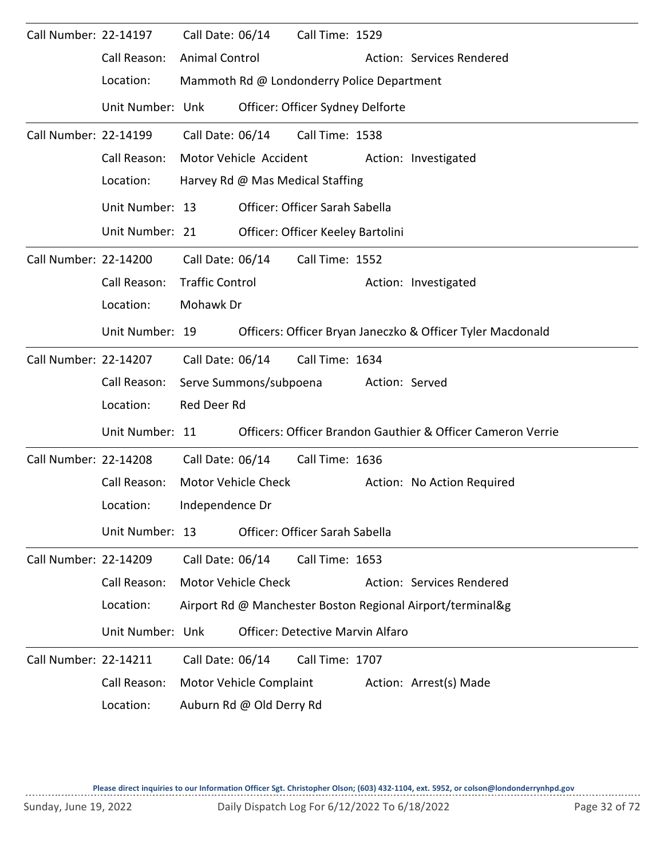| Call Number: 22-14197 |                  | Call Date: 06/14<br>Call Time: 1529                         |
|-----------------------|------------------|-------------------------------------------------------------|
|                       | Call Reason:     | <b>Animal Control</b><br>Action: Services Rendered          |
|                       | Location:        | Mammoth Rd @ Londonderry Police Department                  |
|                       | Unit Number: Unk | Officer: Officer Sydney Delforte                            |
| Call Number: 22-14199 |                  | Call Date: 06/14<br>Call Time: 1538                         |
|                       | Call Reason:     | Motor Vehicle Accident<br>Action: Investigated              |
|                       | Location:        | Harvey Rd @ Mas Medical Staffing                            |
|                       | Unit Number: 13  | Officer: Officer Sarah Sabella                              |
|                       | Unit Number: 21  | Officer: Officer Keeley Bartolini                           |
| Call Number: 22-14200 |                  | Call Date: 06/14<br>Call Time: 1552                         |
|                       | Call Reason:     | <b>Traffic Control</b><br>Action: Investigated              |
|                       | Location:        | Mohawk Dr                                                   |
|                       | Unit Number: 19  | Officers: Officer Bryan Janeczko & Officer Tyler Macdonald  |
| Call Number: 22-14207 |                  | Call Date: 06/14<br>Call Time: 1634                         |
|                       | Call Reason:     | Serve Summons/subpoena<br>Action: Served                    |
|                       | Location:        | Red Deer Rd                                                 |
|                       | Unit Number: 11  | Officers: Officer Brandon Gauthier & Officer Cameron Verrie |
| Call Number: 22-14208 |                  | Call Date: 06/14<br>Call Time: 1636                         |
|                       | Call Reason:     | Motor Vehicle Check<br>Action: No Action Required           |
|                       | Location:        | Independence Dr                                             |
|                       | Unit Number: 13  | Officer: Officer Sarah Sabella                              |
| Call Number: 22-14209 |                  | Call Date: 06/14<br>Call Time: 1653                         |
|                       | Call Reason:     | <b>Motor Vehicle Check</b><br>Action: Services Rendered     |
|                       | Location:        | Airport Rd @ Manchester Boston Regional Airport/terminal&g  |
|                       | Unit Number: Unk | <b>Officer: Detective Marvin Alfaro</b>                     |
| Call Number: 22-14211 |                  | Call Date: 06/14<br>Call Time: 1707                         |
|                       | Call Reason:     | Motor Vehicle Complaint<br>Action: Arrest(s) Made           |
|                       | Location:        | Auburn Rd @ Old Derry Rd                                    |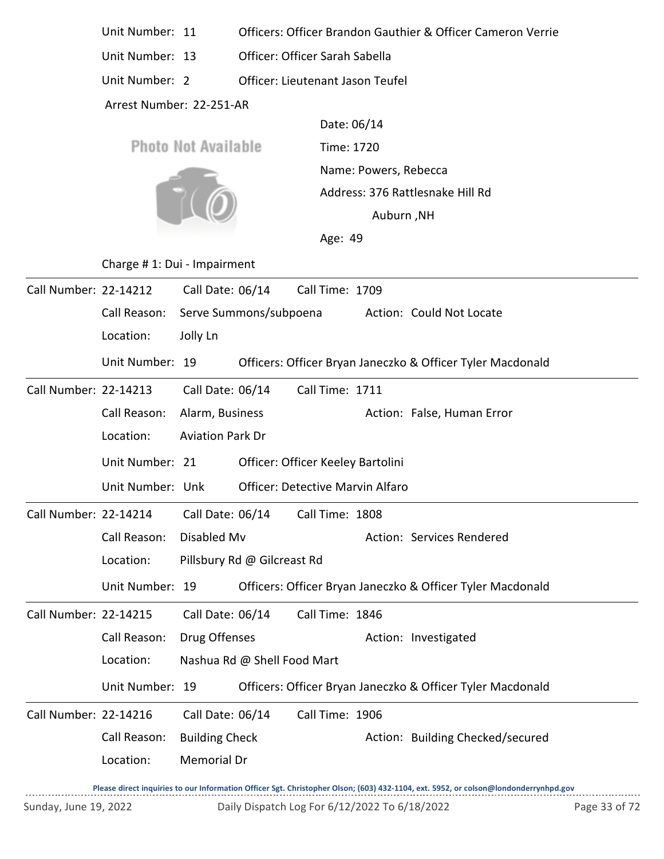| Unit Number: 11 |  | Officers: Officer Brandon Gauthier & Officer Cameron Verrie |  |  |
|-----------------|--|-------------------------------------------------------------|--|--|
|-----------------|--|-------------------------------------------------------------|--|--|

Unit Number: 13 Officer: Officer Sarah Sabella

Unit Number: 2 Officer: Lieutenant Jason Teufel

Arrest Number: 22-251-AR

**Photo Not Available** 



Time: 1720 Name: Powers, Rebecca Date: 06/14 Auburn ,NH Address: 376 Rattlesnake Hill Rd

Age: 49

Charge # 1: Dui - Impairment

| Call Number: 22-14212 |                  | Call Date: 06/14            | Call Time: 1709                         |                                                            |
|-----------------------|------------------|-----------------------------|-----------------------------------------|------------------------------------------------------------|
|                       | Call Reason:     | Serve Summons/subpoena      |                                         | Action: Could Not Locate                                   |
|                       | Location:        | Jolly Ln                    |                                         |                                                            |
|                       | Unit Number: 19  |                             |                                         | Officers: Officer Bryan Janeczko & Officer Tyler Macdonald |
| Call Number: 22-14213 |                  | Call Date: 06/14            | Call Time: 1711                         |                                                            |
|                       | Call Reason:     | Alarm, Business             |                                         | Action: False, Human Error                                 |
|                       | Location:        | <b>Aviation Park Dr</b>     |                                         |                                                            |
|                       | Unit Number: 21  |                             | Officer: Officer Keeley Bartolini       |                                                            |
|                       | Unit Number: Unk |                             | <b>Officer: Detective Marvin Alfaro</b> |                                                            |
| Call Number: 22-14214 |                  | Call Date: 06/14            | Call Time: 1808                         |                                                            |
|                       | Call Reason:     | Disabled Mv                 |                                         | Action: Services Rendered                                  |
|                       | Location:        | Pillsbury Rd @ Gilcreast Rd |                                         |                                                            |
|                       | Unit Number: 19  |                             |                                         | Officers: Officer Bryan Janeczko & Officer Tyler Macdonald |
| Call Number: 22-14215 |                  | Call Date: 06/14            | Call Time: 1846                         |                                                            |
|                       | Call Reason:     | Drug Offenses               |                                         | Action: Investigated                                       |
|                       | Location:        | Nashua Rd @ Shell Food Mart |                                         |                                                            |
|                       | Unit Number: 19  |                             |                                         | Officers: Officer Bryan Janeczko & Officer Tyler Macdonald |
| Call Number: 22-14216 |                  | Call Date: 06/14            | Call Time: 1906                         |                                                            |
|                       | Call Reason:     | <b>Building Check</b>       |                                         | Action: Building Checked/secured                           |
|                       | Location:        | <b>Memorial Dr</b>          |                                         |                                                            |
|                       |                  |                             |                                         |                                                            |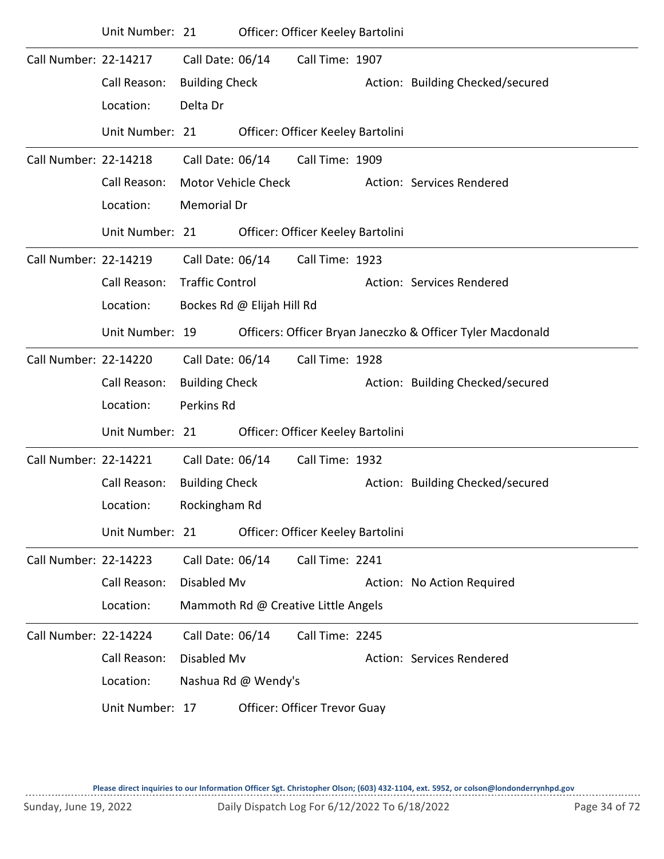|                       | Unit Number: 21 |                        |                            | Officer: Officer Keeley Bartolini   |                                                            |
|-----------------------|-----------------|------------------------|----------------------------|-------------------------------------|------------------------------------------------------------|
| Call Number: 22-14217 |                 | Call Date: 06/14       |                            | Call Time: 1907                     |                                                            |
|                       | Call Reason:    | <b>Building Check</b>  |                            |                                     | Action: Building Checked/secured                           |
|                       | Location:       | Delta Dr               |                            |                                     |                                                            |
|                       | Unit Number: 21 |                        |                            | Officer: Officer Keeley Bartolini   |                                                            |
| Call Number: 22-14218 |                 | Call Date: 06/14       |                            | Call Time: 1909                     |                                                            |
|                       | Call Reason:    |                        | Motor Vehicle Check        |                                     | Action: Services Rendered                                  |
|                       | Location:       | Memorial Dr            |                            |                                     |                                                            |
|                       | Unit Number: 21 |                        |                            | Officer: Officer Keeley Bartolini   |                                                            |
| Call Number: 22-14219 |                 | Call Date: 06/14       |                            | Call Time: 1923                     |                                                            |
|                       | Call Reason:    | <b>Traffic Control</b> |                            |                                     | Action: Services Rendered                                  |
|                       | Location:       |                        | Bockes Rd @ Elijah Hill Rd |                                     |                                                            |
|                       | Unit Number: 19 |                        |                            |                                     | Officers: Officer Bryan Janeczko & Officer Tyler Macdonald |
| Call Number: 22-14220 |                 | Call Date: 06/14       |                            | Call Time: 1928                     |                                                            |
|                       | Call Reason:    | <b>Building Check</b>  |                            |                                     | Action: Building Checked/secured                           |
|                       | Location:       | Perkins Rd             |                            |                                     |                                                            |
|                       | Unit Number: 21 |                        |                            | Officer: Officer Keeley Bartolini   |                                                            |
| Call Number: 22-14221 |                 | Call Date: 06/14       |                            | Call Time: 1932                     |                                                            |
|                       | Call Reason:    | <b>Building Check</b>  |                            |                                     | Action: Building Checked/secured                           |
|                       | Location:       | Rockingham Rd          |                            |                                     |                                                            |
|                       | Unit Number: 21 |                        |                            | Officer: Officer Keeley Bartolini   |                                                            |
| Call Number: 22-14223 |                 | Call Date: 06/14       |                            | Call Time: 2241                     |                                                            |
|                       | Call Reason:    | Disabled Mv            |                            |                                     | Action: No Action Required                                 |
|                       | Location:       |                        |                            | Mammoth Rd @ Creative Little Angels |                                                            |
| Call Number: 22-14224 |                 | Call Date: 06/14       |                            | Call Time: 2245                     |                                                            |
|                       | Call Reason:    | Disabled Mv            |                            |                                     | Action: Services Rendered                                  |
|                       | Location:       |                        | Nashua Rd @ Wendy's        |                                     |                                                            |
|                       | Unit Number: 17 |                        |                            | Officer: Officer Trevor Guay        |                                                            |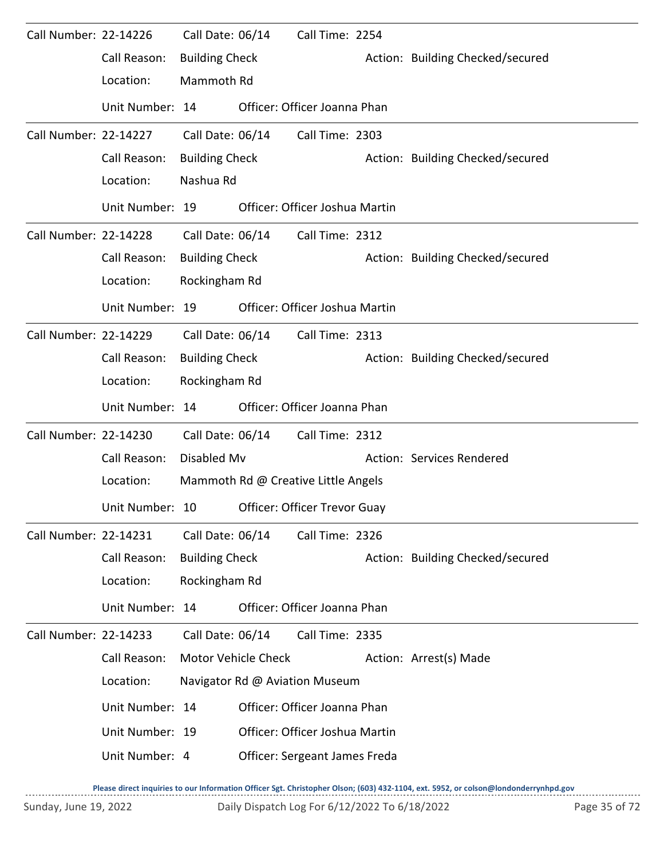| Call Number: 22-14226 |                 | Call Date: 06/14      |                     | Call Time: 2254                     |                                  |
|-----------------------|-----------------|-----------------------|---------------------|-------------------------------------|----------------------------------|
|                       | Call Reason:    | <b>Building Check</b> |                     |                                     | Action: Building Checked/secured |
|                       | Location:       | Mammoth Rd            |                     |                                     |                                  |
|                       | Unit Number: 14 |                       |                     | Officer: Officer Joanna Phan        |                                  |
| Call Number: 22-14227 |                 | Call Date: 06/14      |                     | Call Time: 2303                     |                                  |
|                       | Call Reason:    | <b>Building Check</b> |                     |                                     | Action: Building Checked/secured |
|                       | Location:       | Nashua Rd             |                     |                                     |                                  |
|                       | Unit Number: 19 |                       |                     | Officer: Officer Joshua Martin      |                                  |
| Call Number: 22-14228 |                 | Call Date: 06/14      |                     | Call Time: 2312                     |                                  |
|                       | Call Reason:    | <b>Building Check</b> |                     |                                     | Action: Building Checked/secured |
|                       | Location:       | Rockingham Rd         |                     |                                     |                                  |
|                       | Unit Number: 19 |                       |                     | Officer: Officer Joshua Martin      |                                  |
| Call Number: 22-14229 |                 | Call Date: 06/14      |                     | Call Time: 2313                     |                                  |
|                       | Call Reason:    | <b>Building Check</b> |                     |                                     | Action: Building Checked/secured |
|                       | Location:       | Rockingham Rd         |                     |                                     |                                  |
|                       | Unit Number: 14 |                       |                     | Officer: Officer Joanna Phan        |                                  |
| Call Number: 22-14230 |                 | Call Date: 06/14      |                     | Call Time: 2312                     |                                  |
|                       | Call Reason:    | Disabled Mv           |                     |                                     | Action: Services Rendered        |
|                       | Location:       |                       |                     | Mammoth Rd @ Creative Little Angels |                                  |
|                       | Unit Number: 10 |                       |                     | Officer: Officer Trevor Guay        |                                  |
| Call Number: 22-14231 |                 | Call Date: 06/14      |                     | Call Time: 2326                     |                                  |
|                       | Call Reason:    | <b>Building Check</b> |                     |                                     | Action: Building Checked/secured |
|                       | Location:       | Rockingham Rd         |                     |                                     |                                  |
|                       | Unit Number: 14 |                       |                     | Officer: Officer Joanna Phan        |                                  |
| Call Number: 22-14233 |                 | Call Date: 06/14      |                     | Call Time: 2335                     |                                  |
|                       | Call Reason:    |                       | Motor Vehicle Check |                                     | Action: Arrest(s) Made           |
|                       | Location:       |                       |                     | Navigator Rd @ Aviation Museum      |                                  |
|                       | Unit Number: 14 |                       |                     | Officer: Officer Joanna Phan        |                                  |
|                       | Unit Number: 19 |                       |                     | Officer: Officer Joshua Martin      |                                  |
|                       | Unit Number: 4  |                       |                     | Officer: Sergeant James Freda       |                                  |
|                       |                 |                       |                     |                                     |                                  |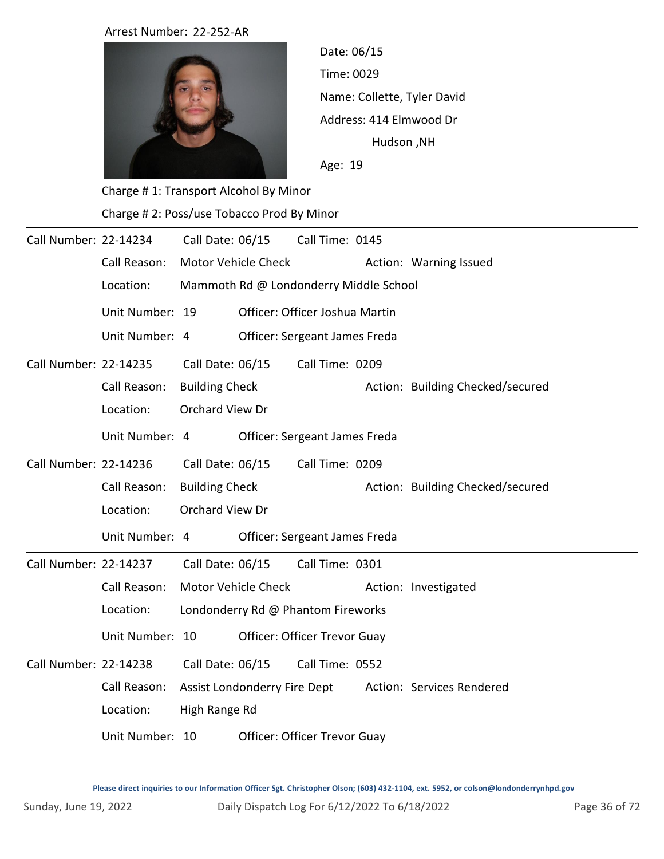Arrest Number: 22-252-AR



Time: 0029 Name: Collette, Tyler David Age: 19 Date: 06/15 Hudson ,NH Address: 414 Elmwood Dr

Charge # 1: Transport Alcohol By Minor Charge # 2: Poss/use Tobacco Prod By Minor

| Call Number: 22-14234 |                 | Call Date: 06/15                       |                               | Call Time: 0145                     |  |                                  |
|-----------------------|-----------------|----------------------------------------|-------------------------------|-------------------------------------|--|----------------------------------|
|                       | Call Reason:    |                                        | Motor Vehicle Check           |                                     |  | Action: Warning Issued           |
|                       | Location:       | Mammoth Rd @ Londonderry Middle School |                               |                                     |  |                                  |
|                       | Unit Number: 19 |                                        |                               | Officer: Officer Joshua Martin      |  |                                  |
|                       | Unit Number: 4  |                                        | Officer: Sergeant James Freda |                                     |  |                                  |
| Call Number: 22-14235 |                 | Call Date: 06/15                       |                               | Call Time: 0209                     |  |                                  |
|                       | Call Reason:    | <b>Building Check</b>                  |                               |                                     |  | Action: Building Checked/secured |
|                       | Location:       | Orchard View Dr                        |                               |                                     |  |                                  |
|                       | Unit Number: 4  |                                        |                               | Officer: Sergeant James Freda       |  |                                  |
| Call Number: 22-14236 |                 | Call Date: 06/15                       |                               | Call Time: 0209                     |  |                                  |
|                       | Call Reason:    | <b>Building Check</b>                  |                               |                                     |  | Action: Building Checked/secured |
|                       | Location:       | Orchard View Dr                        |                               |                                     |  |                                  |
|                       | Unit Number: 4  |                                        |                               | Officer: Sergeant James Freda       |  |                                  |
| Call Number: 22-14237 |                 | Call Date: 06/15                       |                               | Call Time: 0301                     |  |                                  |
|                       | Call Reason:    |                                        | <b>Motor Vehicle Check</b>    |                                     |  | Action: Investigated             |
|                       | Location:       | Londonderry Rd @ Phantom Fireworks     |                               |                                     |  |                                  |
|                       | Unit Number: 10 |                                        |                               | Officer: Officer Trevor Guay        |  |                                  |
| Call Number: 22-14238 |                 | Call Date: 06/15                       |                               | Call Time: 0552                     |  |                                  |
|                       | Call Reason:    |                                        | Assist Londonderry Fire Dept  |                                     |  | Action: Services Rendered        |
|                       | Location:       | High Range Rd                          |                               |                                     |  |                                  |
|                       | Unit Number: 10 |                                        |                               | <b>Officer: Officer Trevor Guay</b> |  |                                  |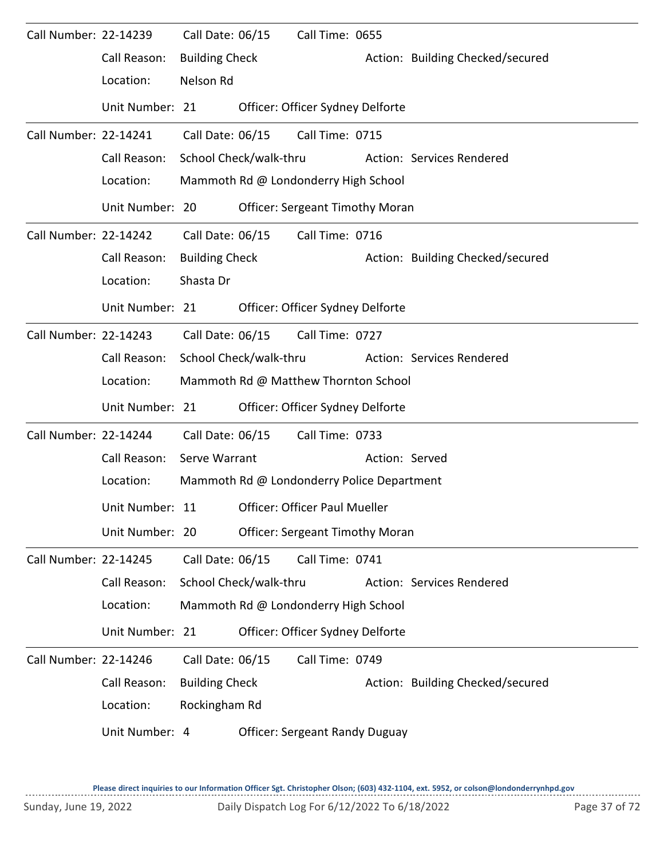| Call Number: 22-14239 |                 | Call Date: 06/15      |                        | Call Time: 0655                            |                |                                  |
|-----------------------|-----------------|-----------------------|------------------------|--------------------------------------------|----------------|----------------------------------|
|                       | Call Reason:    | <b>Building Check</b> |                        |                                            |                | Action: Building Checked/secured |
|                       | Location:       | Nelson Rd             |                        |                                            |                |                                  |
|                       | Unit Number: 21 |                       |                        | Officer: Officer Sydney Delforte           |                |                                  |
| Call Number: 22-14241 |                 | Call Date: 06/15      |                        | Call Time: 0715                            |                |                                  |
|                       | Call Reason:    |                       | School Check/walk-thru |                                            |                | Action: Services Rendered        |
|                       | Location:       |                       |                        | Mammoth Rd @ Londonderry High School       |                |                                  |
|                       | Unit Number: 20 |                       |                        | <b>Officer: Sergeant Timothy Moran</b>     |                |                                  |
| Call Number: 22-14242 |                 | Call Date: 06/15      |                        | Call Time: 0716                            |                |                                  |
|                       | Call Reason:    | <b>Building Check</b> |                        |                                            |                | Action: Building Checked/secured |
|                       | Location:       | Shasta Dr             |                        |                                            |                |                                  |
|                       | Unit Number: 21 |                       |                        | Officer: Officer Sydney Delforte           |                |                                  |
| Call Number: 22-14243 |                 | Call Date: 06/15      |                        | Call Time: 0727                            |                |                                  |
|                       | Call Reason:    |                       | School Check/walk-thru |                                            |                | Action: Services Rendered        |
|                       | Location:       |                       |                        | Mammoth Rd @ Matthew Thornton School       |                |                                  |
|                       | Unit Number: 21 |                       |                        | Officer: Officer Sydney Delforte           |                |                                  |
| Call Number: 22-14244 |                 | Call Date: 06/15      |                        | Call Time: 0733                            |                |                                  |
|                       | Call Reason:    | Serve Warrant         |                        |                                            | Action: Served |                                  |
|                       | Location:       |                       |                        | Mammoth Rd @ Londonderry Police Department |                |                                  |
|                       | Unit Number: 11 |                       |                        | <b>Officer: Officer Paul Mueller</b>       |                |                                  |
|                       | Unit Number: 20 |                       |                        | <b>Officer: Sergeant Timothy Moran</b>     |                |                                  |
| Call Number: 22-14245 |                 | Call Date: 06/15      |                        | Call Time: 0741                            |                |                                  |
|                       | Call Reason:    |                       | School Check/walk-thru |                                            |                | Action: Services Rendered        |
|                       | Location:       |                       |                        | Mammoth Rd @ Londonderry High School       |                |                                  |
|                       | Unit Number: 21 |                       |                        | Officer: Officer Sydney Delforte           |                |                                  |
| Call Number: 22-14246 |                 | Call Date: 06/15      |                        | Call Time: 0749                            |                |                                  |
|                       | Call Reason:    | <b>Building Check</b> |                        |                                            |                | Action: Building Checked/secured |
|                       | Location:       | Rockingham Rd         |                        |                                            |                |                                  |
|                       | Unit Number: 4  |                       |                        | <b>Officer: Sergeant Randy Duguay</b>      |                |                                  |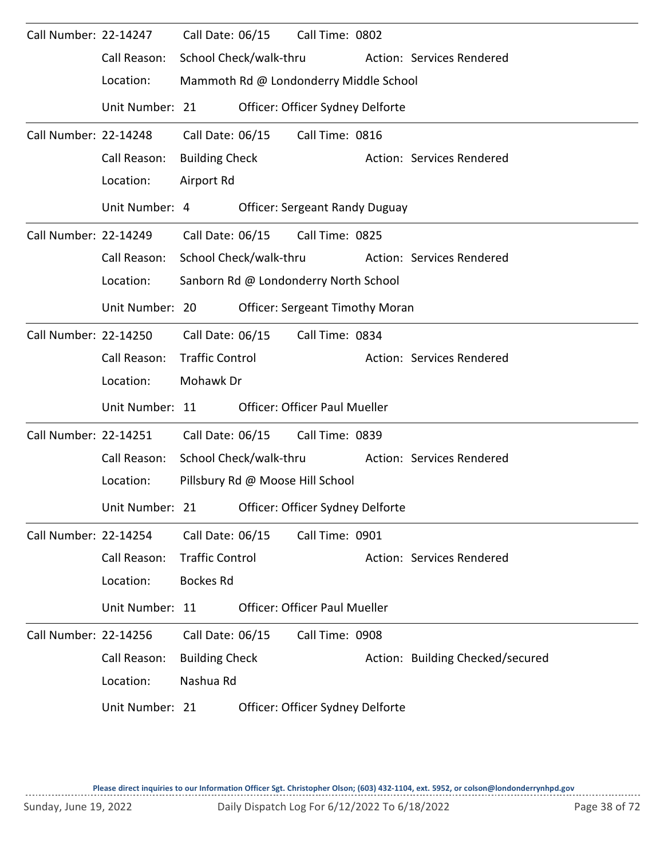| Call Number: 22-14247 |                 | Call Date: 06/15       | Call Time: 0802                        |                                  |
|-----------------------|-----------------|------------------------|----------------------------------------|----------------------------------|
|                       | Call Reason:    | School Check/walk-thru |                                        | Action: Services Rendered        |
|                       | Location:       |                        | Mammoth Rd @ Londonderry Middle School |                                  |
|                       | Unit Number: 21 |                        | Officer: Officer Sydney Delforte       |                                  |
| Call Number: 22-14248 |                 | Call Date: 06/15       | Call Time: 0816                        |                                  |
|                       | Call Reason:    | <b>Building Check</b>  |                                        | Action: Services Rendered        |
|                       | Location:       | Airport Rd             |                                        |                                  |
|                       | Unit Number: 4  |                        | <b>Officer: Sergeant Randy Duguay</b>  |                                  |
| Call Number: 22-14249 |                 |                        | Call Date: 06/15 Call Time: 0825       |                                  |
|                       | Call Reason:    | School Check/walk-thru |                                        | Action: Services Rendered        |
|                       | Location:       |                        | Sanborn Rd @ Londonderry North School  |                                  |
|                       | Unit Number: 20 |                        | <b>Officer: Sergeant Timothy Moran</b> |                                  |
| Call Number: 22-14250 |                 | Call Date: 06/15       | Call Time: 0834                        |                                  |
|                       | Call Reason:    | <b>Traffic Control</b> |                                        | Action: Services Rendered        |
|                       | Location:       | Mohawk Dr              |                                        |                                  |
|                       | Unit Number: 11 |                        | <b>Officer: Officer Paul Mueller</b>   |                                  |
| Call Number: 22-14251 |                 | Call Date: 06/15       | Call Time: 0839                        |                                  |
|                       | Call Reason:    | School Check/walk-thru |                                        | Action: Services Rendered        |
|                       | Location:       |                        | Pillsbury Rd @ Moose Hill School       |                                  |
|                       | Unit Number: 21 |                        | Officer: Officer Sydney Delforte       |                                  |
| Call Number: 22-14254 |                 | Call Date: 06/15       | Call Time: 0901                        |                                  |
|                       | Call Reason:    | <b>Traffic Control</b> |                                        | Action: Services Rendered        |
|                       | Location:       | <b>Bockes Rd</b>       |                                        |                                  |
|                       | Unit Number: 11 |                        | <b>Officer: Officer Paul Mueller</b>   |                                  |
| Call Number: 22-14256 |                 | Call Date: 06/15       | Call Time: 0908                        |                                  |
|                       | Call Reason:    | <b>Building Check</b>  |                                        | Action: Building Checked/secured |
|                       | Location:       | Nashua Rd              |                                        |                                  |
|                       | Unit Number: 21 |                        | Officer: Officer Sydney Delforte       |                                  |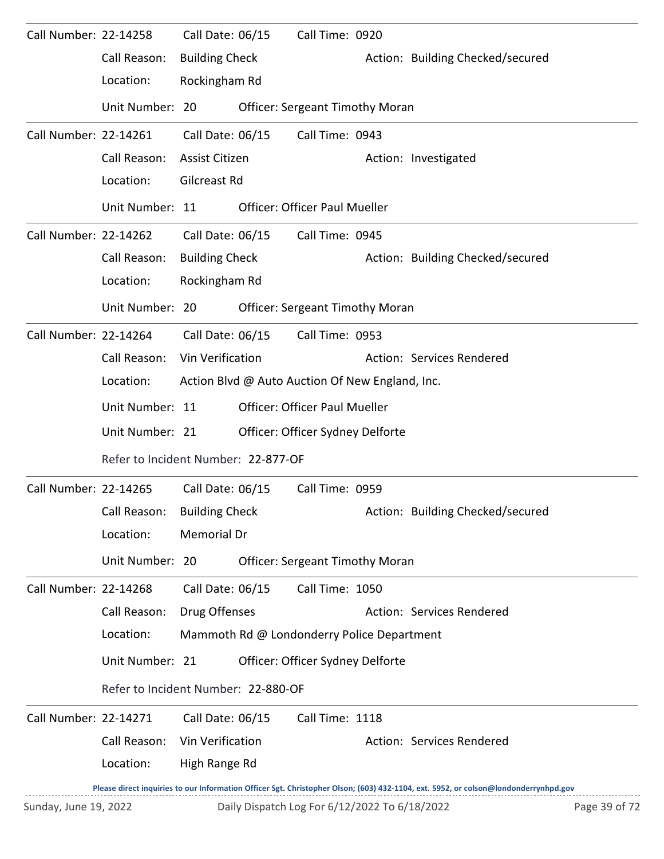| Call Number: 22-14258 |                                     | Call Date: 06/15                                                       |  | Call Time: 0920                                 |  |                                                                                                                                     |  |  |  |
|-----------------------|-------------------------------------|------------------------------------------------------------------------|--|-------------------------------------------------|--|-------------------------------------------------------------------------------------------------------------------------------------|--|--|--|
|                       | Call Reason:                        | <b>Building Check</b>                                                  |  |                                                 |  | Action: Building Checked/secured                                                                                                    |  |  |  |
|                       | Location:                           | Rockingham Rd                                                          |  |                                                 |  |                                                                                                                                     |  |  |  |
|                       | Unit Number: 20                     |                                                                        |  | <b>Officer: Sergeant Timothy Moran</b>          |  |                                                                                                                                     |  |  |  |
| Call Number: 22-14261 |                                     | Call Date: 06/15                                                       |  | Call Time: 0943                                 |  |                                                                                                                                     |  |  |  |
|                       | Call Reason:                        | Assist Citizen                                                         |  |                                                 |  | Action: Investigated                                                                                                                |  |  |  |
|                       | Location:                           | Gilcreast Rd                                                           |  |                                                 |  |                                                                                                                                     |  |  |  |
|                       | Unit Number: 11                     |                                                                        |  | <b>Officer: Officer Paul Mueller</b>            |  |                                                                                                                                     |  |  |  |
| Call Number: 22-14262 |                                     | Call Date: 06/15                                                       |  | Call Time: 0945                                 |  |                                                                                                                                     |  |  |  |
|                       | Call Reason:                        | <b>Building Check</b>                                                  |  |                                                 |  | Action: Building Checked/secured                                                                                                    |  |  |  |
|                       | Location:                           | Rockingham Rd                                                          |  |                                                 |  |                                                                                                                                     |  |  |  |
|                       | Unit Number: 20                     |                                                                        |  | <b>Officer: Sergeant Timothy Moran</b>          |  |                                                                                                                                     |  |  |  |
| Call Number: 22-14264 |                                     | Call Date: 06/15                                                       |  | Call Time: 0953                                 |  |                                                                                                                                     |  |  |  |
|                       | Call Reason:                        | Vin Verification                                                       |  |                                                 |  | Action: Services Rendered                                                                                                           |  |  |  |
|                       | Location:                           |                                                                        |  | Action Blvd @ Auto Auction Of New England, Inc. |  |                                                                                                                                     |  |  |  |
|                       | Unit Number: 11                     |                                                                        |  | <b>Officer: Officer Paul Mueller</b>            |  |                                                                                                                                     |  |  |  |
|                       | Unit Number: 21                     |                                                                        |  | Officer: Officer Sydney Delforte                |  |                                                                                                                                     |  |  |  |
|                       | Refer to Incident Number: 22-877-OF |                                                                        |  |                                                 |  |                                                                                                                                     |  |  |  |
| Call Number: 22-14265 |                                     | Call Date: 06/15                                                       |  | Call Time: 0959                                 |  |                                                                                                                                     |  |  |  |
|                       | Call Reason: Building Check         |                                                                        |  |                                                 |  | Action: Building Checked/secured                                                                                                    |  |  |  |
|                       | Location:                           | <b>Memorial Dr</b>                                                     |  |                                                 |  |                                                                                                                                     |  |  |  |
|                       | Unit Number: 20                     |                                                                        |  | <b>Officer: Sergeant Timothy Moran</b>          |  |                                                                                                                                     |  |  |  |
| Call Number: 22-14268 |                                     | Call Date: 06/15                                                       |  | Call Time: 1050                                 |  |                                                                                                                                     |  |  |  |
|                       | Call Reason:                        | Drug Offenses                                                          |  |                                                 |  | Action: Services Rendered                                                                                                           |  |  |  |
|                       | Location:                           |                                                                        |  | Mammoth Rd @ Londonderry Police Department      |  |                                                                                                                                     |  |  |  |
|                       | Unit Number: 21                     |                                                                        |  | Officer: Officer Sydney Delforte                |  |                                                                                                                                     |  |  |  |
|                       | Refer to Incident Number: 22-880-OF |                                                                        |  |                                                 |  |                                                                                                                                     |  |  |  |
| Call Number: 22-14271 |                                     | Call Date: 06/15                                                       |  | Call Time: 1118                                 |  |                                                                                                                                     |  |  |  |
|                       | Call Reason:                        | Vin Verification                                                       |  |                                                 |  | Action: Services Rendered                                                                                                           |  |  |  |
|                       | Location:                           | High Range Rd                                                          |  |                                                 |  |                                                                                                                                     |  |  |  |
|                       |                                     |                                                                        |  |                                                 |  | Please direct inquiries to our Information Officer Sgt. Christopher Olson; (603) 432-1104, ext. 5952, or colson@londonderrynhpd.gov |  |  |  |
|                       |                                     | Sunday, June 19, 2022<br>Daily Dispatch Log For 6/12/2022 To 6/18/2022 |  |                                                 |  |                                                                                                                                     |  |  |  |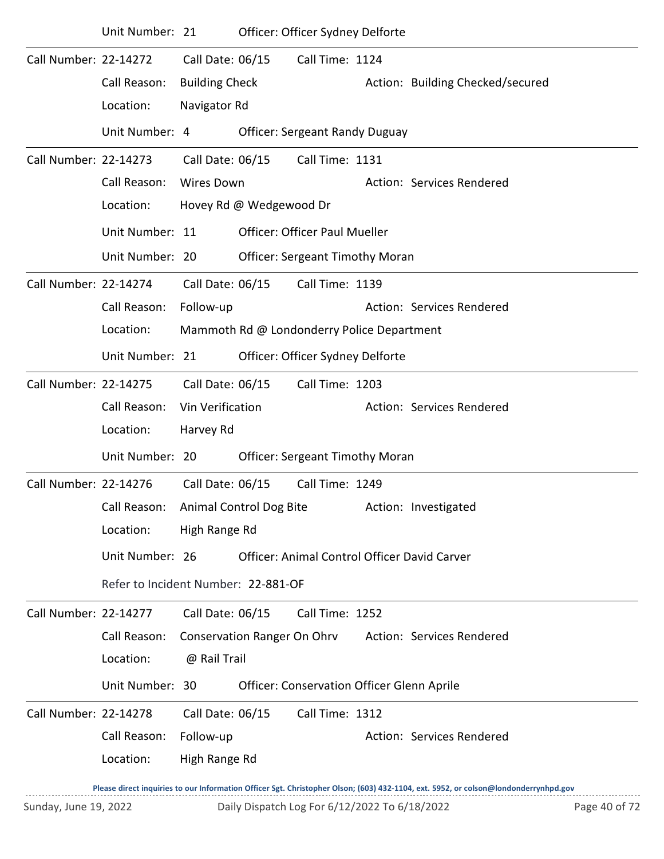|                       | Location:                           | High Range Rd         |                             |                                            |                                              |
|-----------------------|-------------------------------------|-----------------------|-----------------------------|--------------------------------------------|----------------------------------------------|
|                       | Call Reason:                        | Follow-up             |                             |                                            | Action: Services Rendered                    |
| Call Number: 22-14278 |                                     | Call Date: 06/15      |                             | Call Time: 1312                            |                                              |
|                       | Unit Number: 30                     |                       |                             | Officer: Conservation Officer Glenn Aprile |                                              |
|                       | Location:                           | @ Rail Trail          |                             |                                            |                                              |
|                       | Call Reason:                        |                       | Conservation Ranger On Ohrv |                                            | Action: Services Rendered                    |
| Call Number: 22-14277 |                                     | Call Date: 06/15      |                             | Call Time: 1252                            |                                              |
|                       | Refer to Incident Number: 22-881-OF |                       |                             |                                            |                                              |
|                       |                                     |                       |                             |                                            |                                              |
|                       | Unit Number: 26                     |                       |                             |                                            | Officer: Animal Control Officer David Carver |
|                       | Location:                           | High Range Rd         |                             |                                            |                                              |
|                       | Call Reason:                        |                       | Animal Control Dog Bite     |                                            | Action: Investigated                         |
| Call Number: 22-14276 |                                     | Call Date: 06/15      |                             | Call Time: 1249                            |                                              |
|                       | Unit Number: 20                     |                       |                             | <b>Officer: Sergeant Timothy Moran</b>     |                                              |
|                       | Location:                           | Harvey Rd             |                             |                                            |                                              |
|                       | Call Reason:                        | Vin Verification      |                             |                                            | Action: Services Rendered                    |
| Call Number: 22-14275 |                                     | Call Date: 06/15      |                             | Call Time: 1203                            |                                              |
|                       | Unit Number: 21                     |                       |                             | Officer: Officer Sydney Delforte           |                                              |
|                       | Location:                           |                       |                             | Mammoth Rd @ Londonderry Police Department |                                              |
|                       | Call Reason:                        | Follow-up             |                             |                                            | Action: Services Rendered                    |
| Call Number: 22-14274 |                                     | Call Date: 06/15      |                             | Call Time: 1139                            |                                              |
|                       | Unit Number: 20                     |                       |                             | <b>Officer: Sergeant Timothy Moran</b>     |                                              |
|                       | Unit Number: 11                     |                       |                             | <b>Officer: Officer Paul Mueller</b>       |                                              |
|                       | Location:                           |                       | Hovey Rd @ Wedgewood Dr     |                                            |                                              |
|                       | Call Reason:                        | <b>Wires Down</b>     |                             |                                            | Action: Services Rendered                    |
| Call Number: 22-14273 |                                     | Call Date: 06/15      |                             | Call Time: 1131                            |                                              |
|                       | Unit Number: 4                      |                       |                             | <b>Officer: Sergeant Randy Duguay</b>      |                                              |
|                       | Location:                           | Navigator Rd          |                             |                                            |                                              |
|                       | Call Reason:                        | <b>Building Check</b> |                             |                                            | Action: Building Checked/secured             |
| Call Number: 22-14272 |                                     | Call Date: 06/15      |                             | Call Time: 1124                            |                                              |
|                       | Unit Number: 21                     |                       |                             | Officer: Officer Sydney Delforte           |                                              |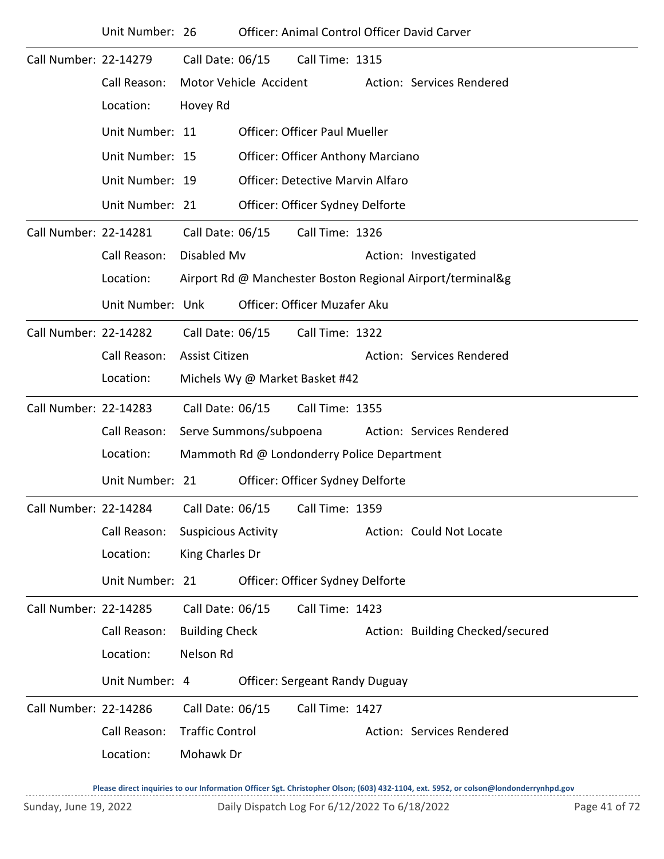|                       | Unit Number: 26  |                            |                        |                                            | <b>Officer: Animal Control Officer David Carver</b>        |
|-----------------------|------------------|----------------------------|------------------------|--------------------------------------------|------------------------------------------------------------|
| Call Number: 22-14279 |                  | Call Date: 06/15           |                        | Call Time: 1315                            |                                                            |
|                       | Call Reason:     |                            | Motor Vehicle Accident |                                            | Action: Services Rendered                                  |
|                       | Location:        | Hovey Rd                   |                        |                                            |                                                            |
|                       | Unit Number: 11  |                            |                        | <b>Officer: Officer Paul Mueller</b>       |                                                            |
|                       | Unit Number: 15  |                            |                        | <b>Officer: Officer Anthony Marciano</b>   |                                                            |
|                       | Unit Number: 19  |                            |                        | <b>Officer: Detective Marvin Alfaro</b>    |                                                            |
|                       | Unit Number: 21  |                            |                        | Officer: Officer Sydney Delforte           |                                                            |
| Call Number: 22-14281 |                  | Call Date: 06/15           |                        | Call Time: 1326                            |                                                            |
|                       | Call Reason:     | Disabled Mv                |                        |                                            | Action: Investigated                                       |
|                       | Location:        |                            |                        |                                            | Airport Rd @ Manchester Boston Regional Airport/terminal&g |
|                       | Unit Number: Unk |                            |                        | Officer: Officer Muzafer Aku               |                                                            |
| Call Number: 22-14282 |                  | Call Date: 06/15           |                        | Call Time: 1322                            |                                                            |
|                       | Call Reason:     | Assist Citizen             |                        |                                            | Action: Services Rendered                                  |
|                       | Location:        |                            |                        | Michels Wy @ Market Basket #42             |                                                            |
| Call Number: 22-14283 |                  | Call Date: 06/15           |                        | Call Time: 1355                            |                                                            |
|                       | Call Reason:     |                            | Serve Summons/subpoena |                                            | Action: Services Rendered                                  |
|                       | Location:        |                            |                        | Mammoth Rd @ Londonderry Police Department |                                                            |
|                       | Unit Number: 21  |                            |                        | Officer: Officer Sydney Delforte           |                                                            |
| Call Number: 22-14284 |                  | Call Date: 06/15           |                        | Call Time: 1359                            |                                                            |
|                       | Call Reason:     | <b>Suspicious Activity</b> |                        |                                            | Action: Could Not Locate                                   |
|                       | Location:        | King Charles Dr            |                        |                                            |                                                            |
|                       | Unit Number: 21  |                            |                        | Officer: Officer Sydney Delforte           |                                                            |
| Call Number: 22-14285 |                  | Call Date: 06/15           |                        | Call Time: 1423                            |                                                            |
|                       | Call Reason:     | <b>Building Check</b>      |                        |                                            | Action: Building Checked/secured                           |
|                       | Location:        | Nelson Rd                  |                        |                                            |                                                            |
|                       | Unit Number: 4   |                            |                        | <b>Officer: Sergeant Randy Duguay</b>      |                                                            |
| Call Number: 22-14286 |                  | Call Date: 06/15           |                        | Call Time: 1427                            |                                                            |
|                       | Call Reason:     | <b>Traffic Control</b>     |                        |                                            | Action: Services Rendered                                  |
|                       | Location:        | Mohawk Dr                  |                        |                                            |                                                            |
|                       |                  |                            |                        |                                            |                                                            |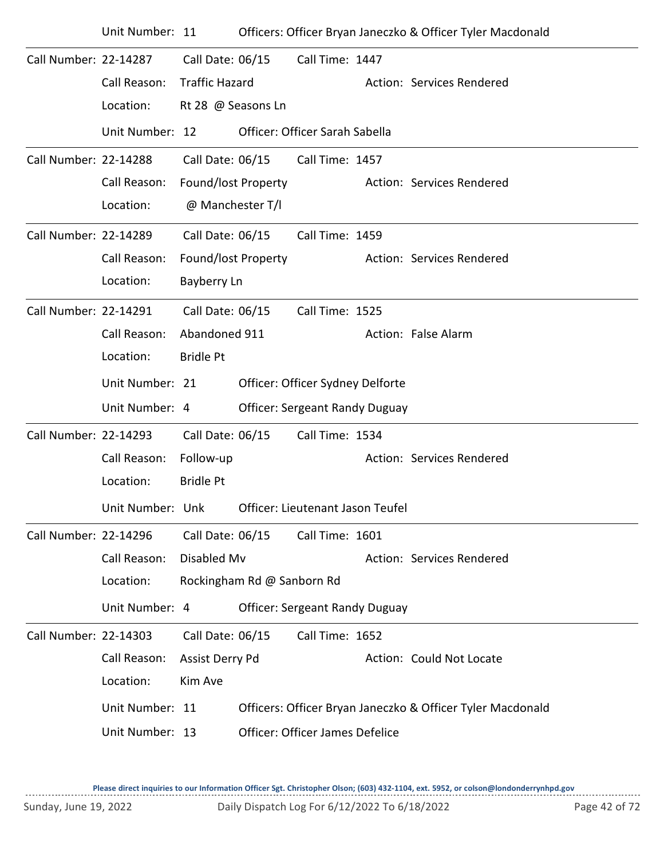|                       | Unit Number: 11  |                       |                            |                                       | Officers: Officer Bryan Janeczko & Officer Tyler Macdonald |
|-----------------------|------------------|-----------------------|----------------------------|---------------------------------------|------------------------------------------------------------|
| Call Number: 22-14287 |                  | Call Date: 06/15      |                            | Call Time: 1447                       |                                                            |
|                       | Call Reason:     | <b>Traffic Hazard</b> |                            |                                       | Action: Services Rendered                                  |
|                       | Location:        | Rt 28 @ Seasons Ln    |                            |                                       |                                                            |
|                       | Unit Number: 12  |                       |                            | Officer: Officer Sarah Sabella        |                                                            |
| Call Number: 22-14288 |                  | Call Date: 06/15      |                            | Call Time: 1457                       |                                                            |
|                       | Call Reason:     | Found/lost Property   |                            |                                       | Action: Services Rendered                                  |
|                       | Location:        | @ Manchester T/I      |                            |                                       |                                                            |
| Call Number: 22-14289 |                  | Call Date: 06/15      |                            | Call Time: 1459                       |                                                            |
|                       | Call Reason:     | Found/lost Property   |                            |                                       | Action: Services Rendered                                  |
|                       | Location:        | Bayberry Ln           |                            |                                       |                                                            |
| Call Number: 22-14291 |                  | Call Date: 06/15      |                            | Call Time: 1525                       |                                                            |
|                       | Call Reason:     | Abandoned 911         |                            |                                       | Action: False Alarm                                        |
|                       | Location:        | <b>Bridle Pt</b>      |                            |                                       |                                                            |
|                       | Unit Number: 21  |                       |                            | Officer: Officer Sydney Delforte      |                                                            |
|                       | Unit Number: 4   |                       |                            | <b>Officer: Sergeant Randy Duguay</b> |                                                            |
| Call Number: 22-14293 |                  | Call Date: 06/15      |                            | Call Time: 1534                       |                                                            |
|                       | Call Reason:     | Follow-up             |                            |                                       | Action: Services Rendered                                  |
|                       | Location:        | <b>Bridle Pt</b>      |                            |                                       |                                                            |
|                       | Unit Number: Unk |                       |                            | Officer: Lieutenant Jason Teufel      |                                                            |
| Call Number: 22-14296 |                  | Call Date: 06/15      |                            | Call Time: 1601                       |                                                            |
|                       | Call Reason:     | Disabled Mv           |                            |                                       | Action: Services Rendered                                  |
|                       | Location:        |                       | Rockingham Rd @ Sanborn Rd |                                       |                                                            |
|                       | Unit Number: 4   |                       |                            | <b>Officer: Sergeant Randy Duguay</b> |                                                            |
| Call Number: 22-14303 |                  | Call Date: 06/15      |                            | Call Time: 1652                       |                                                            |
|                       | Call Reason:     | Assist Derry Pd       |                            |                                       | Action: Could Not Locate                                   |
|                       | Location:        | Kim Ave               |                            |                                       |                                                            |
|                       | Unit Number: 11  |                       |                            |                                       | Officers: Officer Bryan Janeczko & Officer Tyler Macdonald |
|                       | Unit Number: 13  |                       |                            | Officer: Officer James Defelice       |                                                            |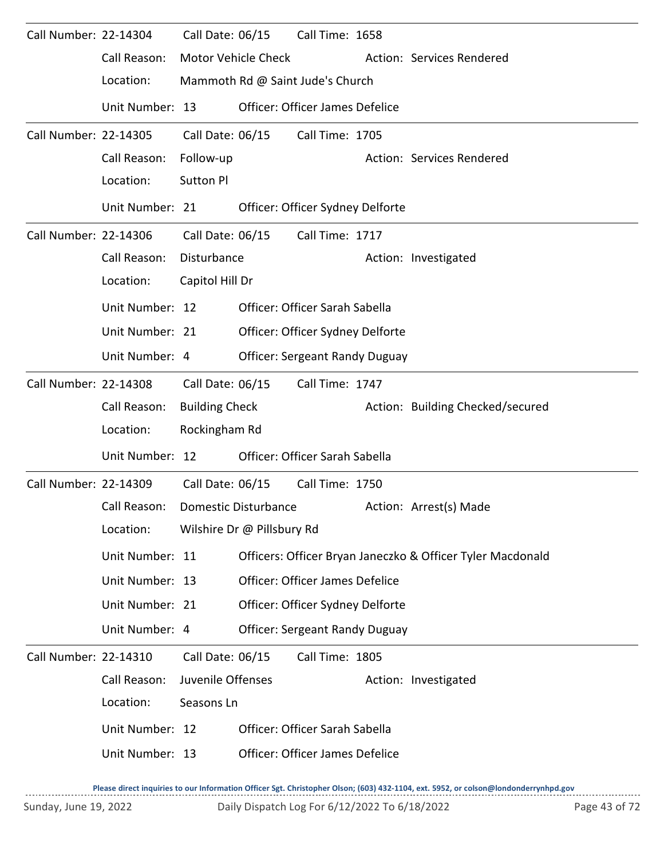| Call Number: 22-14304 | Call Reason:<br>Location:                                               | Call Date: 06/15                                           | <b>Motor Vehicle Check</b>                         | Call Time: 1658<br>Mammoth Rd @ Saint Jude's Church                                                          | Action: Services Rendered                                  |
|-----------------------|-------------------------------------------------------------------------|------------------------------------------------------------|----------------------------------------------------|--------------------------------------------------------------------------------------------------------------|------------------------------------------------------------|
|                       | Unit Number: 13                                                         |                                                            |                                                    | <b>Officer: Officer James Defelice</b>                                                                       |                                                            |
| Call Number: 22-14305 | Call Reason:<br>Location:<br>Unit Number: 21                            | Call Date: 06/15<br>Follow-up<br><b>Sutton Pl</b>          |                                                    | Call Time: 1705<br>Officer: Officer Sydney Delforte                                                          | Action: Services Rendered                                  |
| Call Number: 22-14306 | Call Reason:<br>Location:                                               | Call Date: 06/15<br>Disturbance<br>Capitol Hill Dr         |                                                    | Call Time: 1717                                                                                              | Action: Investigated                                       |
|                       | Unit Number: 12<br>Unit Number: 21<br>Unit Number: 4                    |                                                            |                                                    | Officer: Officer Sarah Sabella<br>Officer: Officer Sydney Delforte<br><b>Officer: Sergeant Randy Duguay</b>  |                                                            |
| Call Number: 22-14308 | Call Reason:<br>Location:<br>Unit Number: 12                            | Call Date: 06/15<br><b>Building Check</b><br>Rockingham Rd |                                                    | Call Time: 1747<br>Officer: Officer Sarah Sabella                                                            | Action: Building Checked/secured                           |
| Call Number: 22-14309 | Call Reason:<br>Location:                                               | Call Date: 06/15                                           | Domestic Disturbance<br>Wilshire Dr @ Pillsbury Rd | Call Time: 1750                                                                                              | Action: Arrest(s) Made                                     |
|                       | Unit Number: 11<br>Unit Number: 13<br>Unit Number: 21<br>Unit Number: 4 |                                                            |                                                    | Officer: Officer James Defelice<br>Officer: Officer Sydney Delforte<br><b>Officer: Sergeant Randy Duguay</b> | Officers: Officer Bryan Janeczko & Officer Tyler Macdonald |
| Call Number: 22-14310 | Call Reason:<br>Location:<br>Unit Number: 12<br>Unit Number: 13         | Call Date: 06/15<br>Juvenile Offenses<br>Seasons Ln        |                                                    | Call Time: 1805<br>Officer: Officer Sarah Sabella<br>Officer: Officer James Defelice                         | Action: Investigated                                       |
|                       |                                                                         |                                                            |                                                    |                                                                                                              |                                                            |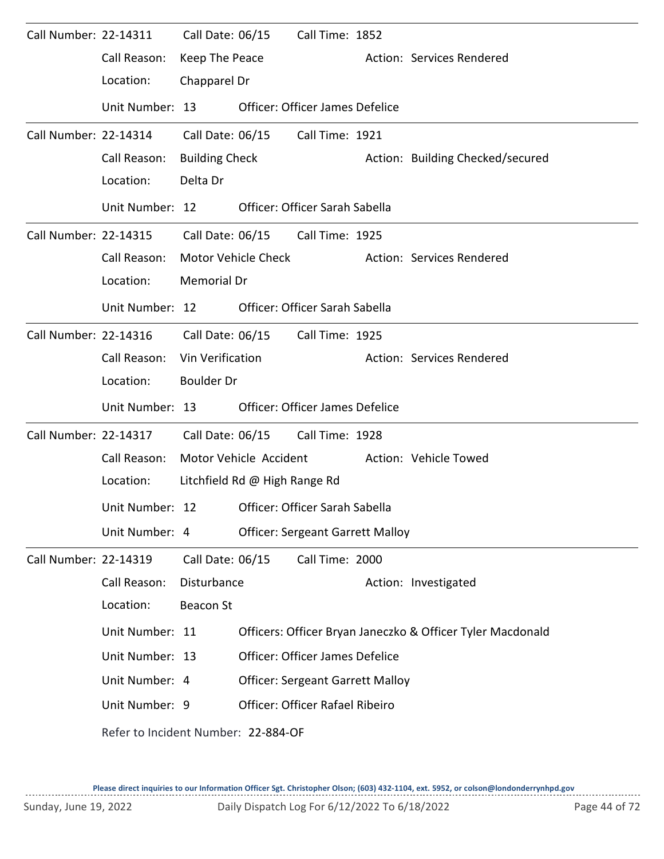| Call Number: 22-14311 |                                     | Call Date: 06/15      |                               | Call Time: 1852                         |                                                            |
|-----------------------|-------------------------------------|-----------------------|-------------------------------|-----------------------------------------|------------------------------------------------------------|
|                       | Call Reason:                        | Keep The Peace        |                               |                                         | Action: Services Rendered                                  |
|                       | Location:                           | Chapparel Dr          |                               |                                         |                                                            |
|                       | Unit Number: 13                     |                       |                               | Officer: Officer James Defelice         |                                                            |
| Call Number: 22-14314 |                                     |                       | Call Date: 06/15              | Call Time: 1921                         |                                                            |
|                       | Call Reason:                        | <b>Building Check</b> |                               |                                         | Action: Building Checked/secured                           |
|                       | Location:                           | Delta Dr              |                               |                                         |                                                            |
|                       | Unit Number: 12                     |                       |                               | Officer: Officer Sarah Sabella          |                                                            |
| Call Number: 22-14315 |                                     |                       |                               | Call Date: 06/15 Call Time: 1925        |                                                            |
|                       | Call Reason:                        |                       | Motor Vehicle Check           |                                         | Action: Services Rendered                                  |
|                       | Location:                           | Memorial Dr           |                               |                                         |                                                            |
|                       | Unit Number: 12                     |                       |                               | Officer: Officer Sarah Sabella          |                                                            |
| Call Number: 22-14316 |                                     |                       |                               | Call Date: 06/15    Call Time: 1925     |                                                            |
|                       | Call Reason:                        | Vin Verification      |                               |                                         | Action: Services Rendered                                  |
|                       | Location:                           | <b>Boulder Dr</b>     |                               |                                         |                                                            |
|                       | Unit Number: 13                     |                       |                               | Officer: Officer James Defelice         |                                                            |
| Call Number: 22-14317 |                                     |                       | Call Date: 06/15              | Call Time: 1928                         |                                                            |
|                       | Call Reason:                        |                       | Motor Vehicle Accident        |                                         | Action: Vehicle Towed                                      |
|                       | Location:                           |                       | Litchfield Rd @ High Range Rd |                                         |                                                            |
|                       | Unit Number: 12                     |                       |                               | Officer: Officer Sarah Sabella          |                                                            |
|                       | Unit Number: 4                      |                       |                               | <b>Officer: Sergeant Garrett Malloy</b> |                                                            |
| Call Number: 22-14319 |                                     | Call Date: 06/15      |                               | Call Time: 2000                         |                                                            |
|                       | Call Reason:                        | Disturbance           |                               |                                         | Action: Investigated                                       |
|                       | Location:                           | <b>Beacon St</b>      |                               |                                         |                                                            |
|                       | Unit Number: 11                     |                       |                               |                                         | Officers: Officer Bryan Janeczko & Officer Tyler Macdonald |
|                       | Unit Number: 13                     |                       |                               | Officer: Officer James Defelice         |                                                            |
|                       | Unit Number: 4                      |                       |                               | <b>Officer: Sergeant Garrett Malloy</b> |                                                            |
|                       | Unit Number: 9                      |                       |                               | Officer: Officer Rafael Ribeiro         |                                                            |
|                       | Refer to Incident Number: 22-884-OF |                       |                               |                                         |                                                            |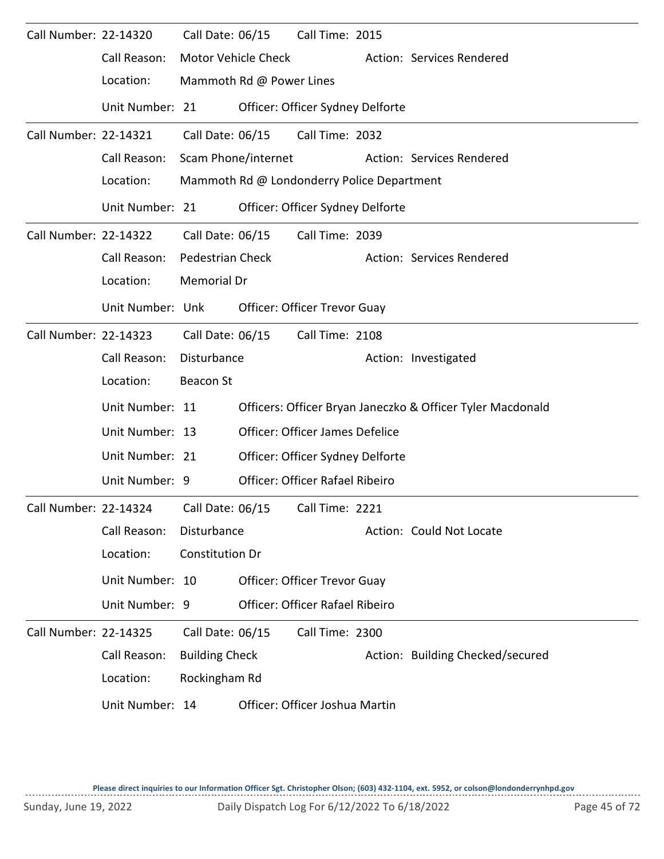| Call Number: 22-14320 |                                        | Call Date: 06/15        |                            | Call Time: 2015                            |                                                            |
|-----------------------|----------------------------------------|-------------------------|----------------------------|--------------------------------------------|------------------------------------------------------------|
|                       | Call Reason:                           |                         | <b>Motor Vehicle Check</b> |                                            | Action: Services Rendered                                  |
|                       | Location:                              |                         | Mammoth Rd @ Power Lines   |                                            |                                                            |
|                       | Unit Number: 21                        |                         |                            | Officer: Officer Sydney Delforte           |                                                            |
| Call Number: 22-14321 |                                        | Call Date: 06/15        |                            | Call Time: 2032                            |                                                            |
|                       | Call Reason:                           |                         | Scam Phone/internet        |                                            | Action: Services Rendered                                  |
|                       | Location:                              |                         |                            | Mammoth Rd @ Londonderry Police Department |                                                            |
|                       | Unit Number: 21                        |                         |                            | Officer: Officer Sydney Delforte           |                                                            |
| Call Number: 22-14322 |                                        | Call Date: 06/15        |                            | Call Time: 2039                            |                                                            |
|                       | Call Reason:                           | <b>Pedestrian Check</b> |                            |                                            | Action: Services Rendered                                  |
|                       | Location:                              | Memorial Dr             |                            |                                            |                                                            |
|                       | Unit Number: Unk                       |                         |                            | Officer: Officer Trevor Guay               |                                                            |
| Call Number: 22-14323 |                                        | Call Date: 06/15        |                            | Call Time: 2108                            |                                                            |
|                       | Call Reason:                           | Disturbance             |                            |                                            | Action: Investigated                                       |
|                       | Location:                              | <b>Beacon St</b>        |                            |                                            |                                                            |
|                       | Unit Number: 11                        |                         |                            |                                            | Officers: Officer Bryan Janeczko & Officer Tyler Macdonald |
|                       | Unit Number: 13                        |                         |                            | Officer: Officer James Defelice            |                                                            |
|                       | Unit Number: 21                        |                         |                            | Officer: Officer Sydney Delforte           |                                                            |
|                       | Unit Number: 9                         |                         |                            | <b>Officer: Officer Rafael Ribeiro</b>     |                                                            |
|                       | Call Number: 22-14324 Call Date: 06/15 |                         |                            | Call Time: 2221                            |                                                            |
|                       | Call Reason:                           | Disturbance             |                            |                                            | Action: Could Not Locate                                   |
|                       | Location:                              | Constitution Dr         |                            |                                            |                                                            |
|                       | Unit Number: 10                        |                         |                            | Officer: Officer Trevor Guay               |                                                            |
|                       | Unit Number: 9                         |                         |                            | Officer: Officer Rafael Ribeiro            |                                                            |
| Call Number: 22-14325 |                                        | Call Date: 06/15        |                            | Call Time: 2300                            |                                                            |
|                       | Call Reason:                           | <b>Building Check</b>   |                            |                                            | Action: Building Checked/secured                           |
|                       | Location:                              | Rockingham Rd           |                            |                                            |                                                            |
|                       | Unit Number: 14                        |                         |                            | Officer: Officer Joshua Martin             |                                                            |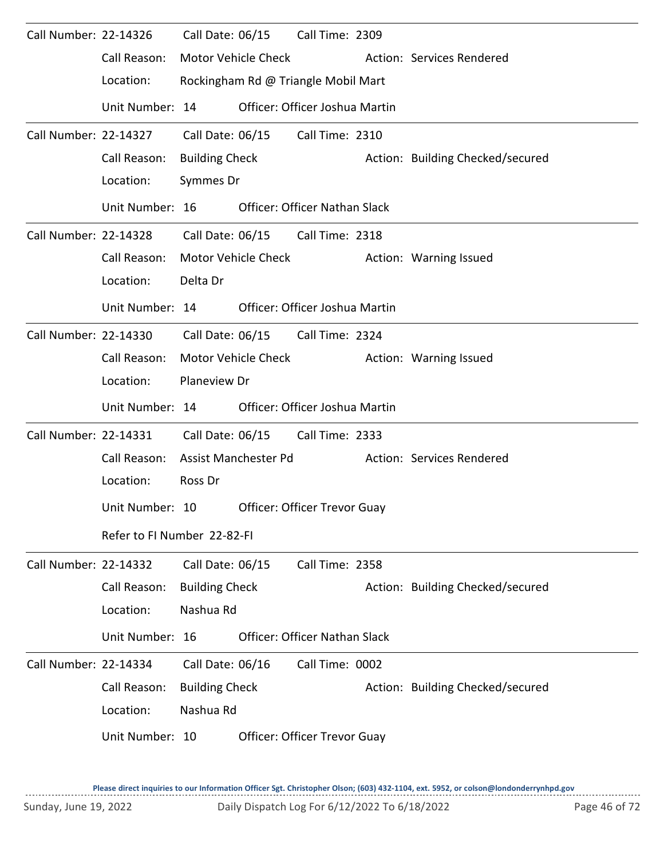| Call Number: 22-14326 |                             | Call Date: 06/15      |                      | Call Time: 2309                      |                                  |
|-----------------------|-----------------------------|-----------------------|----------------------|--------------------------------------|----------------------------------|
|                       | Call Reason:                |                       | Motor Vehicle Check  |                                      | Action: Services Rendered        |
|                       | Location:                   |                       |                      | Rockingham Rd @ Triangle Mobil Mart  |                                  |
|                       | Unit Number: 14             |                       |                      | Officer: Officer Joshua Martin       |                                  |
| Call Number: 22-14327 |                             | Call Date: 06/15      |                      | Call Time: 2310                      |                                  |
|                       | Call Reason:                | <b>Building Check</b> |                      |                                      | Action: Building Checked/secured |
|                       | Location:                   | Symmes Dr             |                      |                                      |                                  |
|                       | Unit Number: 16             |                       |                      | <b>Officer: Officer Nathan Slack</b> |                                  |
| Call Number: 22-14328 |                             |                       |                      | Call Date: 06/15 Call Time: 2318     |                                  |
|                       | Call Reason:                |                       | Motor Vehicle Check  |                                      | Action: Warning Issued           |
|                       | Location:                   | Delta Dr              |                      |                                      |                                  |
|                       | Unit Number: 14             |                       |                      | Officer: Officer Joshua Martin       |                                  |
| Call Number: 22-14330 |                             | Call Date: 06/15      |                      | Call Time: 2324                      |                                  |
|                       | Call Reason:                |                       | Motor Vehicle Check  |                                      | Action: Warning Issued           |
|                       | Location:                   | Planeview Dr          |                      |                                      |                                  |
|                       | Unit Number: 14             |                       |                      | Officer: Officer Joshua Martin       |                                  |
| Call Number: 22-14331 |                             | Call Date: 06/15      |                      | Call Time: 2333                      |                                  |
|                       | Call Reason:                |                       | Assist Manchester Pd |                                      | Action: Services Rendered        |
|                       | Location:                   | Ross Dr               |                      |                                      |                                  |
|                       | Unit Number: 10             |                       |                      | Officer: Officer Trevor Guay         |                                  |
|                       | Refer to FI Number 22-82-FI |                       |                      |                                      |                                  |
| Call Number: 22-14332 |                             | Call Date: 06/15      |                      | Call Time: 2358                      |                                  |
|                       | Call Reason:                | <b>Building Check</b> |                      |                                      | Action: Building Checked/secured |
|                       | Location:                   | Nashua Rd             |                      |                                      |                                  |
|                       | Unit Number: 16             |                       |                      | Officer: Officer Nathan Slack        |                                  |
| Call Number: 22-14334 |                             | Call Date: 06/16      |                      | Call Time: 0002                      |                                  |
|                       | Call Reason:                | <b>Building Check</b> |                      |                                      | Action: Building Checked/secured |
|                       | Location:                   | Nashua Rd             |                      |                                      |                                  |
|                       | Unit Number: 10             |                       |                      | Officer: Officer Trevor Guay         |                                  |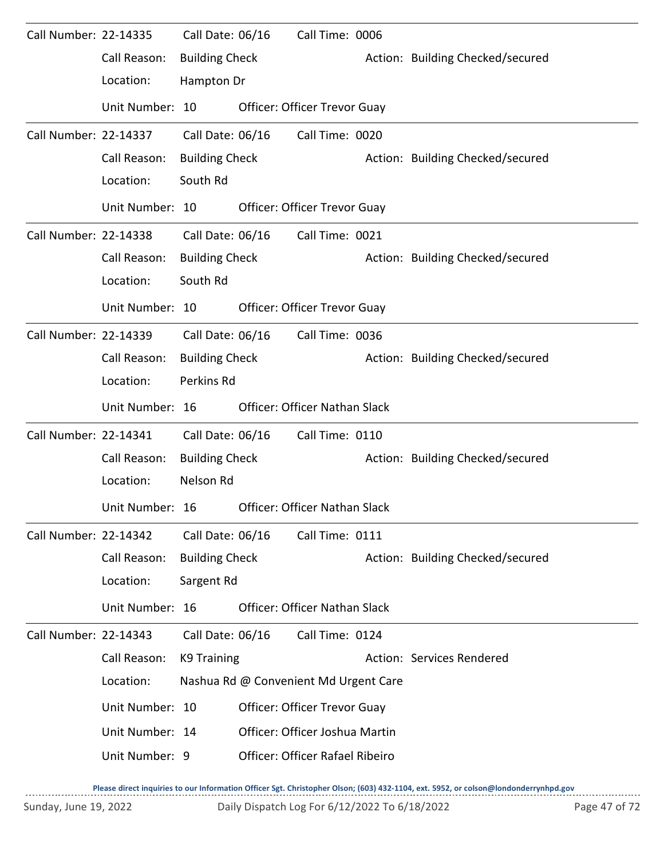| Call Number: 22-14335 |                 | Call Date: 06/16      | Call Time: 0006                       |                                  |  |
|-----------------------|-----------------|-----------------------|---------------------------------------|----------------------------------|--|
|                       | Call Reason:    | <b>Building Check</b> |                                       | Action: Building Checked/secured |  |
|                       | Location:       | Hampton Dr            |                                       |                                  |  |
|                       | Unit Number: 10 |                       | Officer: Officer Trevor Guay          |                                  |  |
| Call Number: 22-14337 |                 | Call Date: 06/16      | Call Time: 0020                       |                                  |  |
|                       | Call Reason:    | <b>Building Check</b> |                                       | Action: Building Checked/secured |  |
|                       | Location:       | South Rd              |                                       |                                  |  |
|                       | Unit Number: 10 |                       | Officer: Officer Trevor Guay          |                                  |  |
| Call Number: 22-14338 |                 | Call Date: 06/16      | Call Time: 0021                       |                                  |  |
|                       | Call Reason:    | <b>Building Check</b> |                                       | Action: Building Checked/secured |  |
|                       | Location:       | South Rd              |                                       |                                  |  |
|                       | Unit Number: 10 |                       | Officer: Officer Trevor Guay          |                                  |  |
| Call Number: 22-14339 |                 | Call Date: 06/16      | Call Time: 0036                       |                                  |  |
|                       | Call Reason:    | <b>Building Check</b> |                                       | Action: Building Checked/secured |  |
|                       | Location:       | Perkins Rd            |                                       |                                  |  |
|                       |                 |                       |                                       |                                  |  |
|                       | Unit Number: 16 |                       | <b>Officer: Officer Nathan Slack</b>  |                                  |  |
| Call Number: 22-14341 |                 | Call Date: 06/16      | Call Time: 0110                       |                                  |  |
|                       | Call Reason:    | <b>Building Check</b> |                                       | Action: Building Checked/secured |  |
|                       | Location:       | Nelson Rd             |                                       |                                  |  |
|                       | Unit Number: 16 |                       | Officer: Officer Nathan Slack         |                                  |  |
| Call Number: 22-14342 |                 | Call Date: 06/16      | Call Time: 0111                       |                                  |  |
|                       | Call Reason:    | <b>Building Check</b> |                                       | Action: Building Checked/secured |  |
|                       | Location:       | Sargent Rd            |                                       |                                  |  |
|                       | Unit Number: 16 |                       | Officer: Officer Nathan Slack         |                                  |  |
| Call Number: 22-14343 |                 | Call Date: 06/16      | Call Time: 0124                       |                                  |  |
|                       | Call Reason:    | K9 Training           |                                       | Action: Services Rendered        |  |
|                       | Location:       |                       | Nashua Rd @ Convenient Md Urgent Care |                                  |  |
|                       | Unit Number: 10 |                       | Officer: Officer Trevor Guay          |                                  |  |
|                       | Unit Number: 14 |                       | Officer: Officer Joshua Martin        |                                  |  |
|                       | Unit Number: 9  |                       | Officer: Officer Rafael Ribeiro       |                                  |  |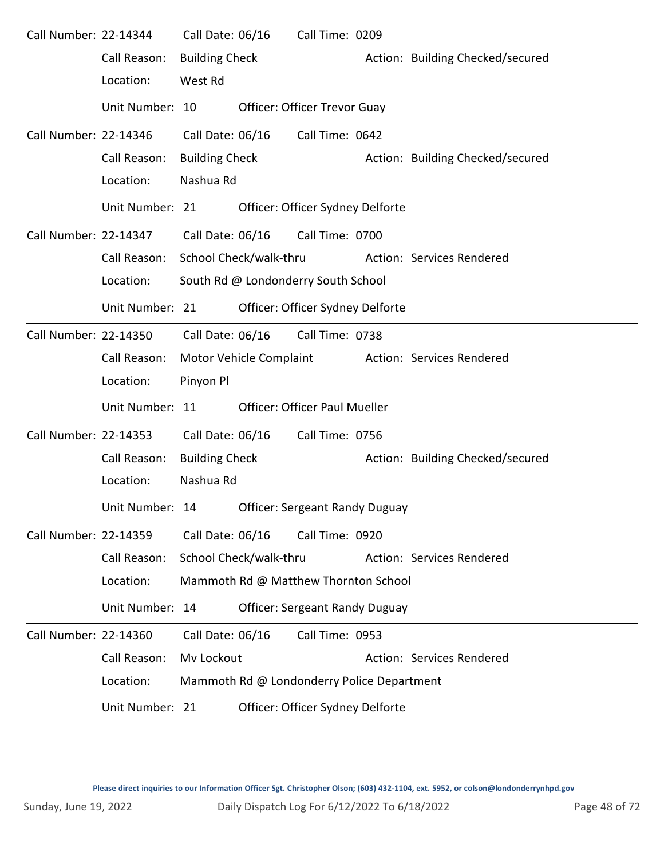| Call Number: 22-14344 |                 | Call Date: 06/16       |                         | Call Time: 0209                            |                                  |
|-----------------------|-----------------|------------------------|-------------------------|--------------------------------------------|----------------------------------|
|                       | Call Reason:    | <b>Building Check</b>  |                         |                                            | Action: Building Checked/secured |
|                       | Location:       | West Rd                |                         |                                            |                                  |
|                       | Unit Number: 10 |                        |                         | Officer: Officer Trevor Guay               |                                  |
| Call Number: 22-14346 |                 | Call Date: 06/16       |                         | Call Time: 0642                            |                                  |
|                       | Call Reason:    | <b>Building Check</b>  |                         |                                            | Action: Building Checked/secured |
|                       | Location:       | Nashua Rd              |                         |                                            |                                  |
|                       | Unit Number: 21 |                        |                         | Officer: Officer Sydney Delforte           |                                  |
| Call Number: 22-14347 |                 | Call Date: 06/16       |                         | Call Time: 0700                            |                                  |
|                       | Call Reason:    | School Check/walk-thru |                         |                                            | Action: Services Rendered        |
|                       | Location:       |                        |                         | South Rd @ Londonderry South School        |                                  |
|                       | Unit Number: 21 |                        |                         | Officer: Officer Sydney Delforte           |                                  |
| Call Number: 22-14350 |                 | Call Date: 06/16       |                         | Call Time: 0738                            |                                  |
|                       | Call Reason:    |                        | Motor Vehicle Complaint |                                            | Action: Services Rendered        |
|                       | Location:       | Pinyon Pl              |                         |                                            |                                  |
|                       | Unit Number: 11 |                        |                         | <b>Officer: Officer Paul Mueller</b>       |                                  |
| Call Number: 22-14353 |                 | Call Date: 06/16       |                         | Call Time: 0756                            |                                  |
|                       | Call Reason:    | <b>Building Check</b>  |                         |                                            | Action: Building Checked/secured |
|                       | Location:       | Nashua Rd              |                         |                                            |                                  |
|                       | Unit Number: 14 |                        |                         | <b>Officer: Sergeant Randy Duguay</b>      |                                  |
| Call Number: 22-14359 |                 | Call Date: 06/16       |                         | Call Time: 0920                            |                                  |
|                       | Call Reason:    |                        | School Check/walk-thru  |                                            | Action: Services Rendered        |
|                       | Location:       |                        |                         | Mammoth Rd @ Matthew Thornton School       |                                  |
|                       | Unit Number: 14 |                        |                         | <b>Officer: Sergeant Randy Duguay</b>      |                                  |
| Call Number: 22-14360 |                 | Call Date: 06/16       |                         | Call Time: 0953                            |                                  |
|                       | Call Reason:    | Mv Lockout             |                         |                                            | Action: Services Rendered        |
|                       | Location:       |                        |                         | Mammoth Rd @ Londonderry Police Department |                                  |
|                       | Unit Number: 21 |                        |                         | Officer: Officer Sydney Delforte           |                                  |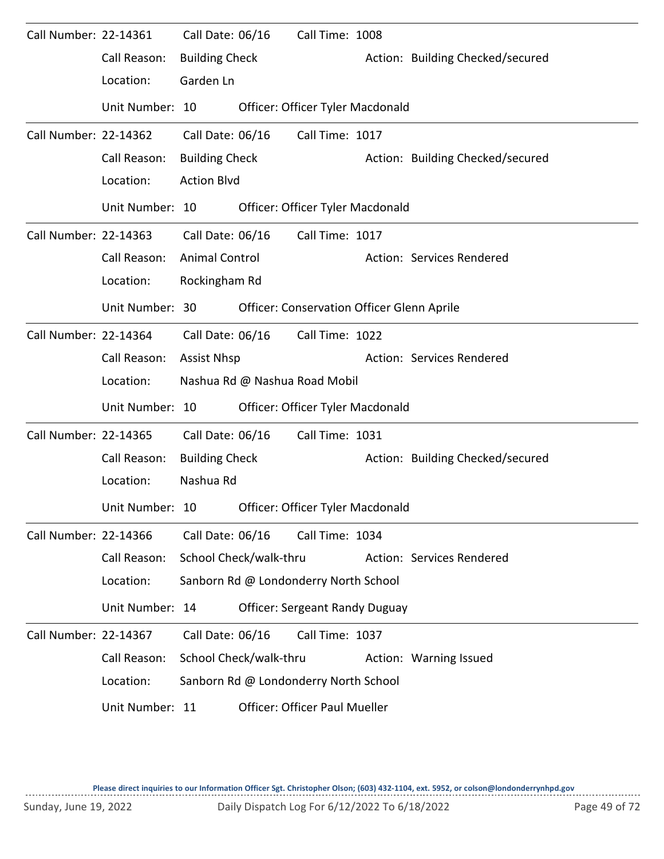| Call Number: 22-14361 | Call Reason:<br>Location:<br>Unit Number: 10                    | Call Date: 06/16<br><b>Building Check</b><br>Garden Ln          |                        | Call Time: 1008<br>Officer: Officer Tyler Macdonald                                                                                   | Action: Building Checked/secured |
|-----------------------|-----------------------------------------------------------------|-----------------------------------------------------------------|------------------------|---------------------------------------------------------------------------------------------------------------------------------------|----------------------------------|
| Call Number: 22-14362 | Call Reason:<br>Location:                                       | Call Date: 06/16<br><b>Building Check</b><br><b>Action Blvd</b> |                        | Call Time: 1017                                                                                                                       | Action: Building Checked/secured |
| Call Number: 22-14363 | Unit Number: 10<br>Call Reason:<br>Location:                    | Call Date: 06/16<br><b>Animal Control</b><br>Rockingham Rd      |                        | Officer: Officer Tyler Macdonald<br>Call Time: 1017                                                                                   | Action: Services Rendered        |
| Call Number: 22-14364 | Unit Number: 30<br>Call Reason:<br>Location:                    | Call Date: 06/16<br><b>Assist Nhsp</b>                          |                        | <b>Officer: Conservation Officer Glenn Aprile</b><br>Call Time: 1022<br>Nashua Rd @ Nashua Road Mobil                                 | Action: Services Rendered        |
| Call Number: 22-14365 | Unit Number: 10<br>Call Reason:<br>Location:                    | Call Date: 06/16<br><b>Building Check</b><br>Nashua Rd          |                        | Officer: Officer Tyler Macdonald<br>Call Time: 1031                                                                                   | Action: Building Checked/secured |
| Call Number: 22-14366 | Unit Number: 10<br>Call Reason:<br>Location:<br>Unit Number: 14 | Call Date: 06/16                                                | School Check/walk-thru | Officer: Officer Tyler Macdonald<br>Call Time: 1034<br>Sanborn Rd @ Londonderry North School<br><b>Officer: Sergeant Randy Duguay</b> | Action: Services Rendered        |
| Call Number: 22-14367 | Call Reason:<br>Location:<br>Unit Number: 11                    | Call Date: 06/16                                                | School Check/walk-thru | Call Time: 1037<br>Sanborn Rd @ Londonderry North School<br>Officer: Officer Paul Mueller                                             | Action: Warning Issued           |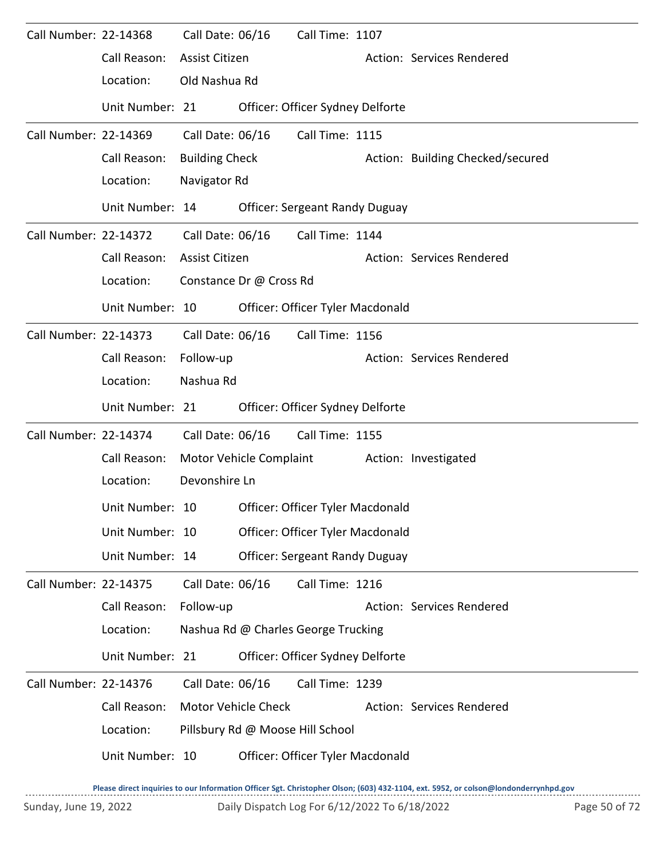| Call Number: 22-14368 |                 | Call Date: 06/16      |                            | Call Time: 1107                       |                                  |
|-----------------------|-----------------|-----------------------|----------------------------|---------------------------------------|----------------------------------|
|                       | Call Reason:    | Assist Citizen        |                            |                                       | Action: Services Rendered        |
|                       | Location:       | Old Nashua Rd         |                            |                                       |                                  |
|                       | Unit Number: 21 |                       |                            | Officer: Officer Sydney Delforte      |                                  |
| Call Number: 22-14369 |                 | Call Date: 06/16      |                            | Call Time: 1115                       |                                  |
|                       | Call Reason:    | <b>Building Check</b> |                            |                                       | Action: Building Checked/secured |
|                       | Location:       | Navigator Rd          |                            |                                       |                                  |
|                       | Unit Number: 14 |                       |                            | <b>Officer: Sergeant Randy Duguay</b> |                                  |
| Call Number: 22-14372 |                 | Call Date: 06/16      |                            | Call Time: 1144                       |                                  |
|                       | Call Reason:    | <b>Assist Citizen</b> |                            |                                       | Action: Services Rendered        |
|                       | Location:       |                       | Constance Dr @ Cross Rd    |                                       |                                  |
|                       | Unit Number: 10 |                       |                            | Officer: Officer Tyler Macdonald      |                                  |
| Call Number: 22-14373 |                 | Call Date: 06/16      |                            | Call Time: 1156                       |                                  |
|                       | Call Reason:    | Follow-up             |                            |                                       | Action: Services Rendered        |
|                       | Location:       | Nashua Rd             |                            |                                       |                                  |
|                       | Unit Number: 21 |                       |                            | Officer: Officer Sydney Delforte      |                                  |
| Call Number: 22-14374 |                 | Call Date: 06/16      |                            | Call Time: 1155                       |                                  |
|                       | Call Reason:    |                       | Motor Vehicle Complaint    |                                       | Action: Investigated             |
|                       | Location:       | Devonshire Ln         |                            |                                       |                                  |
|                       | Unit Number: 10 |                       |                            | Officer: Officer Tyler Macdonald      |                                  |
|                       | Unit Number: 10 |                       |                            | Officer: Officer Tyler Macdonald      |                                  |
|                       | Unit Number: 14 |                       |                            | <b>Officer: Sergeant Randy Duguay</b> |                                  |
| Call Number: 22-14375 |                 | Call Date: 06/16      |                            | Call Time: 1216                       |                                  |
|                       | Call Reason:    | Follow-up             |                            |                                       | Action: Services Rendered        |
|                       | Location:       |                       |                            | Nashua Rd @ Charles George Trucking   |                                  |
|                       | Unit Number: 21 |                       |                            | Officer: Officer Sydney Delforte      |                                  |
| Call Number: 22-14376 |                 | Call Date: 06/16      |                            | Call Time: 1239                       |                                  |
|                       | Call Reason:    |                       | <b>Motor Vehicle Check</b> |                                       | Action: Services Rendered        |
|                       | Location:       |                       |                            | Pillsbury Rd @ Moose Hill School      |                                  |
|                       | Unit Number: 10 |                       |                            | Officer: Officer Tyler Macdonald      |                                  |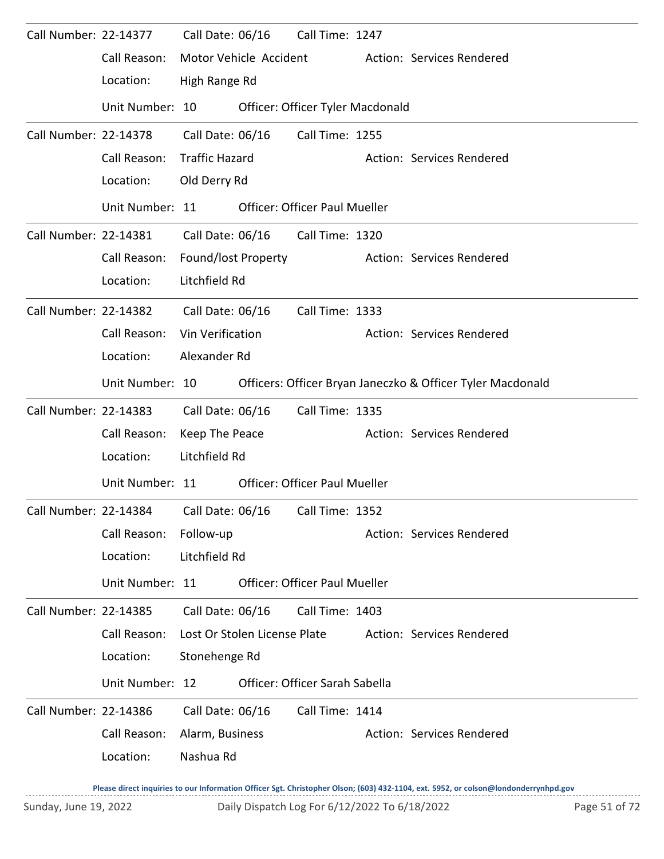| Call Number: 22-14377 |                                                              | Call Date: 06/16             |                  | Call Time: 1247                      |  |                                                            |  |  |  |  |
|-----------------------|--------------------------------------------------------------|------------------------------|------------------|--------------------------------------|--|------------------------------------------------------------|--|--|--|--|
|                       | Call Reason:                                                 | Motor Vehicle Accident       |                  |                                      |  | Action: Services Rendered                                  |  |  |  |  |
|                       | Location:                                                    |                              | High Range Rd    |                                      |  |                                                            |  |  |  |  |
|                       | Unit Number: 10                                              |                              |                  | Officer: Officer Tyler Macdonald     |  |                                                            |  |  |  |  |
| Call Number: 22-14378 |                                                              | Call Date: 06/16             |                  | Call Time: 1255                      |  |                                                            |  |  |  |  |
|                       | Call Reason:                                                 | <b>Traffic Hazard</b>        |                  |                                      |  | Action: Services Rendered                                  |  |  |  |  |
|                       | Location:                                                    | Old Derry Rd                 |                  |                                      |  |                                                            |  |  |  |  |
|                       | Unit Number: 11                                              |                              |                  | <b>Officer: Officer Paul Mueller</b> |  |                                                            |  |  |  |  |
| Call Number: 22-14381 |                                                              |                              | Call Date: 06/16 | Call Time: 1320                      |  |                                                            |  |  |  |  |
|                       | Call Reason:                                                 | Found/lost Property          |                  |                                      |  | Action: Services Rendered                                  |  |  |  |  |
|                       | Location:                                                    | Litchfield Rd                |                  |                                      |  |                                                            |  |  |  |  |
| Call Number: 22-14382 |                                                              | Call Date: 06/16             |                  | Call Time: 1333                      |  |                                                            |  |  |  |  |
|                       | Call Reason:                                                 | Vin Verification             |                  |                                      |  | Action: Services Rendered                                  |  |  |  |  |
|                       | Location:                                                    | Alexander Rd                 |                  |                                      |  |                                                            |  |  |  |  |
|                       | Unit Number: 10                                              |                              |                  |                                      |  | Officers: Officer Bryan Janeczko & Officer Tyler Macdonald |  |  |  |  |
| Call Number: 22-14383 |                                                              | Call Date: 06/16             |                  | Call Time: 1335                      |  |                                                            |  |  |  |  |
|                       | Call Reason:                                                 | Keep The Peace               |                  |                                      |  | Action: Services Rendered                                  |  |  |  |  |
|                       | Location:                                                    | Litchfield Rd                |                  |                                      |  |                                                            |  |  |  |  |
|                       | Unit Number: 11                                              |                              |                  | <b>Officer: Officer Paul Mueller</b> |  |                                                            |  |  |  |  |
|                       | Call Number: 22-14384    Call Date: 06/16    Call Time: 1352 |                              |                  |                                      |  |                                                            |  |  |  |  |
|                       | Call Reason:                                                 | Follow-up                    |                  |                                      |  | Action: Services Rendered                                  |  |  |  |  |
|                       | Location:                                                    | Litchfield Rd                |                  |                                      |  |                                                            |  |  |  |  |
|                       | Unit Number: 11                                              |                              |                  | <b>Officer: Officer Paul Mueller</b> |  |                                                            |  |  |  |  |
| Call Number: 22-14385 |                                                              | Call Date: 06/16             |                  | Call Time: 1403                      |  |                                                            |  |  |  |  |
|                       | Call Reason:                                                 | Lost Or Stolen License Plate |                  |                                      |  | Action: Services Rendered                                  |  |  |  |  |
|                       | Location:                                                    | Stonehenge Rd                |                  |                                      |  |                                                            |  |  |  |  |
|                       | Unit Number: 12                                              |                              |                  | Officer: Officer Sarah Sabella       |  |                                                            |  |  |  |  |
| Call Number: 22-14386 |                                                              | Call Date: 06/16             |                  | Call Time: 1414                      |  |                                                            |  |  |  |  |
|                       | Call Reason:                                                 | Alarm, Business              |                  |                                      |  | Action: Services Rendered                                  |  |  |  |  |
|                       | Location:                                                    | Nashua Rd                    |                  |                                      |  |                                                            |  |  |  |  |
|                       |                                                              |                              |                  |                                      |  |                                                            |  |  |  |  |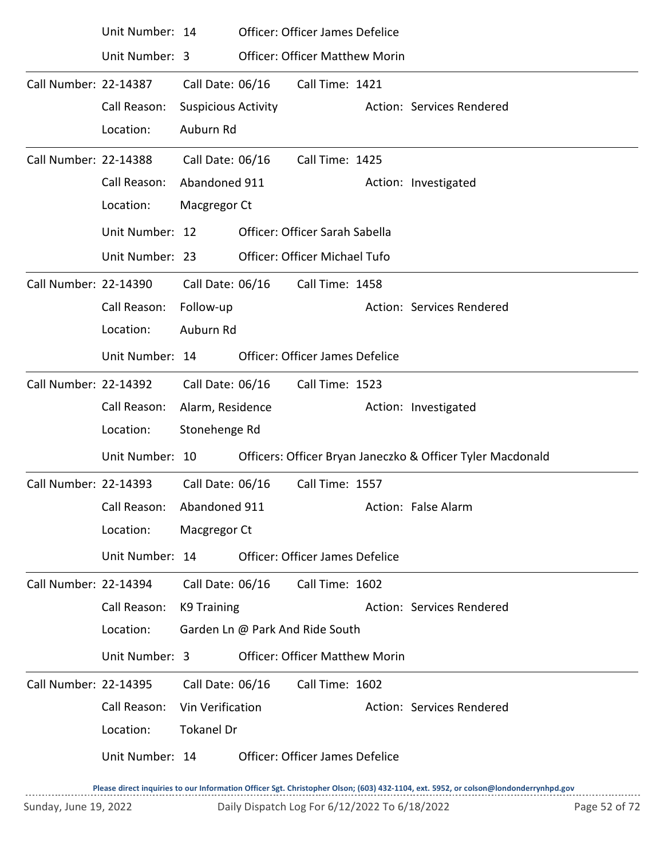|                       | Unit Number: 14            |                            |                  | Officer: Officer James Defelice        |                                                            |
|-----------------------|----------------------------|----------------------------|------------------|----------------------------------------|------------------------------------------------------------|
|                       | Unit Number: 3             |                            |                  | <b>Officer: Officer Matthew Morin</b>  |                                                            |
| Call Number: 22-14387 |                            | Call Date: 06/16           |                  | Call Time: 1421                        |                                                            |
|                       | Call Reason:               | <b>Suspicious Activity</b> |                  |                                        | Action: Services Rendered                                  |
|                       | Location:                  | Auburn Rd                  |                  |                                        |                                                            |
| Call Number: 22-14388 |                            | Call Date: 06/16           |                  | Call Time: 1425                        |                                                            |
|                       | Call Reason:               | Abandoned 911              |                  |                                        | Action: Investigated                                       |
|                       | Location:                  | Macgregor Ct               |                  |                                        |                                                            |
|                       | Unit Number: 12            |                            |                  | Officer: Officer Sarah Sabella         |                                                            |
|                       | Unit Number: 23            |                            |                  | Officer: Officer Michael Tufo          |                                                            |
| Call Number: 22-14390 |                            | Call Date: 06/16           |                  | Call Time: 1458                        |                                                            |
|                       | Call Reason:               | Follow-up                  |                  |                                        | Action: Services Rendered                                  |
|                       | Location:                  | Auburn Rd                  |                  |                                        |                                                            |
|                       | Unit Number: 14            |                            |                  | <b>Officer: Officer James Defelice</b> |                                                            |
| Call Number: 22-14392 |                            |                            | Call Date: 06/16 | Call Time: 1523                        |                                                            |
|                       | Call Reason:               | Alarm, Residence           |                  |                                        | Action: Investigated                                       |
|                       | Location:                  | Stonehenge Rd              |                  |                                        |                                                            |
|                       | Unit Number: 10            |                            |                  |                                        | Officers: Officer Bryan Janeczko & Officer Tyler Macdonald |
| Call Number: 22-14393 |                            | Call Date: 06/16           |                  | Call Time: 1557                        |                                                            |
|                       | Call Reason: Abandoned 911 |                            |                  |                                        | Action: False Alarm                                        |
|                       | Location:                  | Macgregor Ct               |                  |                                        |                                                            |
|                       | Unit Number: 14            |                            |                  | <b>Officer: Officer James Defelice</b> |                                                            |
| Call Number: 22-14394 |                            | Call Date: 06/16           |                  | Call Time: 1602                        |                                                            |
|                       | Call Reason:               | K9 Training                |                  |                                        | Action: Services Rendered                                  |
|                       | Location:                  |                            |                  | Garden Ln @ Park And Ride South        |                                                            |
|                       | Unit Number: 3             |                            |                  | <b>Officer: Officer Matthew Morin</b>  |                                                            |
| Call Number: 22-14395 |                            | Call Date: 06/16           |                  | Call Time: 1602                        |                                                            |
|                       | Call Reason:               | Vin Verification           |                  |                                        | Action: Services Rendered                                  |
|                       | Location:                  | <b>Tokanel Dr</b>          |                  |                                        |                                                            |
|                       | Unit Number: 14            |                            |                  | <b>Officer: Officer James Defelice</b> |                                                            |
|                       |                            |                            |                  |                                        |                                                            |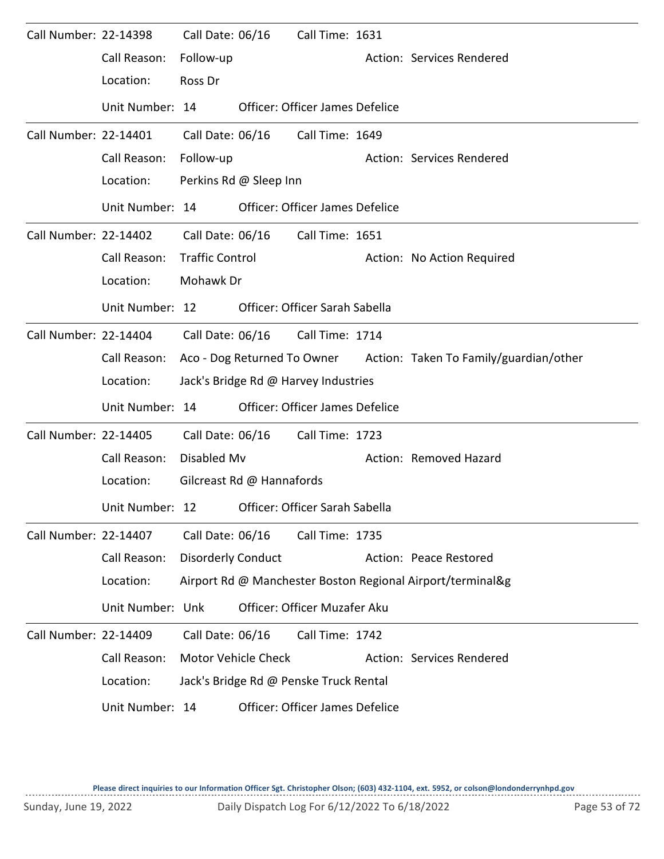| Call Number: 22-14398 |                  | Call Date: 06/16                     |  | Call Time: 1631                        |  |                                                                    |  |  |  |
|-----------------------|------------------|--------------------------------------|--|----------------------------------------|--|--------------------------------------------------------------------|--|--|--|
|                       | Call Reason:     | Follow-up                            |  |                                        |  | Action: Services Rendered                                          |  |  |  |
|                       | Location:        | Ross Dr                              |  |                                        |  |                                                                    |  |  |  |
|                       | Unit Number: 14  |                                      |  | <b>Officer: Officer James Defelice</b> |  |                                                                    |  |  |  |
| Call Number: 22-14401 |                  | Call Date: 06/16                     |  | Call Time: 1649                        |  |                                                                    |  |  |  |
|                       | Call Reason:     | Follow-up                            |  |                                        |  | Action: Services Rendered                                          |  |  |  |
|                       | Location:        | Perkins Rd @ Sleep Inn               |  |                                        |  |                                                                    |  |  |  |
|                       | Unit Number: 14  |                                      |  | <b>Officer: Officer James Defelice</b> |  |                                                                    |  |  |  |
| Call Number: 22-14402 |                  |                                      |  | Call Date: 06/16 Call Time: 1651       |  |                                                                    |  |  |  |
|                       | Call Reason:     | <b>Traffic Control</b>               |  |                                        |  | Action: No Action Required                                         |  |  |  |
|                       | Location:        | Mohawk Dr                            |  |                                        |  |                                                                    |  |  |  |
|                       | Unit Number: 12  |                                      |  | Officer: Officer Sarah Sabella         |  |                                                                    |  |  |  |
| Call Number: 22-14404 |                  | Call Date: 06/16                     |  | Call Time: 1714                        |  |                                                                    |  |  |  |
|                       | Call Reason:     |                                      |  |                                        |  | Aco - Dog Returned To Owner Action: Taken To Family/guardian/other |  |  |  |
|                       | Location:        | Jack's Bridge Rd @ Harvey Industries |  |                                        |  |                                                                    |  |  |  |
|                       | Unit Number: 14  |                                      |  | <b>Officer: Officer James Defelice</b> |  |                                                                    |  |  |  |
| Call Number: 22-14405 |                  | Call Date: 06/16                     |  | Call Time: 1723                        |  |                                                                    |  |  |  |
|                       | Call Reason:     | Disabled Mv                          |  |                                        |  | Action: Removed Hazard                                             |  |  |  |
|                       | Location:        | Gilcreast Rd @ Hannafords            |  |                                        |  |                                                                    |  |  |  |
|                       | Unit Number: 12  |                                      |  | Officer: Officer Sarah Sabella         |  |                                                                    |  |  |  |
| Call Number: 22-14407 |                  | Call Date: 06/16                     |  | Call Time: 1735                        |  |                                                                    |  |  |  |
|                       | Call Reason:     | <b>Disorderly Conduct</b>            |  |                                        |  | Action: Peace Restored                                             |  |  |  |
|                       | Location:        |                                      |  |                                        |  | Airport Rd @ Manchester Boston Regional Airport/terminal&g         |  |  |  |
|                       | Unit Number: Unk |                                      |  | Officer: Officer Muzafer Aku           |  |                                                                    |  |  |  |
| Call Number: 22-14409 |                  | Call Date: 06/16                     |  | Call Time: 1742                        |  |                                                                    |  |  |  |
|                       | Call Reason:     | Motor Vehicle Check                  |  |                                        |  | Action: Services Rendered                                          |  |  |  |
|                       | Location:        |                                      |  | Jack's Bridge Rd @ Penske Truck Rental |  |                                                                    |  |  |  |
|                       | Unit Number: 14  |                                      |  | Officer: Officer James Defelice        |  |                                                                    |  |  |  |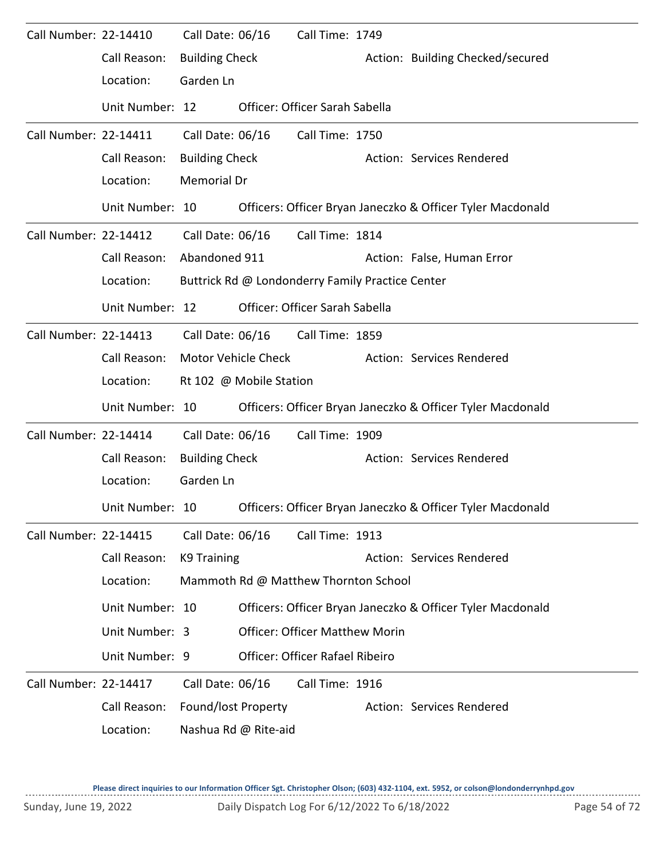| Call Number: 22-14410 |                 | Call Date: 06/16      |                            | Call Time: 1749                                  |                                                            |
|-----------------------|-----------------|-----------------------|----------------------------|--------------------------------------------------|------------------------------------------------------------|
|                       | Call Reason:    | <b>Building Check</b> |                            |                                                  | Action: Building Checked/secured                           |
|                       | Location:       | Garden Ln             |                            |                                                  |                                                            |
|                       | Unit Number: 12 |                       |                            | Officer: Officer Sarah Sabella                   |                                                            |
| Call Number: 22-14411 |                 | Call Date: 06/16      |                            | Call Time: 1750                                  |                                                            |
|                       | Call Reason:    | <b>Building Check</b> |                            |                                                  | Action: Services Rendered                                  |
|                       | Location:       | <b>Memorial Dr</b>    |                            |                                                  |                                                            |
|                       | Unit Number: 10 |                       |                            |                                                  | Officers: Officer Bryan Janeczko & Officer Tyler Macdonald |
| Call Number: 22-14412 |                 | Call Date: 06/16      |                            | Call Time: 1814                                  |                                                            |
|                       | Call Reason:    | Abandoned 911         |                            |                                                  | Action: False, Human Error                                 |
|                       | Location:       |                       |                            | Buttrick Rd @ Londonderry Family Practice Center |                                                            |
|                       | Unit Number: 12 |                       |                            | Officer: Officer Sarah Sabella                   |                                                            |
| Call Number: 22-14413 |                 | Call Date: 06/16      |                            | Call Time: 1859                                  |                                                            |
|                       | Call Reason:    |                       | <b>Motor Vehicle Check</b> |                                                  | Action: Services Rendered                                  |
|                       | Location:       |                       | Rt 102 @ Mobile Station    |                                                  |                                                            |
|                       | Unit Number: 10 |                       |                            |                                                  | Officers: Officer Bryan Janeczko & Officer Tyler Macdonald |
| Call Number: 22-14414 |                 | Call Date: 06/16      |                            | Call Time: 1909                                  |                                                            |
|                       | Call Reason:    | <b>Building Check</b> |                            |                                                  | Action: Services Rendered                                  |
|                       | Location:       | Garden Ln             |                            |                                                  |                                                            |
|                       | Unit Number: 10 |                       |                            |                                                  | Officers: Officer Bryan Janeczko & Officer Tyler Macdonald |
| Call Number: 22-14415 |                 | Call Date: 06/16      |                            | Call Time: 1913                                  |                                                            |
|                       | Call Reason:    | K9 Training           |                            |                                                  | Action: Services Rendered                                  |
|                       | Location:       |                       |                            | Mammoth Rd @ Matthew Thornton School             |                                                            |
|                       | Unit Number: 10 |                       |                            |                                                  | Officers: Officer Bryan Janeczko & Officer Tyler Macdonald |
|                       | Unit Number: 3  |                       |                            | <b>Officer: Officer Matthew Morin</b>            |                                                            |
|                       | Unit Number: 9  |                       |                            | Officer: Officer Rafael Ribeiro                  |                                                            |
| Call Number: 22-14417 |                 | Call Date: 06/16      |                            | Call Time: 1916                                  |                                                            |
|                       | Call Reason:    | Found/lost Property   |                            |                                                  | Action: Services Rendered                                  |
|                       | Location:       |                       | Nashua Rd @ Rite-aid       |                                                  |                                                            |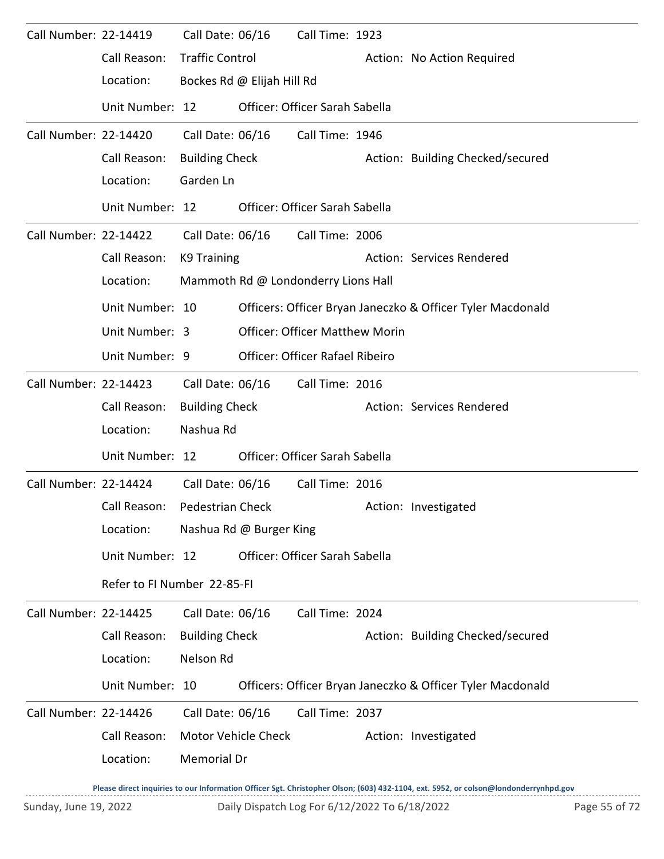| Call Number: 22-14419 |                             | Call Date: 06/16       |                            | Call Time: 1923                       |  |                                                            |  |  |  |
|-----------------------|-----------------------------|------------------------|----------------------------|---------------------------------------|--|------------------------------------------------------------|--|--|--|
|                       | Call Reason:                | <b>Traffic Control</b> |                            |                                       |  | Action: No Action Required                                 |  |  |  |
|                       | Location:                   |                        | Bockes Rd @ Elijah Hill Rd |                                       |  |                                                            |  |  |  |
|                       | Unit Number: 12             |                        |                            | Officer: Officer Sarah Sabella        |  |                                                            |  |  |  |
| Call Number: 22-14420 |                             | Call Date: 06/16       |                            | Call Time: 1946                       |  |                                                            |  |  |  |
|                       | Call Reason:                | <b>Building Check</b>  |                            |                                       |  | Action: Building Checked/secured                           |  |  |  |
|                       | Location:                   | Garden Ln              |                            |                                       |  |                                                            |  |  |  |
|                       | Unit Number: 12             |                        |                            | Officer: Officer Sarah Sabella        |  |                                                            |  |  |  |
| Call Number: 22-14422 |                             | Call Date: 06/16       |                            | Call Time: 2006                       |  |                                                            |  |  |  |
|                       | Call Reason:                | K9 Training            |                            |                                       |  | Action: Services Rendered                                  |  |  |  |
|                       | Location:                   |                        |                            | Mammoth Rd @ Londonderry Lions Hall   |  |                                                            |  |  |  |
|                       | Unit Number: 10             |                        |                            |                                       |  | Officers: Officer Bryan Janeczko & Officer Tyler Macdonald |  |  |  |
|                       | Unit Number: 3              |                        |                            | <b>Officer: Officer Matthew Morin</b> |  |                                                            |  |  |  |
|                       | Unit Number: 9              |                        |                            | Officer: Officer Rafael Ribeiro       |  |                                                            |  |  |  |
| Call Number: 22-14423 |                             | Call Date: 06/16       |                            | Call Time: 2016                       |  |                                                            |  |  |  |
|                       | Call Reason:                | <b>Building Check</b>  |                            |                                       |  | Action: Services Rendered                                  |  |  |  |
|                       | Location:                   | Nashua Rd              |                            |                                       |  |                                                            |  |  |  |
|                       | Unit Number: 12             |                        |                            | Officer: Officer Sarah Sabella        |  |                                                            |  |  |  |
| Call Number: 22-14424 |                             | Call Date: 06/16       |                            | Call Time: 2016                       |  |                                                            |  |  |  |
|                       | Call Reason:                | Pedestrian Check       |                            |                                       |  | Action: Investigated                                       |  |  |  |
|                       | Location:                   |                        | Nashua Rd @ Burger King    |                                       |  |                                                            |  |  |  |
|                       | Unit Number: 12             |                        |                            | Officer: Officer Sarah Sabella        |  |                                                            |  |  |  |
|                       | Refer to FI Number 22-85-FI |                        |                            |                                       |  |                                                            |  |  |  |
| Call Number: 22-14425 |                             | Call Date: 06/16       |                            | Call Time: 2024                       |  |                                                            |  |  |  |
|                       | Call Reason:                | <b>Building Check</b>  |                            |                                       |  | Action: Building Checked/secured                           |  |  |  |
|                       | Location:                   | Nelson Rd              |                            |                                       |  |                                                            |  |  |  |
|                       | Unit Number: 10             |                        |                            |                                       |  | Officers: Officer Bryan Janeczko & Officer Tyler Macdonald |  |  |  |
| Call Number: 22-14426 |                             | Call Date: 06/16       |                            | Call Time: 2037                       |  |                                                            |  |  |  |
|                       | Call Reason:                |                        | Motor Vehicle Check        |                                       |  | Action: Investigated                                       |  |  |  |
|                       | Location:                   | Memorial Dr            |                            |                                       |  |                                                            |  |  |  |
|                       |                             |                        |                            |                                       |  |                                                            |  |  |  |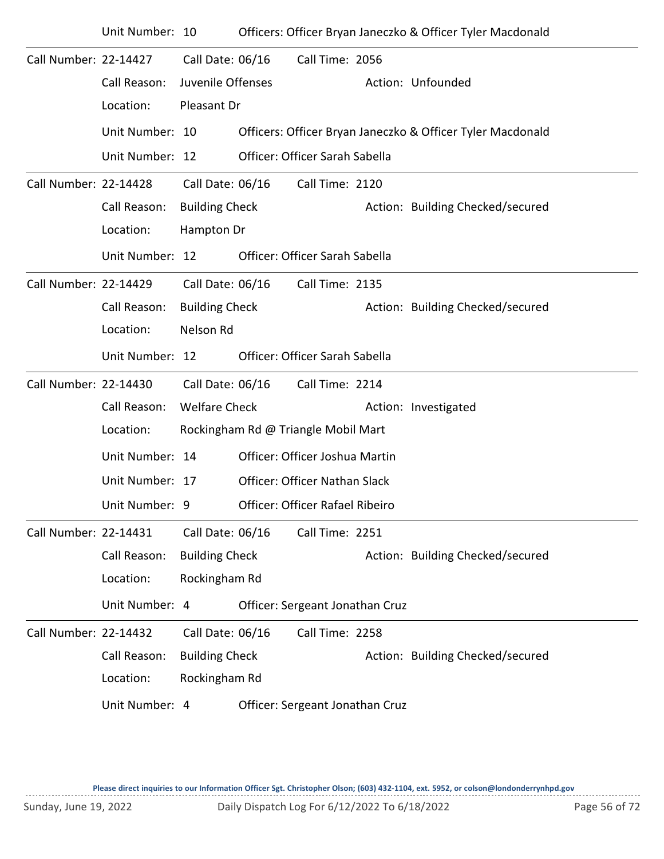|                       | Unit Number: 10 |                       |                                      | Officers: Officer Bryan Janeczko & Officer Tyler Macdonald |
|-----------------------|-----------------|-----------------------|--------------------------------------|------------------------------------------------------------|
| Call Number: 22-14427 |                 | Call Date: 06/16      | Call Time: 2056                      |                                                            |
|                       | Call Reason:    | Juvenile Offenses     |                                      | Action: Unfounded                                          |
|                       | Location:       | Pleasant Dr           |                                      |                                                            |
|                       | Unit Number: 10 |                       |                                      | Officers: Officer Bryan Janeczko & Officer Tyler Macdonald |
|                       | Unit Number: 12 |                       | Officer: Officer Sarah Sabella       |                                                            |
| Call Number: 22-14428 |                 | Call Date: 06/16      | Call Time: 2120                      |                                                            |
|                       | Call Reason:    | <b>Building Check</b> |                                      | Action: Building Checked/secured                           |
|                       | Location:       | Hampton Dr            |                                      |                                                            |
|                       | Unit Number: 12 |                       | Officer: Officer Sarah Sabella       |                                                            |
| Call Number: 22-14429 |                 | Call Date: 06/16      | Call Time: 2135                      |                                                            |
|                       | Call Reason:    | <b>Building Check</b> |                                      | Action: Building Checked/secured                           |
|                       | Location:       | Nelson Rd             |                                      |                                                            |
|                       | Unit Number: 12 |                       | Officer: Officer Sarah Sabella       |                                                            |
| Call Number: 22-14430 |                 | Call Date: 06/16      | Call Time: 2214                      |                                                            |
|                       | Call Reason:    | <b>Welfare Check</b>  |                                      | Action: Investigated                                       |
|                       | Location:       |                       | Rockingham Rd @ Triangle Mobil Mart  |                                                            |
|                       | Unit Number: 14 |                       | Officer: Officer Joshua Martin       |                                                            |
|                       | Unit Number: 17 |                       | <b>Officer: Officer Nathan Slack</b> |                                                            |
|                       | Unit Number: 9  |                       | Officer: Officer Rafael Ribeiro      |                                                            |
| Call Number: 22-14431 |                 | Call Date: 06/16      | Call Time: 2251                      |                                                            |
|                       | Call Reason:    | <b>Building Check</b> |                                      | Action: Building Checked/secured                           |
|                       | Location:       | Rockingham Rd         |                                      |                                                            |
|                       | Unit Number: 4  |                       | Officer: Sergeant Jonathan Cruz      |                                                            |
| Call Number: 22-14432 |                 | Call Date: 06/16      | Call Time: 2258                      |                                                            |
|                       | Call Reason:    | <b>Building Check</b> |                                      | Action: Building Checked/secured                           |
|                       | Location:       | Rockingham Rd         |                                      |                                                            |
|                       | Unit Number: 4  |                       | Officer: Sergeant Jonathan Cruz      |                                                            |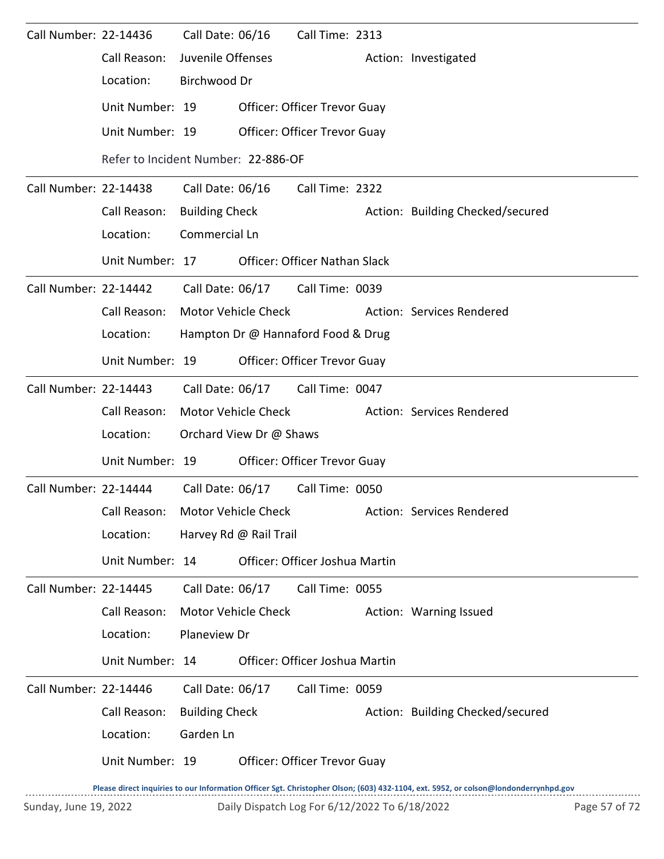| Call Number: 22-14436 |                                     | Call Date: 06/16      |                                    | Call Time: 2313                      |  |                                  |  |  |  |  |
|-----------------------|-------------------------------------|-----------------------|------------------------------------|--------------------------------------|--|----------------------------------|--|--|--|--|
|                       | Call Reason:                        | Juvenile Offenses     |                                    |                                      |  | Action: Investigated             |  |  |  |  |
|                       | Location:                           | Birchwood Dr          |                                    |                                      |  |                                  |  |  |  |  |
|                       | Unit Number: 19                     |                       |                                    | <b>Officer: Officer Trevor Guay</b>  |  |                                  |  |  |  |  |
|                       | Unit Number: 19                     |                       |                                    | <b>Officer: Officer Trevor Guay</b>  |  |                                  |  |  |  |  |
|                       | Refer to Incident Number: 22-886-OF |                       |                                    |                                      |  |                                  |  |  |  |  |
| Call Number: 22-14438 |                                     | Call Date: 06/16      |                                    | Call Time: 2322                      |  |                                  |  |  |  |  |
|                       | Call Reason:                        | <b>Building Check</b> |                                    |                                      |  | Action: Building Checked/secured |  |  |  |  |
|                       | Location:                           | Commercial Ln         |                                    |                                      |  |                                  |  |  |  |  |
|                       | Unit Number: 17                     |                       |                                    | <b>Officer: Officer Nathan Slack</b> |  |                                  |  |  |  |  |
| Call Number: 22-14442 |                                     |                       | Call Date: 06/17                   | Call Time: 0039                      |  |                                  |  |  |  |  |
|                       | Call Reason:                        |                       | Motor Vehicle Check                |                                      |  | Action: Services Rendered        |  |  |  |  |
|                       | Location:                           |                       | Hampton Dr @ Hannaford Food & Drug |                                      |  |                                  |  |  |  |  |
|                       | Unit Number: 19                     |                       |                                    | Officer: Officer Trevor Guay         |  |                                  |  |  |  |  |
| Call Number: 22-14443 |                                     |                       |                                    | Call Date: 06/17 Call Time: 0047     |  |                                  |  |  |  |  |
|                       | Call Reason:                        | Motor Vehicle Check   |                                    |                                      |  | Action: Services Rendered        |  |  |  |  |
|                       | Location:                           |                       | Orchard View Dr @ Shaws            |                                      |  |                                  |  |  |  |  |
|                       | Unit Number: 19                     |                       |                                    | <b>Officer: Officer Trevor Guay</b>  |  |                                  |  |  |  |  |
| Call Number: 22-14444 |                                     |                       | Call Date: 06/17                   | Call Time: 0050                      |  |                                  |  |  |  |  |
|                       | Call Reason:                        |                       | Motor Vehicle Check                |                                      |  | Action: Services Rendered        |  |  |  |  |
|                       | Location:                           |                       | Harvey Rd @ Rail Trail             |                                      |  |                                  |  |  |  |  |
|                       | Unit Number: 14                     |                       |                                    | Officer: Officer Joshua Martin       |  |                                  |  |  |  |  |
| Call Number: 22-14445 |                                     | Call Date: 06/17      |                                    | Call Time: 0055                      |  |                                  |  |  |  |  |
|                       | Call Reason:                        |                       | Motor Vehicle Check                |                                      |  | Action: Warning Issued           |  |  |  |  |
|                       | Location:                           | Planeview Dr          |                                    |                                      |  |                                  |  |  |  |  |
|                       | Unit Number: 14                     |                       |                                    | Officer: Officer Joshua Martin       |  |                                  |  |  |  |  |
| Call Number: 22-14446 |                                     | Call Date: 06/17      |                                    | Call Time: 0059                      |  |                                  |  |  |  |  |
|                       | Call Reason:                        | <b>Building Check</b> |                                    |                                      |  | Action: Building Checked/secured |  |  |  |  |
|                       | Location:                           | Garden Ln             |                                    |                                      |  |                                  |  |  |  |  |
|                       | Unit Number: 19                     |                       |                                    | Officer: Officer Trevor Guay         |  |                                  |  |  |  |  |
|                       |                                     |                       |                                    |                                      |  |                                  |  |  |  |  |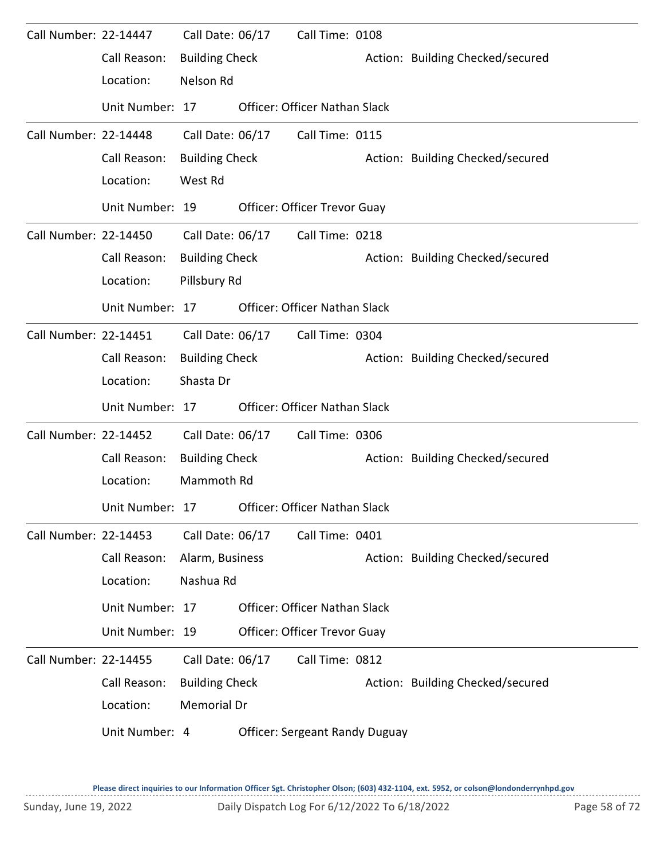| Call Number: 22-14447 |                 | Call Date: 06/17      | Call Time: 0108                       |                                  |
|-----------------------|-----------------|-----------------------|---------------------------------------|----------------------------------|
|                       | Call Reason:    | <b>Building Check</b> |                                       | Action: Building Checked/secured |
|                       | Location:       | Nelson Rd             |                                       |                                  |
|                       | Unit Number: 17 |                       | <b>Officer: Officer Nathan Slack</b>  |                                  |
| Call Number: 22-14448 |                 | Call Date: 06/17      | Call Time: 0115                       |                                  |
|                       | Call Reason:    | <b>Building Check</b> |                                       | Action: Building Checked/secured |
|                       | Location:       | West Rd               |                                       |                                  |
|                       | Unit Number: 19 |                       | <b>Officer: Officer Trevor Guay</b>   |                                  |
| Call Number: 22-14450 |                 | Call Date: 06/17      | Call Time: 0218                       |                                  |
|                       | Call Reason:    | <b>Building Check</b> |                                       | Action: Building Checked/secured |
|                       | Location:       | Pillsbury Rd          |                                       |                                  |
|                       | Unit Number: 17 |                       | <b>Officer: Officer Nathan Slack</b>  |                                  |
| Call Number: 22-14451 |                 | Call Date: 06/17      | Call Time: 0304                       |                                  |
|                       | Call Reason:    | <b>Building Check</b> |                                       | Action: Building Checked/secured |
|                       | Location:       | Shasta Dr             |                                       |                                  |
|                       | Unit Number: 17 |                       | <b>Officer: Officer Nathan Slack</b>  |                                  |
| Call Number: 22-14452 |                 | Call Date: 06/17      | Call Time: 0306                       |                                  |
|                       | Call Reason:    | <b>Building Check</b> |                                       | Action: Building Checked/secured |
|                       | Location:       | Mammoth Rd            |                                       |                                  |
|                       | Unit Number: 17 |                       | <b>Officer: Officer Nathan Slack</b>  |                                  |
| Call Number: 22-14453 |                 | Call Date: 06/17      | Call Time: 0401                       |                                  |
|                       | Call Reason:    | Alarm, Business       |                                       | Action: Building Checked/secured |
|                       | Location:       | Nashua Rd             |                                       |                                  |
|                       | Unit Number: 17 |                       | Officer: Officer Nathan Slack         |                                  |
|                       | Unit Number: 19 |                       | Officer: Officer Trevor Guay          |                                  |
| Call Number: 22-14455 |                 | Call Date: 06/17      | Call Time: 0812                       |                                  |
|                       | Call Reason:    | <b>Building Check</b> |                                       | Action: Building Checked/secured |
|                       | Location:       | Memorial Dr           |                                       |                                  |
|                       | Unit Number: 4  |                       | <b>Officer: Sergeant Randy Duguay</b> |                                  |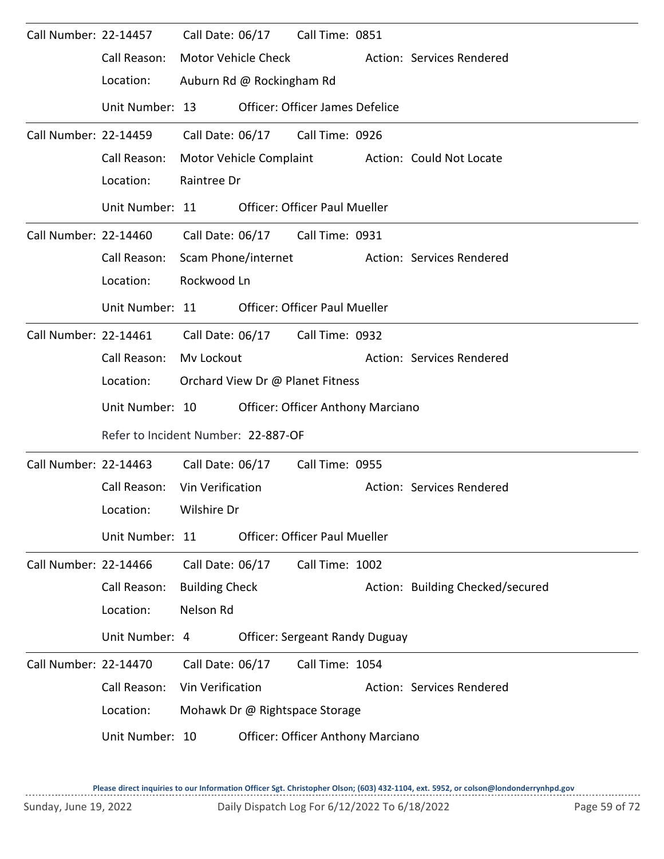| Call Number: 22-14457 |                                     |                       |                           | Call Date: 06/17 Call Time: 0851         |                                  |
|-----------------------|-------------------------------------|-----------------------|---------------------------|------------------------------------------|----------------------------------|
|                       | Call Reason:                        |                       | Motor Vehicle Check       |                                          | Action: Services Rendered        |
|                       | Location:                           |                       | Auburn Rd @ Rockingham Rd |                                          |                                  |
|                       | Unit Number: 13                     |                       |                           | Officer: Officer James Defelice          |                                  |
| Call Number: 22-14459 |                                     | Call Date: 06/17      |                           | Call Time: 0926                          |                                  |
|                       | Call Reason:                        |                       | Motor Vehicle Complaint   |                                          | Action: Could Not Locate         |
|                       | Location:                           | Raintree Dr           |                           |                                          |                                  |
|                       | Unit Number: 11                     |                       |                           | <b>Officer: Officer Paul Mueller</b>     |                                  |
| Call Number: 22-14460 |                                     |                       |                           | Call Date: 06/17 Call Time: 0931         |                                  |
|                       | Call Reason:                        |                       | Scam Phone/internet       |                                          | Action: Services Rendered        |
|                       | Location:                           | Rockwood Ln           |                           |                                          |                                  |
|                       | Unit Number: 11                     |                       |                           | <b>Officer: Officer Paul Mueller</b>     |                                  |
| Call Number: 22-14461 |                                     |                       | Call Date: 06/17          | Call Time: 0932                          |                                  |
|                       | Call Reason:                        | Mv Lockout            |                           |                                          | Action: Services Rendered        |
|                       | Location:                           |                       |                           | Orchard View Dr @ Planet Fitness         |                                  |
|                       | Unit Number: 10                     |                       |                           | <b>Officer: Officer Anthony Marciano</b> |                                  |
|                       | Refer to Incident Number: 22-887-OF |                       |                           |                                          |                                  |
| Call Number: 22-14463 |                                     | Call Date: 06/17      |                           | Call Time: 0955                          |                                  |
|                       | Call Reason: Vin Verification       |                       |                           |                                          | Action: Services Rendered        |
|                       | Location: Wilshire Dr               |                       |                           |                                          |                                  |
|                       | Unit Number: 11                     |                       |                           | <b>Officer: Officer Paul Mueller</b>     |                                  |
| Call Number: 22-14466 |                                     | Call Date: 06/17      |                           | Call Time: 1002                          |                                  |
|                       | Call Reason:                        | <b>Building Check</b> |                           |                                          | Action: Building Checked/secured |
|                       | Location:                           | Nelson Rd             |                           |                                          |                                  |
|                       | Unit Number: 4                      |                       |                           | <b>Officer: Sergeant Randy Duguay</b>    |                                  |
| Call Number: 22-14470 |                                     | Call Date: 06/17      |                           | Call Time: 1054                          |                                  |
|                       | Call Reason:                        | Vin Verification      |                           |                                          | Action: Services Rendered        |
|                       | Location:                           |                       |                           | Mohawk Dr @ Rightspace Storage           |                                  |
|                       | Unit Number: 10                     |                       |                           | <b>Officer: Officer Anthony Marciano</b> |                                  |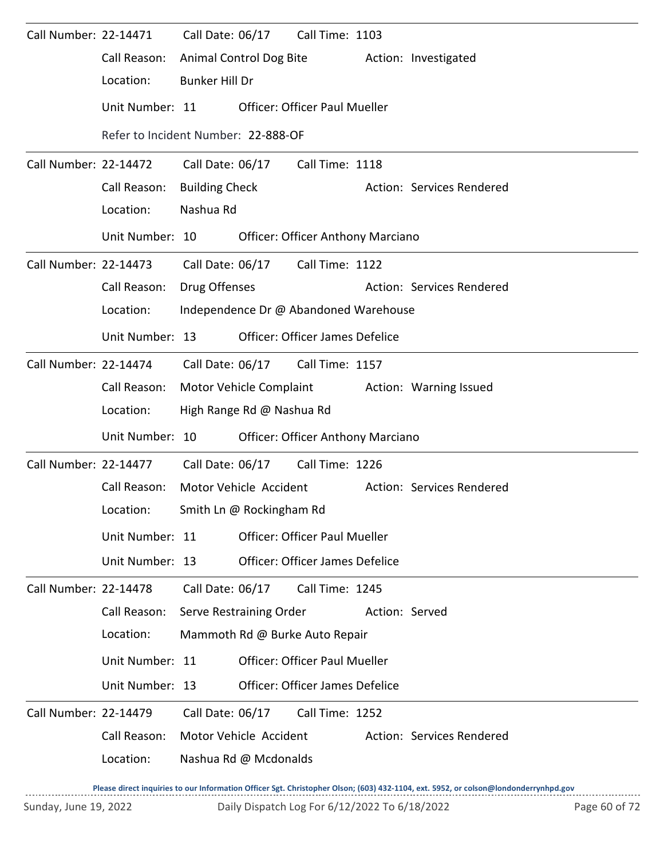| Call Number: 22-14471 |                 | Call Date: 06/17<br>Call Time: 1103                 |  |  |  |  |  |  |
|-----------------------|-----------------|-----------------------------------------------------|--|--|--|--|--|--|
|                       | Call Reason:    | Animal Control Dog Bite<br>Action: Investigated     |  |  |  |  |  |  |
|                       | Location:       | <b>Bunker Hill Dr</b>                               |  |  |  |  |  |  |
|                       | Unit Number: 11 | <b>Officer: Officer Paul Mueller</b>                |  |  |  |  |  |  |
|                       |                 | Refer to Incident Number: 22-888-OF                 |  |  |  |  |  |  |
| Call Number: 22-14472 |                 | Call Date: 06/17<br>Call Time: 1118                 |  |  |  |  |  |  |
|                       | Call Reason:    | <b>Building Check</b><br>Action: Services Rendered  |  |  |  |  |  |  |
|                       | Location:       | Nashua Rd                                           |  |  |  |  |  |  |
|                       | Unit Number: 10 | <b>Officer: Officer Anthony Marciano</b>            |  |  |  |  |  |  |
| Call Number: 22-14473 |                 | Call Date: 06/17<br>Call Time: 1122                 |  |  |  |  |  |  |
|                       | Call Reason:    | Drug Offenses<br>Action: Services Rendered          |  |  |  |  |  |  |
|                       | Location:       | Independence Dr @ Abandoned Warehouse               |  |  |  |  |  |  |
|                       | Unit Number: 13 | <b>Officer: Officer James Defelice</b>              |  |  |  |  |  |  |
| Call Number: 22-14474 |                 | Call Date: 06/17 Call Time: 1157                    |  |  |  |  |  |  |
|                       | Call Reason:    | Motor Vehicle Complaint<br>Action: Warning Issued   |  |  |  |  |  |  |
|                       | Location:       | High Range Rd @ Nashua Rd                           |  |  |  |  |  |  |
|                       | Unit Number: 10 | <b>Officer: Officer Anthony Marciano</b>            |  |  |  |  |  |  |
| Call Number: 22-14477 |                 | Call Date: 06/17<br>Call Time: 1226                 |  |  |  |  |  |  |
|                       | Call Reason:    | Motor Vehicle Accident<br>Action: Services Rendered |  |  |  |  |  |  |
|                       | Location:       | Smith Ln @ Rockingham Rd                            |  |  |  |  |  |  |
|                       | Unit Number: 11 | <b>Officer: Officer Paul Mueller</b>                |  |  |  |  |  |  |
|                       | Unit Number: 13 | <b>Officer: Officer James Defelice</b>              |  |  |  |  |  |  |
| Call Number: 22-14478 |                 | Call Date: 06/17<br>Call Time: 1245                 |  |  |  |  |  |  |
|                       | Call Reason:    | Serve Restraining Order<br>Action: Served           |  |  |  |  |  |  |
|                       | Location:       | Mammoth Rd @ Burke Auto Repair                      |  |  |  |  |  |  |
|                       | Unit Number: 11 | <b>Officer: Officer Paul Mueller</b>                |  |  |  |  |  |  |
|                       | Unit Number: 13 | <b>Officer: Officer James Defelice</b>              |  |  |  |  |  |  |
| Call Number: 22-14479 |                 | Call Date: 06/17<br>Call Time: 1252                 |  |  |  |  |  |  |
|                       | Call Reason:    | Motor Vehicle Accident<br>Action: Services Rendered |  |  |  |  |  |  |
|                       | Location:       | Nashua Rd @ Mcdonalds                               |  |  |  |  |  |  |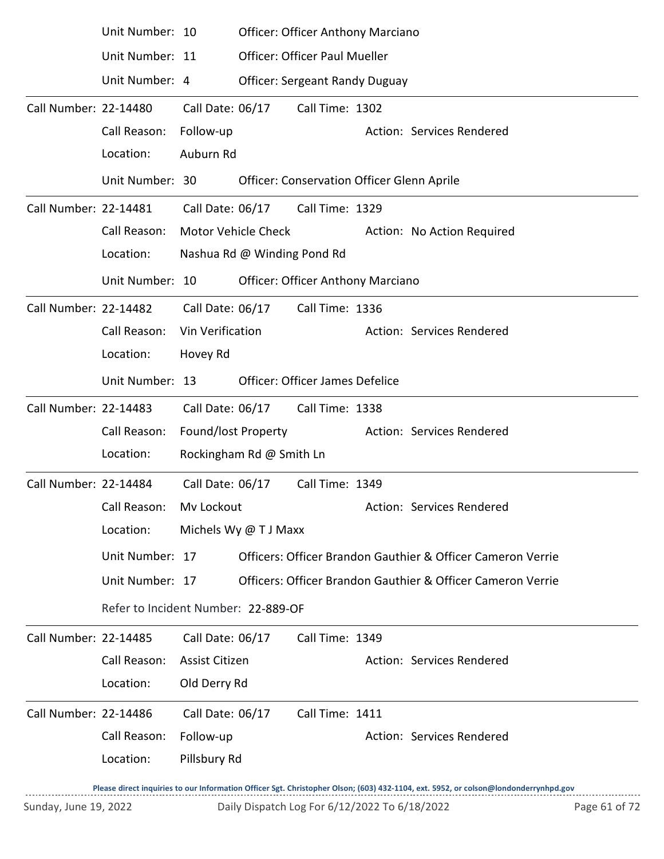|                       | Unit Number: 10                     |                       |                             | <b>Officer: Officer Anthony Marciano</b>          |  |                                                             |  |  |  |  |
|-----------------------|-------------------------------------|-----------------------|-----------------------------|---------------------------------------------------|--|-------------------------------------------------------------|--|--|--|--|
|                       | Unit Number: 11                     |                       |                             | <b>Officer: Officer Paul Mueller</b>              |  |                                                             |  |  |  |  |
|                       | Unit Number: 4                      |                       |                             | <b>Officer: Sergeant Randy Duguay</b>             |  |                                                             |  |  |  |  |
| Call Number: 22-14480 |                                     | Call Date: 06/17      |                             | Call Time: 1302                                   |  |                                                             |  |  |  |  |
|                       | Call Reason:                        | Follow-up             |                             |                                                   |  | Action: Services Rendered                                   |  |  |  |  |
|                       | Location:                           | Auburn Rd             |                             |                                                   |  |                                                             |  |  |  |  |
|                       | Unit Number: 30                     |                       |                             | <b>Officer: Conservation Officer Glenn Aprile</b> |  |                                                             |  |  |  |  |
| Call Number: 22-14481 |                                     | Call Date: 06/17      |                             | Call Time: 1329                                   |  |                                                             |  |  |  |  |
|                       | Call Reason:                        |                       | <b>Motor Vehicle Check</b>  |                                                   |  | Action: No Action Required                                  |  |  |  |  |
|                       | Location:                           |                       | Nashua Rd @ Winding Pond Rd |                                                   |  |                                                             |  |  |  |  |
|                       | Unit Number: 10                     |                       |                             | Officer: Officer Anthony Marciano                 |  |                                                             |  |  |  |  |
| Call Number: 22-14482 |                                     | Call Date: 06/17      |                             | Call Time: 1336                                   |  |                                                             |  |  |  |  |
|                       | Call Reason:                        | Vin Verification      |                             |                                                   |  | Action: Services Rendered                                   |  |  |  |  |
|                       | Location:                           | Hovey Rd              |                             |                                                   |  |                                                             |  |  |  |  |
|                       | Unit Number: 13                     |                       |                             | Officer: Officer James Defelice                   |  |                                                             |  |  |  |  |
| Call Number: 22-14483 |                                     | Call Date: 06/17      |                             | Call Time: 1338                                   |  |                                                             |  |  |  |  |
|                       | Call Reason:                        | Found/lost Property   |                             |                                                   |  | Action: Services Rendered                                   |  |  |  |  |
|                       | Location:                           |                       | Rockingham Rd @ Smith Ln    |                                                   |  |                                                             |  |  |  |  |
| Call Number: 22-14484 |                                     | Call Date: 06/17      |                             | Call Time: 1349                                   |  |                                                             |  |  |  |  |
|                       | Call Reason:                        | My Lockout            |                             |                                                   |  | Action: Services Rendered                                   |  |  |  |  |
|                       | Location:                           |                       | Michels Wy @ T J Maxx       |                                                   |  |                                                             |  |  |  |  |
|                       | Unit Number: 17                     |                       |                             |                                                   |  | Officers: Officer Brandon Gauthier & Officer Cameron Verrie |  |  |  |  |
|                       | Unit Number: 17                     |                       |                             |                                                   |  | Officers: Officer Brandon Gauthier & Officer Cameron Verrie |  |  |  |  |
|                       | Refer to Incident Number: 22-889-OF |                       |                             |                                                   |  |                                                             |  |  |  |  |
| Call Number: 22-14485 |                                     | Call Date: 06/17      |                             | Call Time: 1349                                   |  |                                                             |  |  |  |  |
|                       | Call Reason:                        | <b>Assist Citizen</b> |                             |                                                   |  | Action: Services Rendered                                   |  |  |  |  |
|                       | Location:                           | Old Derry Rd          |                             |                                                   |  |                                                             |  |  |  |  |
| Call Number: 22-14486 |                                     | Call Date: 06/17      |                             | Call Time: 1411                                   |  |                                                             |  |  |  |  |
|                       | Call Reason:                        | Follow-up             |                             |                                                   |  | Action: Services Rendered                                   |  |  |  |  |
|                       | Location:                           | Pillsbury Rd          |                             |                                                   |  |                                                             |  |  |  |  |
|                       |                                     |                       |                             |                                                   |  |                                                             |  |  |  |  |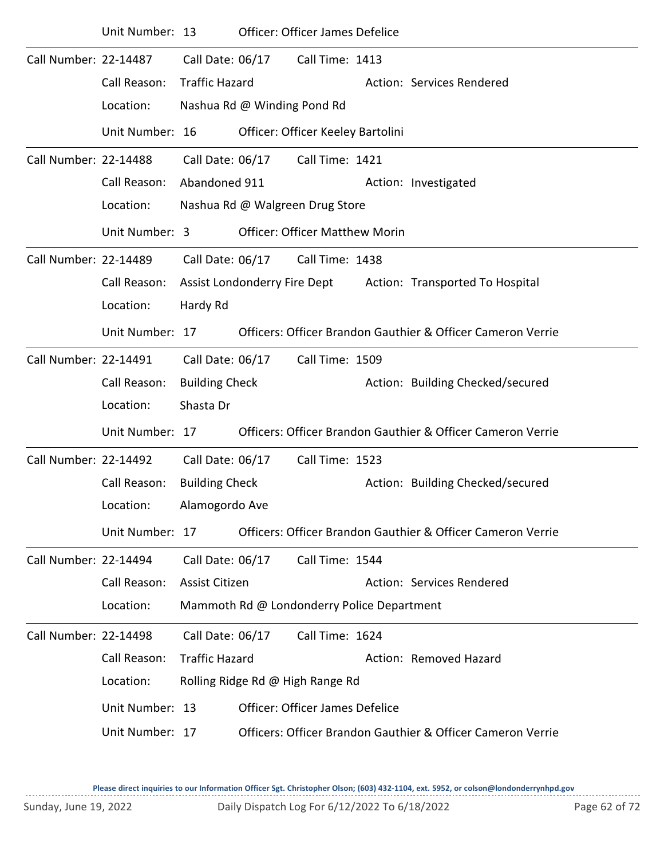|                       | Unit Number: 13 |                       |                             | <b>Officer: Officer James Defelice</b>     |                                                              |
|-----------------------|-----------------|-----------------------|-----------------------------|--------------------------------------------|--------------------------------------------------------------|
| Call Number: 22-14487 |                 | Call Date: 06/17      |                             | Call Time: 1413                            |                                                              |
|                       | Call Reason:    | <b>Traffic Hazard</b> |                             |                                            | Action: Services Rendered                                    |
|                       | Location:       |                       | Nashua Rd @ Winding Pond Rd |                                            |                                                              |
|                       | Unit Number: 16 |                       |                             | Officer: Officer Keeley Bartolini          |                                                              |
| Call Number: 22-14488 |                 | Call Date: 06/17      |                             | Call Time: 1421                            |                                                              |
|                       | Call Reason:    | Abandoned 911         |                             |                                            | Action: Investigated                                         |
|                       | Location:       |                       |                             | Nashua Rd @ Walgreen Drug Store            |                                                              |
|                       | Unit Number: 3  |                       |                             | <b>Officer: Officer Matthew Morin</b>      |                                                              |
| Call Number: 22-14489 |                 | Call Date: 06/17      |                             | Call Time: 1438                            |                                                              |
|                       | Call Reason:    |                       |                             |                                            | Assist Londonderry Fire Dept Action: Transported To Hospital |
|                       | Location:       | Hardy Rd              |                             |                                            |                                                              |
|                       | Unit Number: 17 |                       |                             |                                            | Officers: Officer Brandon Gauthier & Officer Cameron Verrie  |
| Call Number: 22-14491 |                 | Call Date: 06/17      |                             | Call Time: 1509                            |                                                              |
|                       | Call Reason:    | <b>Building Check</b> |                             |                                            | Action: Building Checked/secured                             |
|                       | Location:       | Shasta Dr             |                             |                                            |                                                              |
|                       | Unit Number: 17 |                       |                             |                                            | Officers: Officer Brandon Gauthier & Officer Cameron Verrie  |
| Call Number: 22-14492 |                 | Call Date: 06/17      |                             | Call Time: 1523                            |                                                              |
|                       | Call Reason:    | <b>Building Check</b> |                             |                                            | Action: Building Checked/secured                             |
|                       | Location:       | Alamogordo Ave        |                             |                                            |                                                              |
|                       | Unit Number: 17 |                       |                             |                                            | Officers: Officer Brandon Gauthier & Officer Cameron Verrie  |
| Call Number: 22-14494 |                 | Call Date: 06/17      |                             | Call Time: 1544                            |                                                              |
|                       | Call Reason:    | Assist Citizen        |                             |                                            | Action: Services Rendered                                    |
|                       | Location:       |                       |                             | Mammoth Rd @ Londonderry Police Department |                                                              |
| Call Number: 22-14498 |                 | Call Date: 06/17      |                             | Call Time: 1624                            |                                                              |
|                       | Call Reason:    | <b>Traffic Hazard</b> |                             |                                            | Action: Removed Hazard                                       |
|                       | Location:       |                       |                             | Rolling Ridge Rd @ High Range Rd           |                                                              |
|                       | Unit Number: 13 |                       |                             | <b>Officer: Officer James Defelice</b>     |                                                              |
|                       | Unit Number: 17 |                       |                             |                                            | Officers: Officer Brandon Gauthier & Officer Cameron Verrie  |
|                       |                 |                       |                             |                                            |                                                              |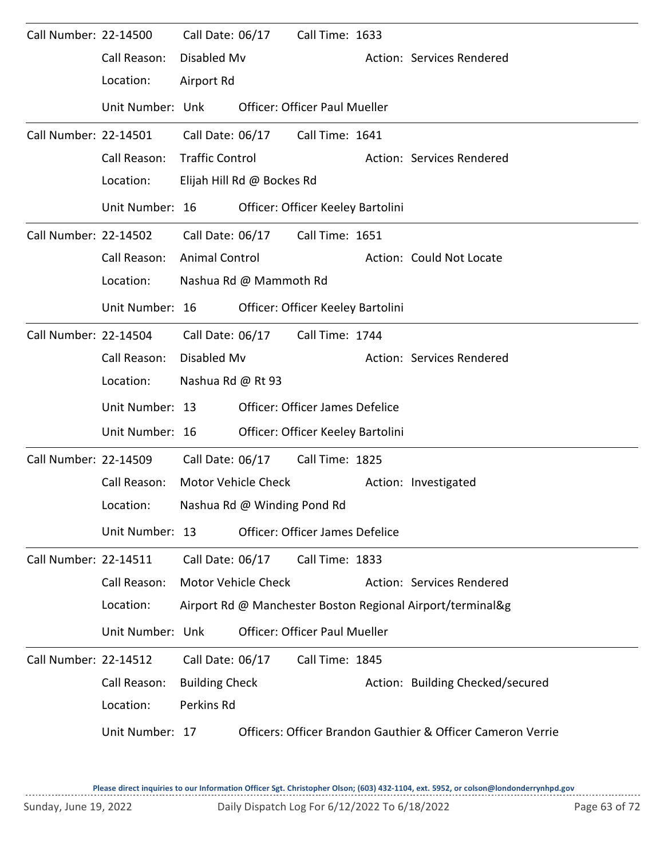| Call Number: 22-14500 |                  | Call Date: 06/17       |                             | Call Time: 1633                        |                                                             |
|-----------------------|------------------|------------------------|-----------------------------|----------------------------------------|-------------------------------------------------------------|
|                       | Call Reason:     | Disabled Mv            |                             |                                        | Action: Services Rendered                                   |
|                       | Location:        | Airport Rd             |                             |                                        |                                                             |
|                       | Unit Number: Unk |                        |                             | <b>Officer: Officer Paul Mueller</b>   |                                                             |
| Call Number: 22-14501 |                  | Call Date: 06/17       |                             | Call Time: 1641                        |                                                             |
|                       | Call Reason:     | <b>Traffic Control</b> |                             |                                        | Action: Services Rendered                                   |
|                       | Location:        |                        | Elijah Hill Rd @ Bockes Rd  |                                        |                                                             |
|                       | Unit Number: 16  |                        |                             | Officer: Officer Keeley Bartolini      |                                                             |
| Call Number: 22-14502 |                  | Call Date: 06/17       |                             | Call Time: 1651                        |                                                             |
|                       | Call Reason:     | <b>Animal Control</b>  |                             |                                        | Action: Could Not Locate                                    |
|                       | Location:        |                        | Nashua Rd @ Mammoth Rd      |                                        |                                                             |
|                       | Unit Number: 16  |                        |                             | Officer: Officer Keeley Bartolini      |                                                             |
| Call Number: 22-14504 |                  | Call Date: 06/17       |                             | Call Time: 1744                        |                                                             |
|                       | Call Reason:     | Disabled Mv            |                             |                                        | Action: Services Rendered                                   |
|                       | Location:        | Nashua Rd @ Rt 93      |                             |                                        |                                                             |
|                       | Unit Number: 13  |                        |                             | <b>Officer: Officer James Defelice</b> |                                                             |
|                       | Unit Number: 16  |                        |                             | Officer: Officer Keeley Bartolini      |                                                             |
| Call Number: 22-14509 |                  | Call Date: 06/17       |                             | Call Time: 1825                        |                                                             |
|                       | Call Reason:     |                        | Motor Vehicle Check         |                                        | Action: Investigated                                        |
|                       | Location:        |                        | Nashua Rd @ Winding Pond Rd |                                        |                                                             |
|                       | Unit Number: 13  |                        |                             | <b>Officer: Officer James Defelice</b> |                                                             |
| Call Number: 22-14511 |                  | Call Date: 06/17       |                             | Call Time: 1833                        |                                                             |
|                       | Call Reason:     |                        | <b>Motor Vehicle Check</b>  |                                        | Action: Services Rendered                                   |
|                       | Location:        |                        |                             |                                        | Airport Rd @ Manchester Boston Regional Airport/terminal&g  |
|                       | Unit Number: Unk |                        |                             | <b>Officer: Officer Paul Mueller</b>   |                                                             |
| Call Number: 22-14512 |                  | Call Date: 06/17       |                             | Call Time: 1845                        |                                                             |
|                       | Call Reason:     | <b>Building Check</b>  |                             |                                        | Action: Building Checked/secured                            |
|                       | Location:        | Perkins Rd             |                             |                                        |                                                             |
|                       | Unit Number: 17  |                        |                             |                                        | Officers: Officer Brandon Gauthier & Officer Cameron Verrie |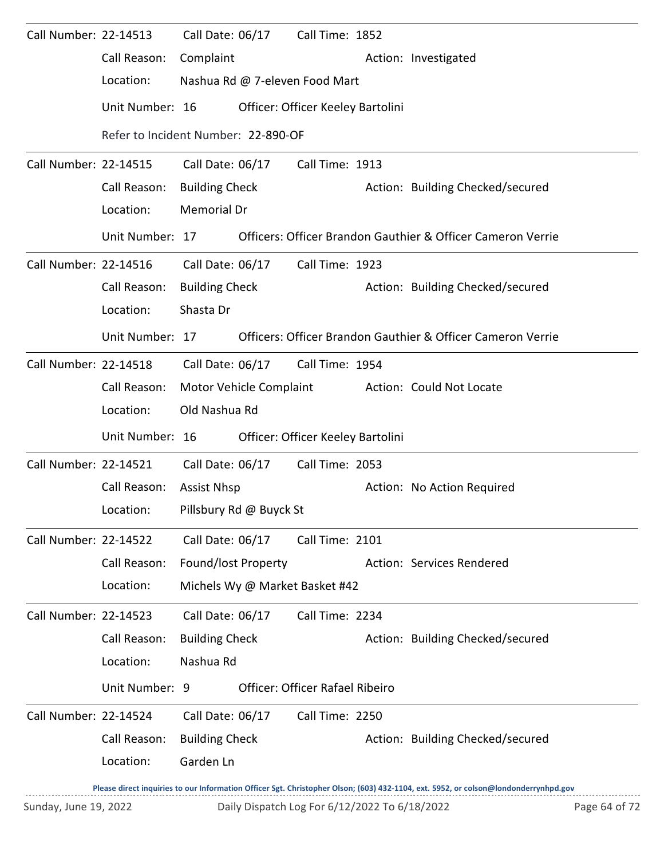| Call Number: 22-14513        |                                     | Call Date: 06/17                                            |  | Call Time: 1852                   |  |                                                             |  |  |  |
|------------------------------|-------------------------------------|-------------------------------------------------------------|--|-----------------------------------|--|-------------------------------------------------------------|--|--|--|
|                              | Call Reason:                        | Complaint                                                   |  |                                   |  | Action: Investigated                                        |  |  |  |
|                              | Location:                           | Nashua Rd @ 7-eleven Food Mart                              |  |                                   |  |                                                             |  |  |  |
|                              | Unit Number: 16                     |                                                             |  | Officer: Officer Keeley Bartolini |  |                                                             |  |  |  |
|                              | Refer to Incident Number: 22-890-OF |                                                             |  |                                   |  |                                                             |  |  |  |
| Call Number: 22-14515        |                                     | Call Date: 06/17                                            |  | Call Time: 1913                   |  |                                                             |  |  |  |
|                              | Call Reason:                        | <b>Building Check</b>                                       |  |                                   |  | Action: Building Checked/secured                            |  |  |  |
|                              | Location:                           | Memorial Dr                                                 |  |                                   |  |                                                             |  |  |  |
|                              | Unit Number: 17                     | Officers: Officer Brandon Gauthier & Officer Cameron Verrie |  |                                   |  |                                                             |  |  |  |
| Call Number: 22-14516        |                                     | Call Date: 06/17                                            |  | Call Time: 1923                   |  |                                                             |  |  |  |
|                              | Call Reason:                        | <b>Building Check</b>                                       |  |                                   |  | Action: Building Checked/secured                            |  |  |  |
|                              | Location:                           | Shasta Dr                                                   |  |                                   |  |                                                             |  |  |  |
|                              | Unit Number: 17                     |                                                             |  |                                   |  | Officers: Officer Brandon Gauthier & Officer Cameron Verrie |  |  |  |
| Call Number: 22-14518        |                                     | Call Date: 06/17                                            |  | Call Time: 1954                   |  |                                                             |  |  |  |
|                              | Call Reason:                        | Motor Vehicle Complaint                                     |  |                                   |  | <b>Action: Could Not Locate</b>                             |  |  |  |
|                              | Location:                           | Old Nashua Rd                                               |  |                                   |  |                                                             |  |  |  |
|                              | Unit Number: 16                     |                                                             |  | Officer: Officer Keeley Bartolini |  |                                                             |  |  |  |
| Call Number: 22-14521        |                                     | Call Date: 06/17                                            |  | Call Time: 2053                   |  |                                                             |  |  |  |
|                              | Call Reason:                        | <b>Assist Nhsp</b>                                          |  |                                   |  | Action: No Action Required                                  |  |  |  |
|                              | Location: Pillsbury Rd @ Buyck St   |                                                             |  |                                   |  |                                                             |  |  |  |
| <b>Call Number: 22-14522</b> |                                     | Call Date: 06/17                                            |  | Call Time: 2101                   |  |                                                             |  |  |  |
|                              | Call Reason:                        | Found/lost Property                                         |  |                                   |  | Action: Services Rendered                                   |  |  |  |
|                              | Location:                           | Michels Wy @ Market Basket #42                              |  |                                   |  |                                                             |  |  |  |
| Call Number: 22-14523        |                                     | Call Date: 06/17                                            |  | Call Time: 2234                   |  |                                                             |  |  |  |
|                              | Call Reason:                        | <b>Building Check</b>                                       |  |                                   |  | Action: Building Checked/secured                            |  |  |  |
|                              | Location:                           | Nashua Rd                                                   |  |                                   |  |                                                             |  |  |  |
|                              | Unit Number: 9                      |                                                             |  | Officer: Officer Rafael Ribeiro   |  |                                                             |  |  |  |
| Call Number: 22-14524        |                                     | Call Date: 06/17                                            |  | Call Time: 2250                   |  |                                                             |  |  |  |
|                              | Call Reason:                        | <b>Building Check</b>                                       |  |                                   |  | Action: Building Checked/secured                            |  |  |  |
|                              | Location:                           | Garden Ln                                                   |  |                                   |  |                                                             |  |  |  |
|                              |                                     |                                                             |  |                                   |  |                                                             |  |  |  |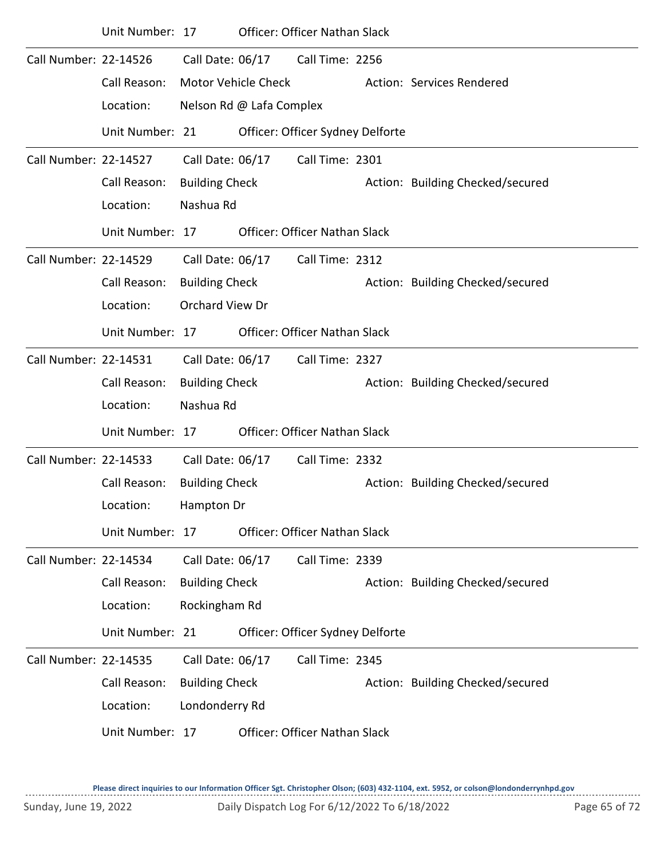|                       | Unit Number: 17 |                            |                          | <b>Officer: Officer Nathan Slack</b> |                                  |
|-----------------------|-----------------|----------------------------|--------------------------|--------------------------------------|----------------------------------|
| Call Number: 22-14526 |                 | Call Date: 06/17           |                          | Call Time: 2256                      |                                  |
|                       | Call Reason:    | <b>Motor Vehicle Check</b> |                          |                                      | Action: Services Rendered        |
|                       | Location:       |                            | Nelson Rd @ Lafa Complex |                                      |                                  |
|                       | Unit Number: 21 |                            |                          | Officer: Officer Sydney Delforte     |                                  |
| Call Number: 22-14527 |                 | Call Date: 06/17           |                          | Call Time: 2301                      |                                  |
|                       | Call Reason:    | <b>Building Check</b>      |                          |                                      | Action: Building Checked/secured |
|                       | Location:       | Nashua Rd                  |                          |                                      |                                  |
|                       | Unit Number: 17 |                            |                          | <b>Officer: Officer Nathan Slack</b> |                                  |
| Call Number: 22-14529 |                 | Call Date: 06/17           |                          | Call Time: 2312                      |                                  |
|                       | Call Reason:    | <b>Building Check</b>      |                          |                                      | Action: Building Checked/secured |
|                       | Location:       | Orchard View Dr            |                          |                                      |                                  |
|                       | Unit Number: 17 |                            |                          | Officer: Officer Nathan Slack        |                                  |
| Call Number: 22-14531 |                 | Call Date: 06/17           |                          | Call Time: 2327                      |                                  |
|                       | Call Reason:    | <b>Building Check</b>      |                          |                                      | Action: Building Checked/secured |
|                       | Location:       | Nashua Rd                  |                          |                                      |                                  |
|                       | Unit Number: 17 |                            |                          | Officer: Officer Nathan Slack        |                                  |
| Call Number: 22-14533 |                 | Call Date: 06/17           |                          | Call Time: 2332                      |                                  |
|                       | Call Reason:    | <b>Building Check</b>      |                          |                                      | Action: Building Checked/secured |
|                       | Location:       | Hampton Dr                 |                          |                                      |                                  |
|                       | Unit Number: 17 |                            |                          | <b>Officer: Officer Nathan Slack</b> |                                  |
| Call Number: 22-14534 |                 | Call Date: 06/17           |                          | Call Time: 2339                      |                                  |
|                       | Call Reason:    | <b>Building Check</b>      |                          |                                      | Action: Building Checked/secured |
|                       | Location:       | Rockingham Rd              |                          |                                      |                                  |
|                       | Unit Number: 21 |                            |                          | Officer: Officer Sydney Delforte     |                                  |
| Call Number: 22-14535 |                 | Call Date: 06/17           |                          | Call Time: 2345                      |                                  |
|                       | Call Reason:    | <b>Building Check</b>      |                          |                                      | Action: Building Checked/secured |
|                       | Location:       | Londonderry Rd             |                          |                                      |                                  |
|                       | Unit Number: 17 |                            |                          | <b>Officer: Officer Nathan Slack</b> |                                  |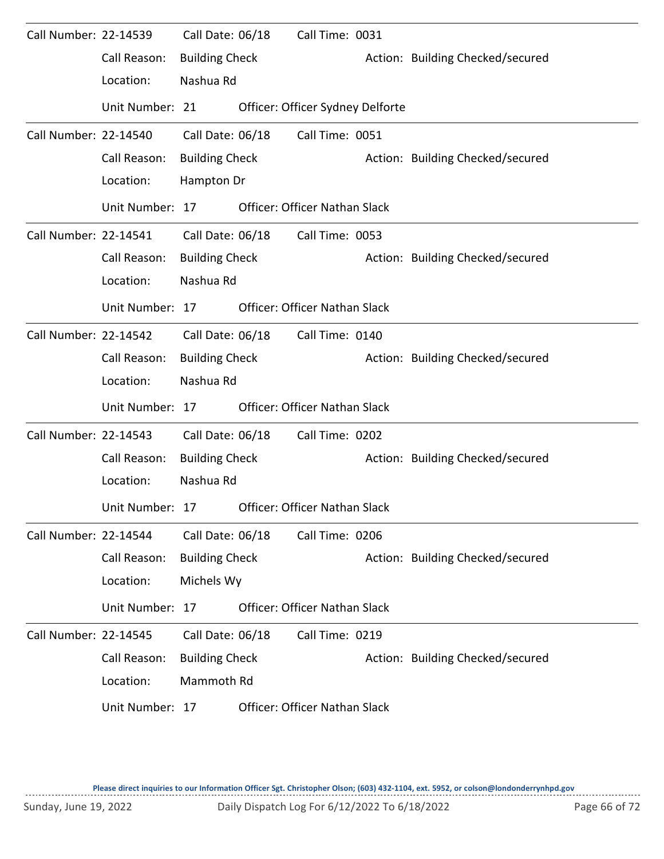| Call Number: 22-14539 |                 | Call Date: 06/18      | Call Time: 0031                      |                                  |
|-----------------------|-----------------|-----------------------|--------------------------------------|----------------------------------|
|                       | Call Reason:    | <b>Building Check</b> |                                      | Action: Building Checked/secured |
|                       | Location:       | Nashua Rd             |                                      |                                  |
|                       | Unit Number: 21 |                       | Officer: Officer Sydney Delforte     |                                  |
| Call Number: 22-14540 |                 | Call Date: 06/18      | Call Time: 0051                      |                                  |
|                       | Call Reason:    | <b>Building Check</b> |                                      | Action: Building Checked/secured |
|                       | Location:       | Hampton Dr            |                                      |                                  |
|                       | Unit Number: 17 |                       | <b>Officer: Officer Nathan Slack</b> |                                  |
| Call Number: 22-14541 |                 | Call Date: 06/18      | Call Time: 0053                      |                                  |
|                       | Call Reason:    | <b>Building Check</b> |                                      | Action: Building Checked/secured |
|                       | Location:       | Nashua Rd             |                                      |                                  |
|                       | Unit Number: 17 |                       | <b>Officer: Officer Nathan Slack</b> |                                  |
| Call Number: 22-14542 |                 | Call Date: 06/18      | Call Time: 0140                      |                                  |
|                       | Call Reason:    | <b>Building Check</b> |                                      | Action: Building Checked/secured |
|                       | Location:       | Nashua Rd             |                                      |                                  |
|                       | Unit Number: 17 |                       | Officer: Officer Nathan Slack        |                                  |
| Call Number: 22-14543 |                 | Call Date: 06/18      | Call Time: 0202                      |                                  |
|                       | Call Reason:    | <b>Building Check</b> |                                      | Action: Building Checked/secured |
|                       | Location:       | Nashua Rd             |                                      |                                  |
|                       | Unit Number: 17 |                       | Officer: Officer Nathan Slack        |                                  |
| Call Number: 22-14544 |                 | Call Date: 06/18      | Call Time: 0206                      |                                  |
|                       | Call Reason:    | <b>Building Check</b> |                                      | Action: Building Checked/secured |
|                       | Location:       | Michels Wy            |                                      |                                  |
|                       | Unit Number: 17 |                       | Officer: Officer Nathan Slack        |                                  |
| Call Number: 22-14545 |                 | Call Date: 06/18      | Call Time: 0219                      |                                  |
|                       | Call Reason:    | <b>Building Check</b> |                                      | Action: Building Checked/secured |
|                       | Location:       | Mammoth Rd            |                                      |                                  |
|                       | Unit Number: 17 |                       | Officer: Officer Nathan Slack        |                                  |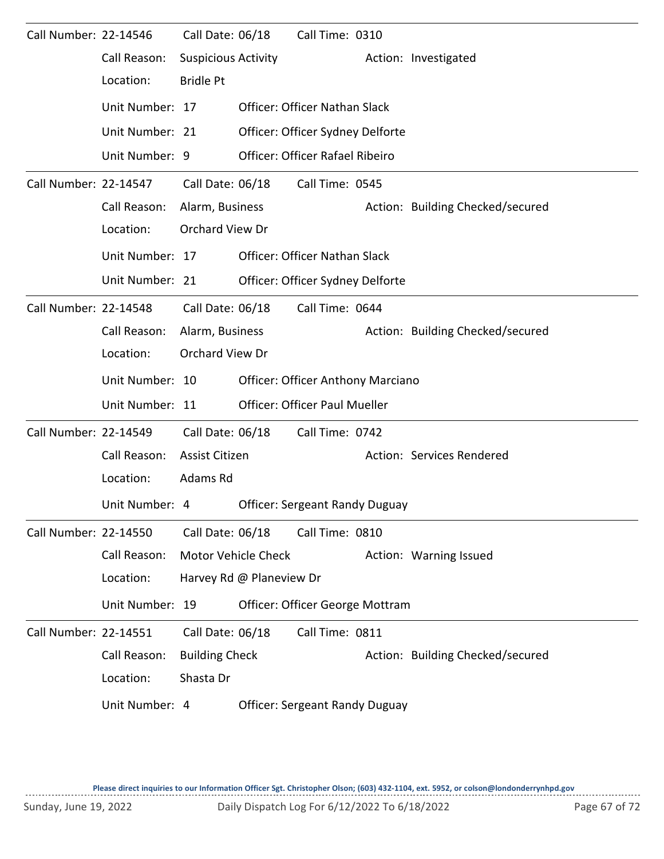| Call Number: 22-14546 |                 | Call Date: 06/18           | Call Time: 0310                          |                                  |
|-----------------------|-----------------|----------------------------|------------------------------------------|----------------------------------|
|                       | Call Reason:    | <b>Suspicious Activity</b> |                                          | Action: Investigated             |
|                       | Location:       | <b>Bridle Pt</b>           |                                          |                                  |
|                       | Unit Number: 17 |                            | <b>Officer: Officer Nathan Slack</b>     |                                  |
|                       | Unit Number: 21 |                            | Officer: Officer Sydney Delforte         |                                  |
|                       | Unit Number: 9  |                            | Officer: Officer Rafael Ribeiro          |                                  |
| Call Number: 22-14547 |                 | Call Date: 06/18           | Call Time: 0545                          |                                  |
|                       | Call Reason:    | Alarm, Business            |                                          | Action: Building Checked/secured |
|                       | Location:       | Orchard View Dr            |                                          |                                  |
|                       | Unit Number: 17 |                            | Officer: Officer Nathan Slack            |                                  |
|                       | Unit Number: 21 |                            | Officer: Officer Sydney Delforte         |                                  |
| Call Number: 22-14548 |                 | Call Date: 06/18           | Call Time: 0644                          |                                  |
|                       | Call Reason:    | Alarm, Business            |                                          | Action: Building Checked/secured |
|                       | Location:       | Orchard View Dr            |                                          |                                  |
|                       | Unit Number: 10 |                            | <b>Officer: Officer Anthony Marciano</b> |                                  |
|                       | Unit Number: 11 |                            | <b>Officer: Officer Paul Mueller</b>     |                                  |
| Call Number: 22-14549 |                 | Call Date: 06/18           | Call Time: 0742                          |                                  |
|                       | Call Reason:    | Assist Citizen             |                                          | Action: Services Rendered        |
|                       | Location:       | Adams Rd                   |                                          |                                  |
|                       | Unit Number: 4  |                            | <b>Officer: Sergeant Randy Duguay</b>    |                                  |
| Call Number: 22-14550 |                 | Call Date: 06/18           | Call Time: 0810                          |                                  |
|                       | Call Reason:    | Motor Vehicle Check        |                                          | Action: Warning Issued           |
|                       | Location:       | Harvey Rd @ Planeview Dr   |                                          |                                  |
|                       | Unit Number: 19 |                            | Officer: Officer George Mottram          |                                  |
| Call Number: 22-14551 |                 | Call Date: 06/18           | Call Time: 0811                          |                                  |
|                       | Call Reason:    | <b>Building Check</b>      |                                          | Action: Building Checked/secured |
|                       | Location:       | Shasta Dr                  |                                          |                                  |
|                       | Unit Number: 4  |                            | <b>Officer: Sergeant Randy Duguay</b>    |                                  |
|                       |                 |                            |                                          |                                  |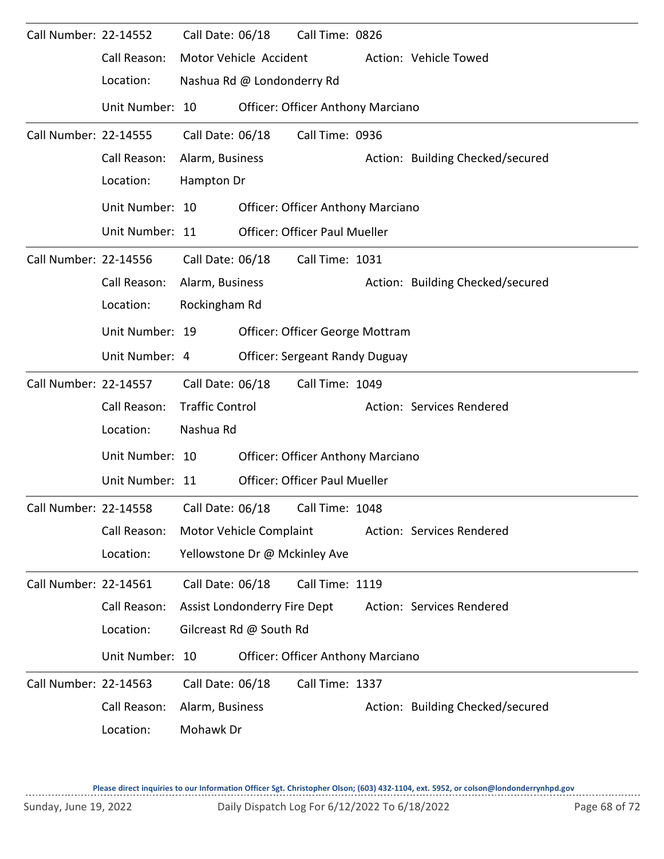| Call Number: 22-14552 |                                        | Call Date: 06/18       |                               | Call Time: 0826                          |                                  |
|-----------------------|----------------------------------------|------------------------|-------------------------------|------------------------------------------|----------------------------------|
|                       | Call Reason:                           |                        | Motor Vehicle Accident        |                                          | Action: Vehicle Towed            |
|                       | Location:                              |                        | Nashua Rd @ Londonderry Rd    |                                          |                                  |
|                       | Unit Number: 10                        |                        |                               | <b>Officer: Officer Anthony Marciano</b> |                                  |
| Call Number: 22-14555 |                                        | Call Date: 06/18       |                               | Call Time: 0936                          |                                  |
|                       | Call Reason:                           | Alarm, Business        |                               |                                          | Action: Building Checked/secured |
|                       | Location:                              | Hampton Dr             |                               |                                          |                                  |
|                       | Unit Number: 10                        |                        |                               | <b>Officer: Officer Anthony Marciano</b> |                                  |
|                       | Unit Number: 11                        |                        |                               | <b>Officer: Officer Paul Mueller</b>     |                                  |
| Call Number: 22-14556 |                                        | Call Date: 06/18       |                               | Call Time: 1031                          |                                  |
|                       | Call Reason:                           | Alarm, Business        |                               |                                          | Action: Building Checked/secured |
|                       | Location:                              | Rockingham Rd          |                               |                                          |                                  |
|                       | Unit Number: 19                        |                        |                               | Officer: Officer George Mottram          |                                  |
|                       | Unit Number: 4                         |                        |                               | Officer: Sergeant Randy Duguay           |                                  |
| Call Number: 22-14557 |                                        | Call Date: 06/18       |                               | Call Time: 1049                          |                                  |
|                       | Call Reason:                           | <b>Traffic Control</b> |                               |                                          | Action: Services Rendered        |
|                       | Location:                              | Nashua Rd              |                               |                                          |                                  |
|                       | Unit Number: 10                        |                        |                               | <b>Officer: Officer Anthony Marciano</b> |                                  |
|                       | Unit Number: 11                        |                        |                               | <b>Officer: Officer Paul Mueller</b>     |                                  |
|                       | Call Number: 22-14558 Call Date: 06/18 |                        |                               | Call Time: 1048                          |                                  |
|                       | Call Reason:                           |                        | Motor Vehicle Complaint       |                                          | Action: Services Rendered        |
|                       | Location:                              |                        | Yellowstone Dr @ Mckinley Ave |                                          |                                  |
| Call Number: 22-14561 |                                        | Call Date: 06/18       |                               | Call Time: 1119                          |                                  |
|                       | Call Reason:                           |                        | Assist Londonderry Fire Dept  |                                          | Action: Services Rendered        |
|                       | Location:                              |                        | Gilcreast Rd @ South Rd       |                                          |                                  |
|                       | Unit Number: 10                        |                        |                               | <b>Officer: Officer Anthony Marciano</b> |                                  |
| Call Number: 22-14563 |                                        | Call Date: 06/18       |                               | Call Time: 1337                          |                                  |
|                       | Call Reason:                           | Alarm, Business        |                               |                                          | Action: Building Checked/secured |
|                       | Location:                              | Mohawk Dr              |                               |                                          |                                  |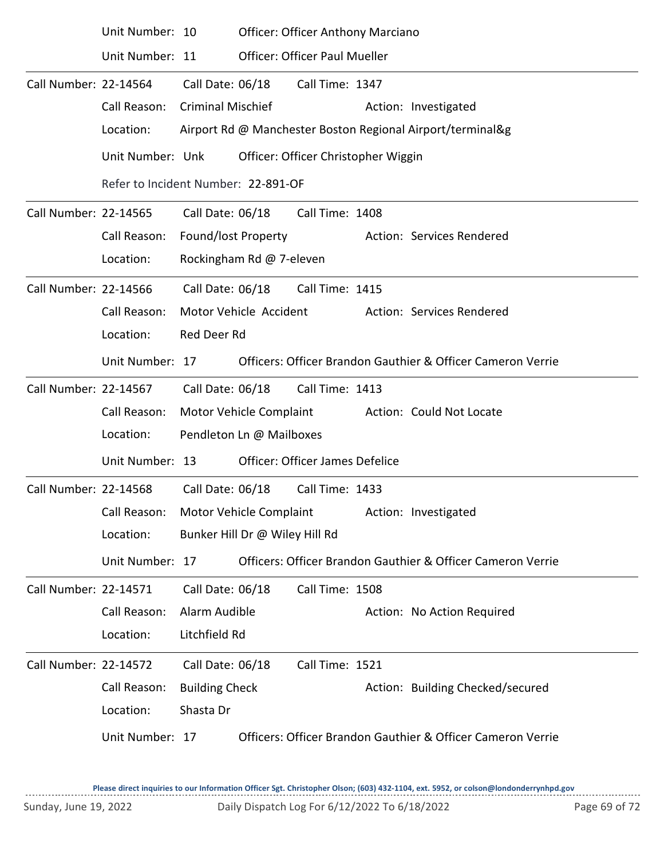|                       | Unit Number: 10                                           |                          |                                     | <b>Officer: Officer Anthony Marciano</b> |  |                                                             |  |  |  |  |  |  |
|-----------------------|-----------------------------------------------------------|--------------------------|-------------------------------------|------------------------------------------|--|-------------------------------------------------------------|--|--|--|--|--|--|
|                       | Unit Number: 11                                           |                          |                                     | <b>Officer: Officer Paul Mueller</b>     |  |                                                             |  |  |  |  |  |  |
| Call Number: 22-14564 |                                                           | Call Date: 06/18         |                                     | Call Time: 1347                          |  |                                                             |  |  |  |  |  |  |
|                       | Call Reason:                                              | <b>Criminal Mischief</b> |                                     |                                          |  | Action: Investigated                                        |  |  |  |  |  |  |
|                       | Location:                                                 |                          |                                     |                                          |  | Airport Rd @ Manchester Boston Regional Airport/terminal&g  |  |  |  |  |  |  |
|                       | Unit Number: Unk                                          |                          |                                     | Officer: Officer Christopher Wiggin      |  |                                                             |  |  |  |  |  |  |
|                       |                                                           |                          | Refer to Incident Number: 22-891-OF |                                          |  |                                                             |  |  |  |  |  |  |
| Call Number: 22-14565 |                                                           | Call Date: 06/18         |                                     | Call Time: 1408                          |  |                                                             |  |  |  |  |  |  |
|                       | Call Reason:                                              | Found/lost Property      |                                     |                                          |  | Action: Services Rendered                                   |  |  |  |  |  |  |
|                       | Location:                                                 |                          | Rockingham Rd @ 7-eleven            |                                          |  |                                                             |  |  |  |  |  |  |
| Call Number: 22-14566 |                                                           |                          | Call Date: 06/18                    | Call Time: 1415                          |  |                                                             |  |  |  |  |  |  |
|                       | Call Reason:                                              |                          | Motor Vehicle Accident              |                                          |  | Action: Services Rendered                                   |  |  |  |  |  |  |
|                       | Location:                                                 | Red Deer Rd              |                                     |                                          |  |                                                             |  |  |  |  |  |  |
|                       | Unit Number: 17                                           |                          |                                     |                                          |  | Officers: Officer Brandon Gauthier & Officer Cameron Verrie |  |  |  |  |  |  |
| Call Number: 22-14567 |                                                           | Call Date: 06/18         |                                     | Call Time: 1413                          |  |                                                             |  |  |  |  |  |  |
|                       | Call Reason:                                              |                          | Motor Vehicle Complaint             |                                          |  | Action: Could Not Locate                                    |  |  |  |  |  |  |
|                       | Location:                                                 |                          | Pendleton Ln @ Mailboxes            |                                          |  |                                                             |  |  |  |  |  |  |
|                       | Unit Number: 13                                           |                          |                                     | <b>Officer: Officer James Defelice</b>   |  |                                                             |  |  |  |  |  |  |
| Call Number: 22-14568 |                                                           | Call Date: 06/18         |                                     | Call Time: 1433                          |  |                                                             |  |  |  |  |  |  |
|                       | Call Reason: Motor Vehicle Complaint Action: Investigated |                          |                                     |                                          |  |                                                             |  |  |  |  |  |  |
|                       | Location:                                                 |                          | Bunker Hill Dr @ Wiley Hill Rd      |                                          |  |                                                             |  |  |  |  |  |  |
|                       | Unit Number: 17                                           |                          |                                     |                                          |  | Officers: Officer Brandon Gauthier & Officer Cameron Verrie |  |  |  |  |  |  |
| Call Number: 22-14571 |                                                           | Call Date: 06/18         |                                     | Call Time: 1508                          |  |                                                             |  |  |  |  |  |  |
|                       | Call Reason:                                              | Alarm Audible            |                                     |                                          |  | Action: No Action Required                                  |  |  |  |  |  |  |
|                       | Location:                                                 | Litchfield Rd            |                                     |                                          |  |                                                             |  |  |  |  |  |  |
| Call Number: 22-14572 |                                                           | Call Date: 06/18         |                                     | Call Time: 1521                          |  |                                                             |  |  |  |  |  |  |
|                       | Call Reason:                                              | <b>Building Check</b>    |                                     |                                          |  | Action: Building Checked/secured                            |  |  |  |  |  |  |
|                       | Location:                                                 | Shasta Dr                |                                     |                                          |  |                                                             |  |  |  |  |  |  |
|                       | Unit Number: 17                                           |                          |                                     |                                          |  | Officers: Officer Brandon Gauthier & Officer Cameron Verrie |  |  |  |  |  |  |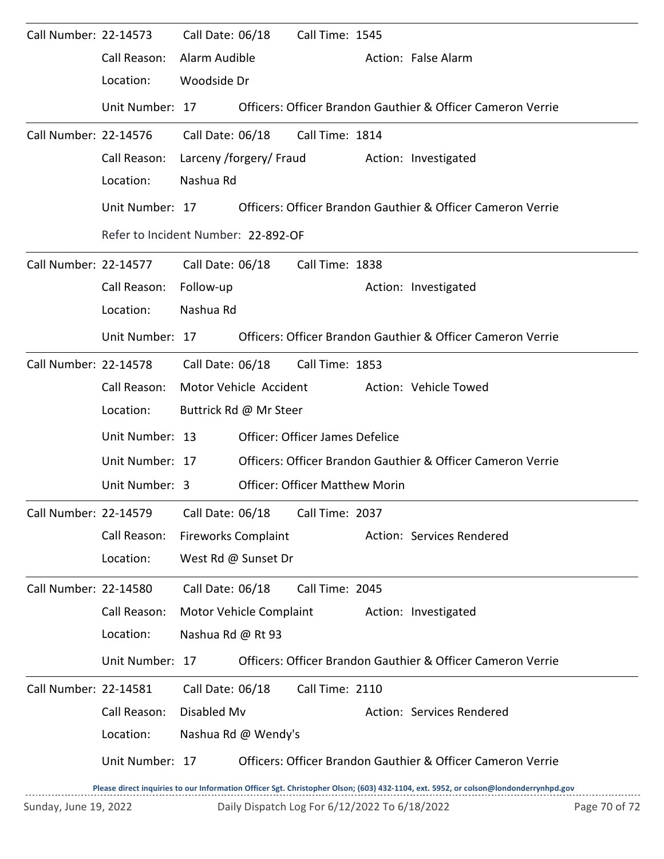| Call Number: 22-14573 |                 | Call Date: 06/18                    |                                                 | Call Time: 1545                       |                                                             |                                                                                                                                     |  |  |  |  |
|-----------------------|-----------------|-------------------------------------|-------------------------------------------------|---------------------------------------|-------------------------------------------------------------|-------------------------------------------------------------------------------------------------------------------------------------|--|--|--|--|
|                       | Call Reason:    | Alarm Audible                       |                                                 |                                       |                                                             | Action: False Alarm                                                                                                                 |  |  |  |  |
|                       | Location:       | Woodside Dr                         |                                                 |                                       |                                                             |                                                                                                                                     |  |  |  |  |
|                       | Unit Number: 17 |                                     |                                                 |                                       |                                                             | Officers: Officer Brandon Gauthier & Officer Cameron Verrie                                                                         |  |  |  |  |
| Call Number: 22-14576 |                 | Call Date: 06/18                    |                                                 | Call Time: 1814                       |                                                             |                                                                                                                                     |  |  |  |  |
|                       | Call Reason:    |                                     |                                                 | Larceny /forgery/ Fraud               |                                                             | Action: Investigated                                                                                                                |  |  |  |  |
|                       | Location:       |                                     | Nashua Rd                                       |                                       |                                                             |                                                                                                                                     |  |  |  |  |
|                       | Unit Number: 17 |                                     |                                                 |                                       | Officers: Officer Brandon Gauthier & Officer Cameron Verrie |                                                                                                                                     |  |  |  |  |
|                       |                 | Refer to Incident Number: 22-892-OF |                                                 |                                       |                                                             |                                                                                                                                     |  |  |  |  |
| Call Number: 22-14577 |                 | Call Date: 06/18                    |                                                 | Call Time: 1838                       |                                                             |                                                                                                                                     |  |  |  |  |
|                       | Call Reason:    | Follow-up                           |                                                 |                                       |                                                             | Action: Investigated                                                                                                                |  |  |  |  |
|                       | Location:       | Nashua Rd                           |                                                 |                                       |                                                             |                                                                                                                                     |  |  |  |  |
|                       | Unit Number: 17 |                                     |                                                 |                                       |                                                             | Officers: Officer Brandon Gauthier & Officer Cameron Verrie                                                                         |  |  |  |  |
| Call Number: 22-14578 |                 |                                     |                                                 | Call Date: 06/18 Call Time: 1853      |                                                             |                                                                                                                                     |  |  |  |  |
|                       | Call Reason:    |                                     | Motor Vehicle Accident<br>Action: Vehicle Towed |                                       |                                                             |                                                                                                                                     |  |  |  |  |
|                       | Location:       |                                     | Buttrick Rd @ Mr Steer                          |                                       |                                                             |                                                                                                                                     |  |  |  |  |
|                       | Unit Number: 13 |                                     | Officer: Officer James Defelice                 |                                       |                                                             |                                                                                                                                     |  |  |  |  |
|                       | Unit Number: 17 |                                     |                                                 |                                       |                                                             | Officers: Officer Brandon Gauthier & Officer Cameron Verrie                                                                         |  |  |  |  |
|                       | Unit Number: 3  |                                     |                                                 | <b>Officer: Officer Matthew Morin</b> |                                                             |                                                                                                                                     |  |  |  |  |
| Call Number: 22-14579 |                 | Call Date: 06/18                    |                                                 | Call Time: 2037                       |                                                             |                                                                                                                                     |  |  |  |  |
|                       | Call Reason:    | <b>Fireworks Complaint</b>          |                                                 |                                       |                                                             | Action: Services Rendered                                                                                                           |  |  |  |  |
|                       | Location:       |                                     | West Rd @ Sunset Dr                             |                                       |                                                             |                                                                                                                                     |  |  |  |  |
| Call Number: 22-14580 |                 | Call Date: 06/18                    |                                                 | Call Time: 2045                       |                                                             |                                                                                                                                     |  |  |  |  |
|                       | Call Reason:    |                                     | Motor Vehicle Complaint                         |                                       |                                                             | Action: Investigated                                                                                                                |  |  |  |  |
|                       | Location:       | Nashua Rd @ Rt 93                   |                                                 |                                       |                                                             |                                                                                                                                     |  |  |  |  |
|                       | Unit Number: 17 |                                     |                                                 |                                       |                                                             | Officers: Officer Brandon Gauthier & Officer Cameron Verrie                                                                         |  |  |  |  |
| Call Number: 22-14581 |                 | Call Date: 06/18                    |                                                 | Call Time: 2110                       |                                                             |                                                                                                                                     |  |  |  |  |
|                       | Call Reason:    | Disabled Mv                         |                                                 |                                       |                                                             | Action: Services Rendered                                                                                                           |  |  |  |  |
|                       | Location:       |                                     | Nashua Rd @ Wendy's                             |                                       |                                                             |                                                                                                                                     |  |  |  |  |
|                       | Unit Number: 17 |                                     |                                                 |                                       |                                                             | Officers: Officer Brandon Gauthier & Officer Cameron Verrie                                                                         |  |  |  |  |
|                       |                 |                                     |                                                 |                                       |                                                             | Please direct inquiries to our Information Officer Sgt. Christopher Olson; (603) 432-1104, ext. 5952, or colson@londonderrynhpd.gov |  |  |  |  |

Sunday, June 19, 2022 Daily Dispatch Log For 6/12/2022 To 6/18/2022 Page 70 of 72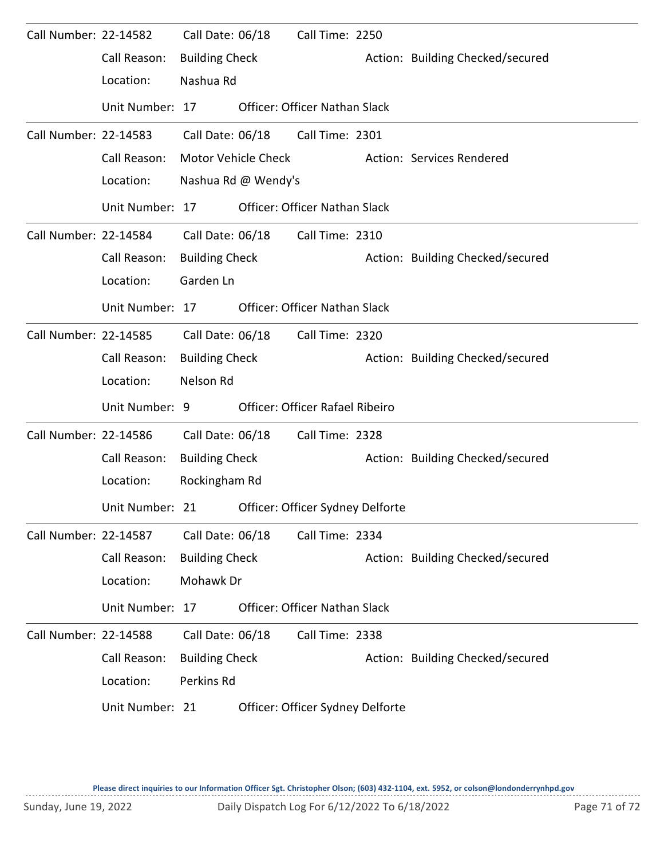| Call Number: 22-14582 |                 | Call Date: 06/18      |                     | Call Time: 2250                      |                                  |
|-----------------------|-----------------|-----------------------|---------------------|--------------------------------------|----------------------------------|
|                       | Call Reason:    | <b>Building Check</b> |                     |                                      | Action: Building Checked/secured |
|                       | Location:       | Nashua Rd             |                     |                                      |                                  |
|                       | Unit Number: 17 |                       |                     | <b>Officer: Officer Nathan Slack</b> |                                  |
| Call Number: 22-14583 |                 | Call Date: 06/18      |                     | Call Time: 2301                      |                                  |
|                       | Call Reason:    |                       | Motor Vehicle Check |                                      | Action: Services Rendered        |
|                       | Location:       |                       | Nashua Rd @ Wendy's |                                      |                                  |
|                       | Unit Number: 17 |                       |                     | Officer: Officer Nathan Slack        |                                  |
| Call Number: 22-14584 |                 | Call Date: 06/18      |                     | Call Time: 2310                      |                                  |
|                       | Call Reason:    | <b>Building Check</b> |                     |                                      | Action: Building Checked/secured |
|                       | Location:       | Garden Ln             |                     |                                      |                                  |
|                       | Unit Number: 17 |                       |                     | <b>Officer: Officer Nathan Slack</b> |                                  |
| Call Number: 22-14585 |                 | Call Date: 06/18      |                     | Call Time: 2320                      |                                  |
|                       | Call Reason:    | <b>Building Check</b> |                     |                                      | Action: Building Checked/secured |
|                       | Location:       | Nelson Rd             |                     |                                      |                                  |
|                       | Unit Number: 9  |                       |                     | Officer: Officer Rafael Ribeiro      |                                  |
| Call Number: 22-14586 |                 | Call Date: 06/18      |                     | Call Time: 2328                      |                                  |
|                       | Call Reason:    | <b>Building Check</b> |                     |                                      | Action: Building Checked/secured |
|                       | Location:       | Rockingham Rd         |                     |                                      |                                  |
|                       | Unit Number: 21 |                       |                     | Officer: Officer Sydney Delforte     |                                  |
| Call Number: 22-14587 |                 | Call Date: 06/18      |                     | Call Time: 2334                      |                                  |
|                       | Call Reason:    | <b>Building Check</b> |                     |                                      | Action: Building Checked/secured |
|                       | Location:       | Mohawk Dr             |                     |                                      |                                  |
|                       | Unit Number: 17 |                       |                     | <b>Officer: Officer Nathan Slack</b> |                                  |
| Call Number: 22-14588 |                 | Call Date: 06/18      |                     | Call Time: 2338                      |                                  |
|                       | Call Reason:    | <b>Building Check</b> |                     |                                      | Action: Building Checked/secured |
|                       | Location:       | Perkins Rd            |                     |                                      |                                  |
|                       | Unit Number: 21 |                       |                     | Officer: Officer Sydney Delforte     |                                  |